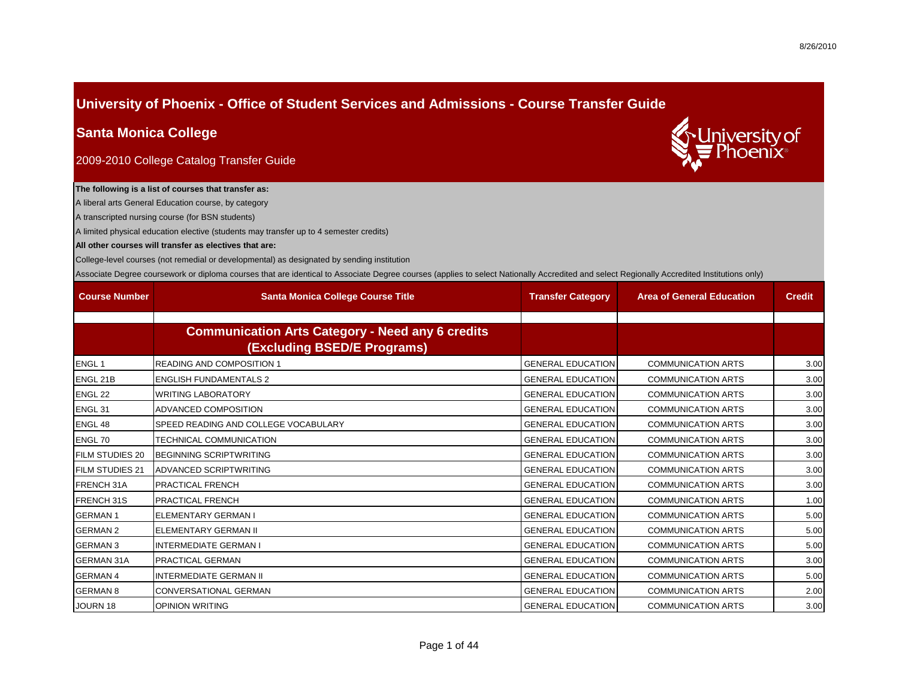## **University of Phoenix - Office of Student Services and Admissions - Course Transfer Guide**

### **Santa Monica College**

2009-2010 College Catalog Transfer Guide

# niversity of

### **The following is a list of courses that transfer as:**

A liberal arts General Education course, by category

A transcripted nursing course (for BSN students)

A limited physical education elective (students may transfer up to 4 semester credits)

#### **All other courses will transfer as electives that are:**

College-level courses (not remedial or developmental) as designated by sending institution

Associate Degree coursework or diploma courses that are identical to Associate Degree courses (applies to select Nationally Accredited and select Regionally Accredited Institutions only)

| <b>Course Number</b>   | <b>Santa Monica College Course Title</b>                                               | <b>Transfer Category</b> | <b>Area of General Education</b> | <b>Credit</b> |
|------------------------|----------------------------------------------------------------------------------------|--------------------------|----------------------------------|---------------|
|                        |                                                                                        |                          |                                  |               |
|                        | <b>Communication Arts Category - Need any 6 credits</b><br>(Excluding BSED/E Programs) |                          |                                  |               |
| <b>ENGL1</b>           | <b>READING AND COMPOSITION 1</b>                                                       | <b>GENERAL EDUCATION</b> | <b>COMMUNICATION ARTS</b>        | 3.00          |
| ENGL 21B               | <b>ENGLISH FUNDAMENTALS 2</b>                                                          | <b>GENERAL EDUCATION</b> | <b>COMMUNICATION ARTS</b>        | 3.00          |
| ENGL 22                | <b>WRITING LABORATORY</b>                                                              | <b>GENERAL EDUCATION</b> | <b>COMMUNICATION ARTS</b>        | 3.00          |
| ENGL <sub>31</sub>     | <b>ADVANCED COMPOSITION</b>                                                            | <b>GENERAL EDUCATION</b> | <b>COMMUNICATION ARTS</b>        | 3.00          |
| ENGL 48                | SPEED READING AND COLLEGE VOCABULARY                                                   | <b>GENERAL EDUCATION</b> | <b>COMMUNICATION ARTS</b>        | 3.00          |
| ENGL 70                | <b>TECHNICAL COMMUNICATION</b>                                                         | <b>GENERAL EDUCATION</b> | <b>COMMUNICATION ARTS</b>        | 3.00          |
| <b>FILM STUDIES 20</b> | <b>BEGINNING SCRIPTWRITING</b>                                                         | <b>GENERAL EDUCATION</b> | <b>COMMUNICATION ARTS</b>        | 3.00          |
| <b>FILM STUDIES 21</b> | ADVANCED SCRIPTWRITING                                                                 | <b>GENERAL EDUCATION</b> | <b>COMMUNICATION ARTS</b>        | 3.00          |
| FRENCH 31A             | <b>PRACTICAL FRENCH</b>                                                                | <b>GENERAL EDUCATION</b> | <b>COMMUNICATION ARTS</b>        | 3.00          |
| FRENCH 31S             | <b>PRACTICAL FRENCH</b>                                                                | <b>GENERAL EDUCATION</b> | <b>COMMUNICATION ARTS</b>        | 1.00          |
| <b>GERMAN1</b>         | ELEMENTARY GERMAN I                                                                    | <b>GENERAL EDUCATION</b> | <b>COMMUNICATION ARTS</b>        | 5.00          |
| <b>GERMAN 2</b>        | <b>ELEMENTARY GERMAN II</b>                                                            | <b>GENERAL EDUCATION</b> | <b>COMMUNICATION ARTS</b>        | 5.00          |
| <b>GERMAN 3</b>        | <b>INTERMEDIATE GERMAN I</b>                                                           | <b>GENERAL EDUCATION</b> | <b>COMMUNICATION ARTS</b>        | 5.00          |
| <b>GERMAN 31A</b>      | <b>PRACTICAL GERMAN</b>                                                                | <b>GENERAL EDUCATION</b> | <b>COMMUNICATION ARTS</b>        | 3.00          |
| <b>GERMAN 4</b>        | <b>INTERMEDIATE GERMAN II</b>                                                          | <b>GENERAL EDUCATION</b> | <b>COMMUNICATION ARTS</b>        | 5.00          |
| <b>GERMAN 8</b>        | <b>CONVERSATIONAL GERMAN</b>                                                           | <b>GENERAL EDUCATION</b> | <b>COMMUNICATION ARTS</b>        | 2.00          |
| <b>JOURN 18</b>        | <b>OPINION WRITING</b>                                                                 | <b>GENERAL EDUCATION</b> | <b>COMMUNICATION ARTS</b>        | 3.00          |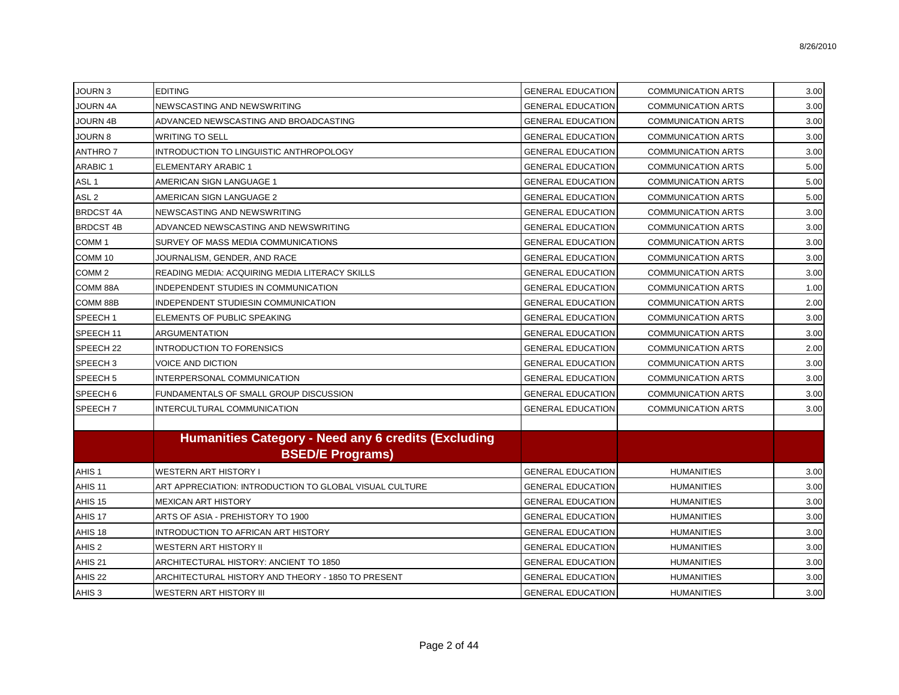| JOURN 3              | <b>EDITING</b>                                                                 | <b>GENERAL EDUCATION</b> | <b>COMMUNICATION ARTS</b> | 3.00 |
|----------------------|--------------------------------------------------------------------------------|--------------------------|---------------------------|------|
| JOURN 4A             | NEWSCASTING AND NEWSWRITING                                                    | <b>GENERAL EDUCATION</b> | <b>COMMUNICATION ARTS</b> | 3.00 |
| <b>JOURN 4B</b>      | ADVANCED NEWSCASTING AND BROADCASTING                                          | <b>GENERAL EDUCATION</b> | <b>COMMUNICATION ARTS</b> | 3.00 |
| <b>JOURN 8</b>       | <b>WRITING TO SELL</b>                                                         | <b>GENERAL EDUCATION</b> | <b>COMMUNICATION ARTS</b> | 3.00 |
| <b>ANTHRO7</b>       | INTRODUCTION TO LINGUISTIC ANTHROPOLOGY                                        | <b>GENERAL EDUCATION</b> | <b>COMMUNICATION ARTS</b> | 3.00 |
| <b>ARABIC 1</b>      | <b>ELEMENTARY ARABIC 1</b>                                                     | <b>GENERAL EDUCATION</b> | <b>COMMUNICATION ARTS</b> | 5.00 |
| ASL <sub>1</sub>     | AMERICAN SIGN LANGUAGE 1                                                       | <b>GENERAL EDUCATION</b> | <b>COMMUNICATION ARTS</b> | 5.00 |
| ASL <sub>2</sub>     | AMERICAN SIGN LANGUAGE 2                                                       | <b>GENERAL EDUCATION</b> | <b>COMMUNICATION ARTS</b> | 5.00 |
| <b>BRDCST 4A</b>     | NEWSCASTING AND NEWSWRITING                                                    | <b>GENERAL EDUCATION</b> | <b>COMMUNICATION ARTS</b> | 3.00 |
| <b>BRDCST 4B</b>     | ADVANCED NEWSCASTING AND NEWSWRITING                                           | <b>GENERAL EDUCATION</b> | <b>COMMUNICATION ARTS</b> | 3.00 |
| COMM <sub>1</sub>    | SURVEY OF MASS MEDIA COMMUNICATIONS                                            | <b>GENERAL EDUCATION</b> | <b>COMMUNICATION ARTS</b> | 3.00 |
| COMM 10              | JOURNALISM, GENDER, AND RACE                                                   | <b>GENERAL EDUCATION</b> | <b>COMMUNICATION ARTS</b> | 3.00 |
| COMM <sub>2</sub>    | <b>READING MEDIA: ACQUIRING MEDIA LITERACY SKILLS</b>                          | <b>GENERAL EDUCATION</b> | <b>COMMUNICATION ARTS</b> | 3.00 |
| COMM 88A             | INDEPENDENT STUDIES IN COMMUNICATION                                           | <b>GENERAL EDUCATION</b> | COMMUNICATION ARTS        | 1.00 |
| COMM 88B             | INDEPENDENT STUDIESIN COMMUNICATION                                            | <b>GENERAL EDUCATION</b> | <b>COMMUNICATION ARTS</b> | 2.00 |
| SPEECH <sub>1</sub>  | ELEMENTS OF PUBLIC SPEAKING                                                    | <b>GENERAL EDUCATION</b> | <b>COMMUNICATION ARTS</b> | 3.00 |
| SPEECH 11            | <b>ARGUMENTATION</b>                                                           | <b>GENERAL EDUCATION</b> | <b>COMMUNICATION ARTS</b> | 3.00 |
| SPEECH <sub>22</sub> | <b>INTRODUCTION TO FORENSICS</b>                                               | <b>GENERAL EDUCATION</b> | <b>COMMUNICATION ARTS</b> | 2.00 |
| SPEECH <sub>3</sub>  | <b>VOICE AND DICTION</b>                                                       | <b>GENERAL EDUCATION</b> | <b>COMMUNICATION ARTS</b> | 3.00 |
| SPEECH <sub>5</sub>  | INTERPERSONAL COMMUNICATION                                                    | <b>GENERAL EDUCATION</b> | <b>COMMUNICATION ARTS</b> | 3.00 |
| SPEECH <sub>6</sub>  | FUNDAMENTALS OF SMALL GROUP DISCUSSION                                         | <b>GENERAL EDUCATION</b> | <b>COMMUNICATION ARTS</b> | 3.00 |
| SPEECH <sub>7</sub>  | INTERCULTURAL COMMUNICATION                                                    | <b>GENERAL EDUCATION</b> | <b>COMMUNICATION ARTS</b> | 3.00 |
|                      | Humanities Category - Need any 6 credits (Excluding<br><b>BSED/E Programs)</b> |                          |                           |      |
| AHIS <sub>1</sub>    | <b>WESTERN ART HISTORY I</b>                                                   | <b>GENERAL EDUCATION</b> | <b>HUMANITIES</b>         | 3.00 |
| AHIS <sub>11</sub>   | ART APPRECIATION: INTRODUCTION TO GLOBAL VISUAL CULTURE                        | <b>GENERAL EDUCATION</b> | <b>HUMANITIES</b>         | 3.00 |
| AHIS <sub>15</sub>   | <b>MEXICAN ART HISTORY</b>                                                     | <b>GENERAL EDUCATION</b> | <b>HUMANITIES</b>         | 3.00 |
| AHIS 17              | ARTS OF ASIA - PREHISTORY TO 1900                                              | <b>GENERAL EDUCATION</b> | <b>HUMANITIES</b>         | 3.00 |
| AHIS 18              | INTRODUCTION TO AFRICAN ART HISTORY                                            | <b>GENERAL EDUCATION</b> | <b>HUMANITIES</b>         | 3.00 |
| AHIS <sub>2</sub>    | WESTERN ART HISTORY II                                                         | <b>GENERAL EDUCATION</b> | <b>HUMANITIES</b>         | 3.00 |
| AHIS <sub>21</sub>   | ARCHITECTURAL HISTORY: ANCIENT TO 1850                                         | <b>GENERAL EDUCATION</b> | <b>HUMANITIES</b>         | 3.00 |
| AHIS <sub>22</sub>   | ARCHITECTURAL HISTORY AND THEORY - 1850 TO PRESENT                             | <b>GENERAL EDUCATION</b> | <b>HUMANITIES</b>         | 3.00 |
| AHIS <sub>3</sub>    | <b>WESTERN ART HISTORY III</b>                                                 | <b>GENERAL EDUCATION</b> | <b>HUMANITIES</b>         | 3.00 |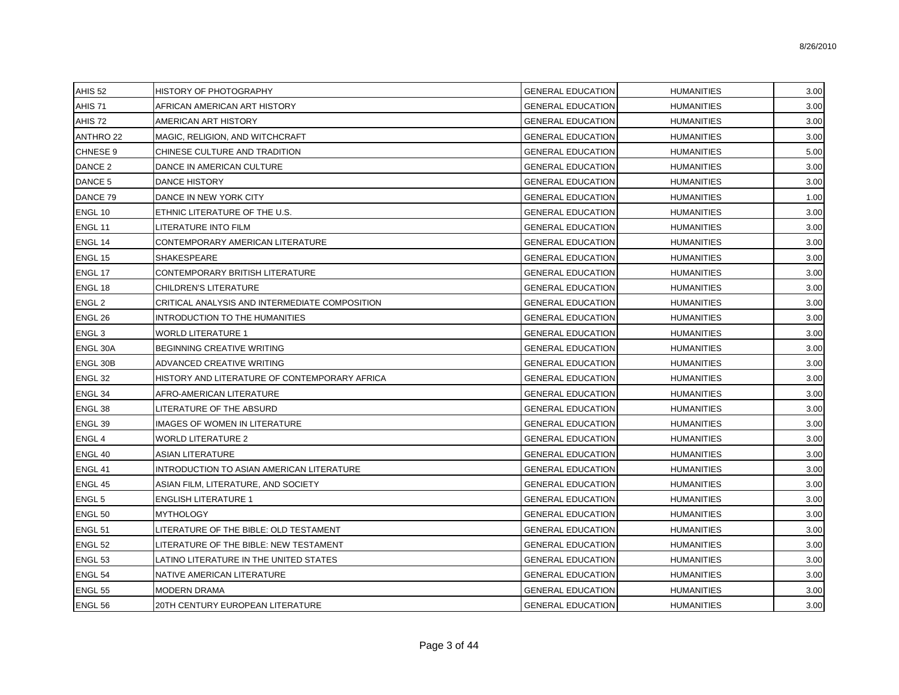| AHIS <sub>52</sub> | HISTORY OF PHOTOGRAPHY                         | <b>GENERAL EDUCATION</b> | <b>HUMANITIES</b> | 3.00 |
|--------------------|------------------------------------------------|--------------------------|-------------------|------|
| AHIS <sub>71</sub> | AFRICAN AMERICAN ART HISTORY                   | <b>GENERAL EDUCATION</b> | <b>HUMANITIES</b> | 3.00 |
| AHIS 72            | AMERICAN ART HISTORY                           | <b>GENERAL EDUCATION</b> | <b>HUMANITIES</b> | 3.00 |
| <b>ANTHRO 22</b>   | MAGIC, RELIGION, AND WITCHCRAFT                | <b>GENERAL EDUCATION</b> | <b>HUMANITIES</b> | 3.00 |
| <b>CHNESE 9</b>    | CHINESE CULTURE AND TRADITION                  | <b>GENERAL EDUCATION</b> | <b>HUMANITIES</b> | 5.00 |
| DANCE 2            | DANCE IN AMERICAN CULTURE                      | <b>GENERAL EDUCATION</b> | <b>HUMANITIES</b> | 3.00 |
| DANCE 5            | DANCE HISTORY                                  | <b>GENERAL EDUCATION</b> | <b>HUMANITIES</b> | 3.00 |
| DANCE 79           | DANCE IN NEW YORK CITY                         | <b>GENERAL EDUCATION</b> | <b>HUMANITIES</b> | 1.00 |
| ENGL 10            | ETHNIC LITERATURE OF THE U.S.                  | <b>GENERAL EDUCATION</b> | <b>HUMANITIES</b> | 3.00 |
| ENGL 11            | LITERATURE INTO FILM                           | <b>GENERAL EDUCATION</b> | <b>HUMANITIES</b> | 3.00 |
| ENGL 14            | CONTEMPORARY AMERICAN LITERATURE               | <b>GENERAL EDUCATION</b> | <b>HUMANITIES</b> | 3.00 |
| ENGL 15            | SHAKESPEARE                                    | <b>GENERAL EDUCATION</b> | <b>HUMANITIES</b> | 3.00 |
| ENGL 17            | CONTEMPORARY BRITISH LITERATURE                | <b>GENERAL EDUCATION</b> | <b>HUMANITIES</b> | 3.00 |
| ENGL 18            | CHILDREN'S LITERATURE                          | <b>GENERAL EDUCATION</b> | <b>HUMANITIES</b> | 3.00 |
| ENGL <sub>2</sub>  | CRITICAL ANALYSIS AND INTERMEDIATE COMPOSITION | <b>GENERAL EDUCATION</b> | <b>HUMANITIES</b> | 3.00 |
| ENGL 26            | INTRODUCTION TO THE HUMANITIES                 | <b>GENERAL EDUCATION</b> | <b>HUMANITIES</b> | 3.00 |
| ENGL <sub>3</sub>  | WORLD LITERATURE 1                             | <b>GENERAL EDUCATION</b> | <b>HUMANITIES</b> | 3.00 |
| ENGL 30A           | BEGINNING CREATIVE WRITING                     | <b>GENERAL EDUCATION</b> | <b>HUMANITIES</b> | 3.00 |
| ENGL 30B           | ADVANCED CREATIVE WRITING                      | <b>GENERAL EDUCATION</b> | <b>HUMANITIES</b> | 3.00 |
| ENGL <sub>32</sub> | HISTORY AND LITERATURE OF CONTEMPORARY AFRICA  | <b>GENERAL EDUCATION</b> | <b>HUMANITIES</b> | 3.00 |
| ENGL 34            | AFRO-AMERICAN LITERATURE                       | <b>GENERAL EDUCATION</b> | <b>HUMANITIES</b> | 3.00 |
| ENGL <sub>38</sub> | LITERATURE OF THE ABSURD                       | <b>GENERAL EDUCATION</b> | <b>HUMANITIES</b> | 3.00 |
| ENGL <sub>39</sub> | <b>IMAGES OF WOMEN IN LITERATURE</b>           | <b>GENERAL EDUCATION</b> | <b>HUMANITIES</b> | 3.00 |
| ENGL 4             | WORLD LITERATURE 2                             | <b>GENERAL EDUCATION</b> | <b>HUMANITIES</b> | 3.00 |
| ENGL 40            | <b>ASIAN LITERATURE</b>                        | <b>GENERAL EDUCATION</b> | <b>HUMANITIES</b> | 3.00 |
| ENGL 41            | INTRODUCTION TO ASIAN AMERICAN LITERATURE      | <b>GENERAL EDUCATION</b> | <b>HUMANITIES</b> | 3.00 |
| ENGL 45            | ASIAN FILM, LITERATURE, AND SOCIETY            | <b>GENERAL EDUCATION</b> | <b>HUMANITIES</b> | 3.00 |
| <b>ENGL 5</b>      | <b>ENGLISH LITERATURE 1</b>                    | <b>GENERAL EDUCATION</b> | <b>HUMANITIES</b> | 3.00 |
| ENGL <sub>50</sub> | <b>MYTHOLOGY</b>                               | <b>GENERAL EDUCATION</b> | <b>HUMANITIES</b> | 3.00 |
| ENGL 51            | LITERATURE OF THE BIBLE: OLD TESTAMENT         | <b>GENERAL EDUCATION</b> | <b>HUMANITIES</b> | 3.00 |
| ENGL <sub>52</sub> | LITERATURE OF THE BIBLE: NEW TESTAMENT         | <b>GENERAL EDUCATION</b> | <b>HUMANITIES</b> | 3.00 |
| <b>ENGL 53</b>     | LATINO LITERATURE IN THE UNITED STATES         | <b>GENERAL EDUCATION</b> | <b>HUMANITIES</b> | 3.00 |
| ENGL <sub>54</sub> | NATIVE AMERICAN LITERATURE                     | <b>GENERAL EDUCATION</b> | <b>HUMANITIES</b> | 3.00 |
| <b>ENGL 55</b>     | <b>MODERN DRAMA</b>                            | <b>GENERAL EDUCATION</b> | <b>HUMANITIES</b> | 3.00 |
| ENGL 56            | 20TH CENTURY EUROPEAN LITERATURE               | <b>GENERAL EDUCATION</b> | <b>HUMANITIES</b> | 3.00 |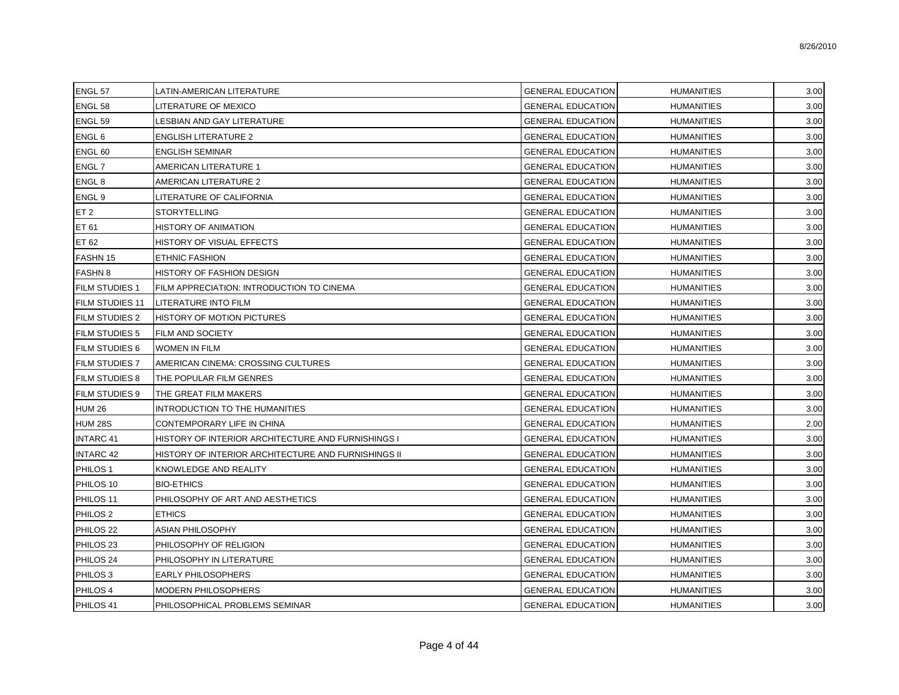| ENGL <sub>57</sub>    | LATIN-AMERICAN LITERATURE                           | <b>GENERAL EDUCATION</b> | <b>HUMANITIES</b> | 3.00 |
|-----------------------|-----------------------------------------------------|--------------------------|-------------------|------|
| ENGL <sub>58</sub>    | LITERATURE OF MEXICO                                | <b>GENERAL EDUCATION</b> | <b>HUMANITIES</b> | 3.00 |
| ENGL 59               | LESBIAN AND GAY LITERATURE                          | <b>GENERAL EDUCATION</b> | <b>HUMANITIES</b> | 3.00 |
| ENGL 6                | <b>ENGLISH LITERATURE 2</b>                         | <b>GENERAL EDUCATION</b> | <b>HUMANITIES</b> | 3.00 |
| ENGL 60               | <b>ENGLISH SEMINAR</b>                              | <b>GENERAL EDUCATION</b> | <b>HUMANITIES</b> | 3.00 |
| ENGL 7                | AMERICAN LITERATURE 1                               | <b>GENERAL EDUCATION</b> | <b>HUMANITIES</b> | 3.00 |
| ENGL <sub>8</sub>     | AMERICAN LITERATURE 2                               | <b>GENERAL EDUCATION</b> | <b>HUMANITIES</b> | 3.00 |
| ENGL 9                | LITERATURE OF CALIFORNIA                            | <b>GENERAL EDUCATION</b> | <b>HUMANITIES</b> | 3.00 |
| ET <sub>2</sub>       | <b>STORYTELLING</b>                                 | <b>GENERAL EDUCATION</b> | <b>HUMANITIES</b> | 3.00 |
| ET 61                 | HISTORY OF ANIMATION                                | <b>GENERAL EDUCATION</b> | <b>HUMANITIES</b> | 3.00 |
| ET 62                 | HISTORY OF VISUAL EFFECTS                           | <b>GENERAL EDUCATION</b> | <b>HUMANITIES</b> | 3.00 |
| FASHN 15              | <b>ETHNIC FASHION</b>                               | <b>GENERAL EDUCATION</b> | <b>HUMANITIES</b> | 3.00 |
| <b>FASHN 8</b>        | HISTORY OF FASHION DESIGN                           | <b>GENERAL EDUCATION</b> | <b>HUMANITIES</b> | 3.00 |
| <b>FILM STUDIES 1</b> | FILM APPRECIATION: INTRODUCTION TO CINEMA           | <b>GENERAL EDUCATION</b> | <b>HUMANITIES</b> | 3.00 |
| FILM STUDIES 11       | LITERATURE INTO FILM                                | <b>GENERAL EDUCATION</b> | <b>HUMANITIES</b> | 3.00 |
| <b>FILM STUDIES 2</b> | HISTORY OF MOTION PICTURES                          | <b>GENERAL EDUCATION</b> | <b>HUMANITIES</b> | 3.00 |
| <b>FILM STUDIES 5</b> | FILM AND SOCIETY                                    | <b>GENERAL EDUCATION</b> | <b>HUMANITIES</b> | 3.00 |
| <b>FILM STUDIES 6</b> | WOMEN IN FILM                                       | <b>GENERAL EDUCATION</b> | <b>HUMANITIES</b> | 3.00 |
| <b>FILM STUDIES 7</b> | AMERICAN CINEMA: CROSSING CULTURES                  | <b>GENERAL EDUCATION</b> | <b>HUMANITIES</b> | 3.00 |
| <b>FILM STUDIES 8</b> | THE POPULAR FILM GENRES                             | <b>GENERAL EDUCATION</b> | <b>HUMANITIES</b> | 3.00 |
| <b>FILM STUDIES 9</b> | THE GREAT FILM MAKERS                               | <b>GENERAL EDUCATION</b> | <b>HUMANITIES</b> | 3.00 |
| <b>HUM 26</b>         | INTRODUCTION TO THE HUMANITIES                      | <b>GENERAL EDUCATION</b> | <b>HUMANITIES</b> | 3.00 |
| <b>HUM 28S</b>        | CONTEMPORARY LIFE IN CHINA                          | <b>GENERAL EDUCATION</b> | <b>HUMANITIES</b> | 2.00 |
| <b>INTARC 41</b>      | HISTORY OF INTERIOR ARCHITECTURE AND FURNISHINGS I  | <b>GENERAL EDUCATION</b> | <b>HUMANITIES</b> | 3.00 |
| <b>INTARC 42</b>      | HISTORY OF INTERIOR ARCHITECTURE AND FURNISHINGS II | <b>GENERAL EDUCATION</b> | <b>HUMANITIES</b> | 3.00 |
| PHILOS <sub>1</sub>   | KNOWLEDGE AND REALITY                               | <b>GENERAL EDUCATION</b> | <b>HUMANITIES</b> | 3.00 |
| PHILOS 10             | <b>BIO-ETHICS</b>                                   | <b>GENERAL EDUCATION</b> | <b>HUMANITIES</b> | 3.00 |
| PHILOS 11             | PHILOSOPHY OF ART AND AESTHETICS                    | <b>GENERAL EDUCATION</b> | <b>HUMANITIES</b> | 3.00 |
| PHILOS <sub>2</sub>   | <b>ETHICS</b>                                       | <b>GENERAL EDUCATION</b> | <b>HUMANITIES</b> | 3.00 |
| PHILOS <sub>22</sub>  | <b>ASIAN PHILOSOPHY</b>                             | <b>GENERAL EDUCATION</b> | <b>HUMANITIES</b> | 3.00 |
| PHILOS <sub>23</sub>  | PHILOSOPHY OF RELIGION                              | <b>GENERAL EDUCATION</b> | <b>HUMANITIES</b> | 3.00 |
| PHILOS 24             | PHILOSOPHY IN LITERATURE                            | <b>GENERAL EDUCATION</b> | <b>HUMANITIES</b> | 3.00 |
| PHILOS <sub>3</sub>   | <b>EARLY PHILOSOPHERS</b>                           | <b>GENERAL EDUCATION</b> | <b>HUMANITIES</b> | 3.00 |
| PHILOS 4              | MODERN PHILOSOPHERS                                 | <b>GENERAL EDUCATION</b> | <b>HUMANITIES</b> | 3.00 |
| PHILOS 41             | PHILOSOPHICAL PROBLEMS SEMINAR                      | <b>GENERAL EDUCATION</b> | <b>HUMANITIES</b> | 3.00 |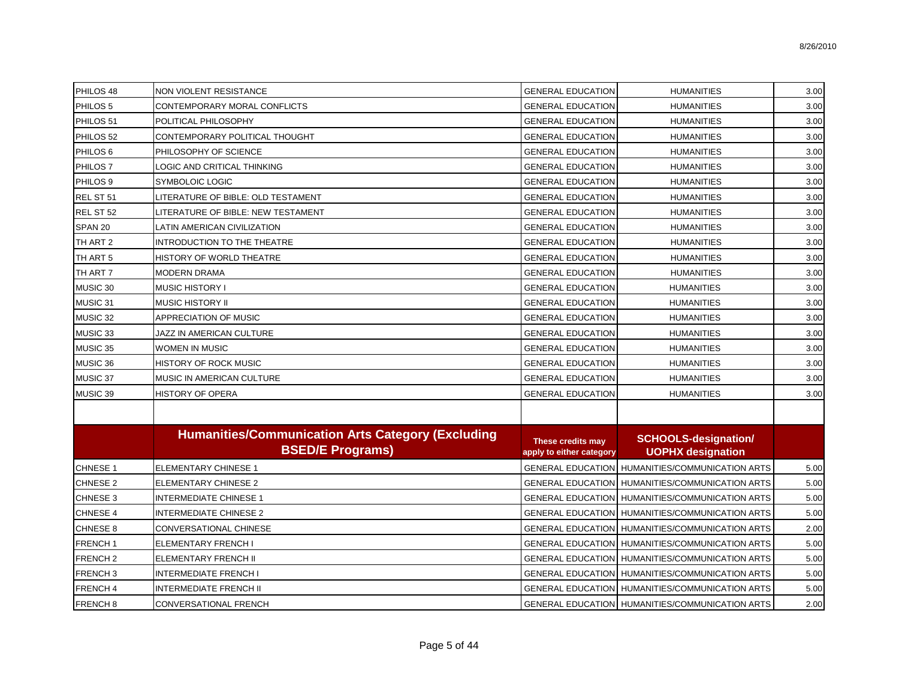| PHILOS 48           | <b>NON VIOLENT RESISTANCE</b>                            | <b>GENERAL EDUCATION</b>                      | <b>HUMANITIES</b>                                        | 3.00 |
|---------------------|----------------------------------------------------------|-----------------------------------------------|----------------------------------------------------------|------|
| PHILOS <sub>5</sub> | CONTEMPORARY MORAL CONFLICTS                             | <b>GENERAL EDUCATION</b>                      | <b>HUMANITIES</b>                                        | 3.00 |
| PHILOS 51           | POLITICAL PHILOSOPHY                                     | <b>GENERAL EDUCATION</b>                      | <b>HUMANITIES</b>                                        | 3.00 |
| PHILOS 52           | CONTEMPORARY POLITICAL THOUGHT                           | <b>GENERAL EDUCATION</b>                      | <b>HUMANITIES</b>                                        | 3.00 |
| PHILOS <sub>6</sub> | PHILOSOPHY OF SCIENCE                                    | <b>GENERAL EDUCATION</b>                      | <b>HUMANITIES</b>                                        | 3.00 |
| PHILOS <sub>7</sub> | LOGIC AND CRITICAL THINKING                              | <b>GENERAL EDUCATION</b>                      | <b>HUMANITIES</b>                                        | 3.00 |
| PHILOS <sub>9</sub> | SYMBOLOIC LOGIC                                          | <b>GENERAL EDUCATION</b>                      | <b>HUMANITIES</b>                                        | 3.00 |
| REL ST 51           | LITERATURE OF BIBLE: OLD TESTAMENT                       | <b>GENERAL EDUCATION</b>                      | <b>HUMANITIES</b>                                        | 3.00 |
| REL ST 52           | LITERATURE OF BIBLE: NEW TESTAMENT                       | <b>GENERAL EDUCATION</b>                      | <b>HUMANITIES</b>                                        | 3.00 |
| SPAN <sub>20</sub>  | LATIN AMERICAN CIVILIZATION                              | <b>GENERAL EDUCATION</b>                      | <b>HUMANITIES</b>                                        | 3.00 |
| TH ART 2            | INTRODUCTION TO THE THEATRE                              | <b>GENERAL EDUCATION</b>                      | <b>HUMANITIES</b>                                        | 3.00 |
| TH ART 5            | HISTORY OF WORLD THEATRE                                 | <b>GENERAL EDUCATION</b>                      | <b>HUMANITIES</b>                                        | 3.00 |
| TH ART 7            | <b>MODERN DRAMA</b>                                      | <b>GENERAL EDUCATION</b>                      | <b>HUMANITIES</b>                                        | 3.00 |
| MUSIC 30            | <b>MUSIC HISTORY I</b>                                   | <b>GENERAL EDUCATION</b>                      | <b>HUMANITIES</b>                                        | 3.00 |
| MUSIC 31            | MUSIC HISTORY II                                         | <b>GENERAL EDUCATION</b>                      | <b>HUMANITIES</b>                                        | 3.00 |
| MUSIC 32            | APPRECIATION OF MUSIC                                    | <b>GENERAL EDUCATION</b>                      | <b>HUMANITIES</b>                                        | 3.00 |
| MUSIC 33            | JAZZ IN AMERICAN CULTURE                                 | <b>GENERAL EDUCATION</b>                      | <b>HUMANITIES</b>                                        | 3.00 |
| MUSIC 35            | WOMEN IN MUSIC                                           | <b>GENERAL EDUCATION</b>                      | <b>HUMANITIES</b>                                        | 3.00 |
| MUSIC 36            | <b>HISTORY OF ROCK MUSIC</b>                             | <b>GENERAL EDUCATION</b>                      | <b>HUMANITIES</b>                                        | 3.00 |
| MUSIC 37            | MUSIC IN AMERICAN CULTURE                                | <b>GENERAL EDUCATION</b>                      | <b>HUMANITIES</b>                                        | 3.00 |
| MUSIC 39            | <b>HISTORY OF OPERA</b>                                  | <b>GENERAL EDUCATION</b>                      | <b>HUMANITIES</b>                                        | 3.00 |
|                     | <b>Humanities/Communication Arts Category (Excluding</b> |                                               | <b>SCHOOLS-designation/</b>                              |      |
|                     | <b>BSED/E Programs)</b>                                  | These credits may<br>apply to either category | <b>UOPHX designation</b>                                 |      |
| <b>CHNESE 1</b>     | <b>ELEMENTARY CHINESE 1</b>                              |                                               | <b>GENERAL EDUCATION   HUMANITIES/COMMUNICATION ARTS</b> | 5.00 |
| <b>CHNESE 2</b>     | <b>ELEMENTARY CHINESE 2</b>                              |                                               | <b>GENERAL EDUCATION   HUMANITIES/COMMUNICATION ARTS</b> | 5.00 |
| <b>CHNESE 3</b>     | <b>INTERMEDIATE CHINESE 1</b>                            |                                               | GENERAL EDUCATION   HUMANITIES/COMMUNICATION ARTS        | 5.00 |
| <b>CHNESE 4</b>     | <b>INTERMEDIATE CHINESE 2</b>                            |                                               | GENERAL EDUCATION   HUMANITIES/COMMUNICATION ARTS        | 5.00 |
| <b>CHNESE 8</b>     | CONVERSATIONAL CHINESE                                   |                                               | <b>GENERAL EDUCATION   HUMANITIES/COMMUNICATION ARTS</b> | 2.00 |
| FRENCH <sub>1</sub> | ELEMENTARY FRENCH I                                      |                                               | GENERAL EDUCATION   HUMANITIES/COMMUNICATION ARTS        | 5.00 |
| FRENCH <sub>2</sub> | ELEMENTARY FRENCH II                                     |                                               | GENERAL EDUCATION   HUMANITIES/COMMUNICATION ARTS        | 5.00 |
| FRENCH <sub>3</sub> | <b>INTERMEDIATE FRENCH I</b>                             |                                               | <b>GENERAL EDUCATION   HUMANITIES/COMMUNICATION ARTS</b> | 5.00 |
| FRENCH 4            | <b>INTERMEDIATE FRENCH II</b>                            |                                               | GENERAL EDUCATION   HUMANITIES/COMMUNICATION ARTS        | 5.00 |
| FRENCH <sub>8</sub> | CONVERSATIONAL FRENCH                                    |                                               | GENERAL EDUCATION HUMANITIES/COMMUNICATION ARTS          | 2.00 |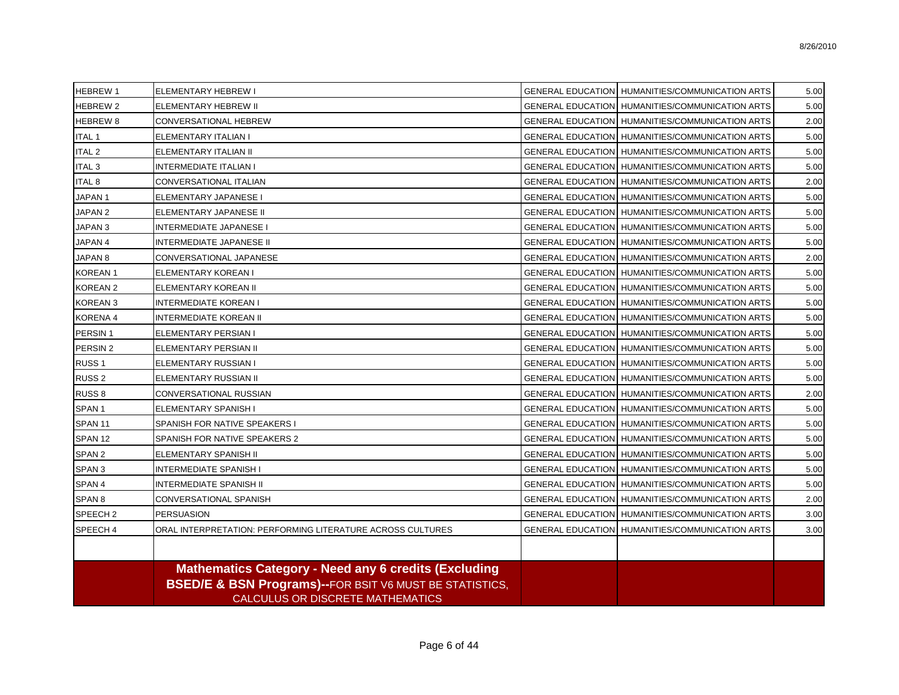| <b>HEBREW1</b>      | <b>ELEMENTARY HEBREW I</b>                                                                                                                                                   | GENERAL EDUCATION   HUMANITIES/COMMUNICATION ARTS        | 5.00 |
|---------------------|------------------------------------------------------------------------------------------------------------------------------------------------------------------------------|----------------------------------------------------------|------|
| <b>HEBREW 2</b>     | <b>ELEMENTARY HEBREW II</b>                                                                                                                                                  | <b>GENERAL EDUCATION   HUMANITIES/COMMUNICATION ARTS</b> | 5.00 |
| <b>HEBREW 8</b>     | CONVERSATIONAL HEBREW                                                                                                                                                        | GENERAL EDUCATION   HUMANITIES/COMMUNICATION ARTS        | 2.00 |
| <b>ITAL 1</b>       | ELEMENTARY ITALIAN I                                                                                                                                                         | GENERAL EDUCATION   HUMANITIES/COMMUNICATION ARTS        | 5.00 |
| <b>ITAL 2</b>       | ELEMENTARY ITALIAN II                                                                                                                                                        | GENERAL EDUCATION   HUMANITIES/COMMUNICATION ARTS        | 5.00 |
| <b>ITAL 3</b>       | INTERMEDIATE ITALIAN I                                                                                                                                                       | GENERAL EDUCATION   HUMANITIES/COMMUNICATION ARTS        | 5.00 |
| <b>ITAL 8</b>       | CONVERSATIONAL ITALIAN                                                                                                                                                       | <b>GENERAL EDUCATION   HUMANITIES/COMMUNICATION ARTS</b> | 2.00 |
| JAPAN <sub>1</sub>  | ELEMENTARY JAPANESE I                                                                                                                                                        | <b>GENERAL EDUCATION   HUMANITIES/COMMUNICATION ARTS</b> | 5.00 |
| JAPAN <sub>2</sub>  | ELEMENTARY JAPANESE II                                                                                                                                                       | GENERAL EDUCATION   HUMANITIES/COMMUNICATION ARTS        | 5.00 |
| JAPAN <sub>3</sub>  | <b>INTERMEDIATE JAPANESE I</b>                                                                                                                                               | GENERAL EDUCATION   HUMANITIES/COMMUNICATION ARTS        | 5.00 |
| JAPAN 4             | INTERMEDIATE JAPANESE II                                                                                                                                                     | GENERAL EDUCATION   HUMANITIES/COMMUNICATION ARTS        | 5.00 |
| JAPAN <sub>8</sub>  | CONVERSATIONAL JAPANESE                                                                                                                                                      | GENERAL EDUCATION   HUMANITIES/COMMUNICATION ARTS        | 2.00 |
| <b>KOREAN1</b>      | ELEMENTARY KOREAN I                                                                                                                                                          | <b>GENERAL EDUCATION   HUMANITIES/COMMUNICATION ARTS</b> | 5.00 |
| <b>KOREAN 2</b>     | ELEMENTARY KOREAN II                                                                                                                                                         | <b>GENERAL EDUCATION   HUMANITIES/COMMUNICATION ARTS</b> | 5.00 |
| <b>KOREAN3</b>      | <b>INTERMEDIATE KOREAN I</b>                                                                                                                                                 | <b>GENERAL EDUCATION   HUMANITIES/COMMUNICATION ARTS</b> | 5.00 |
| <b>KORENA 4</b>     | <b>INTERMEDIATE KOREAN II</b>                                                                                                                                                | <b>GENERAL EDUCATION   HUMANITIES/COMMUNICATION ARTS</b> | 5.00 |
| PERSIN <sub>1</sub> | ELEMENTARY PERSIAN I                                                                                                                                                         | <b>GENERAL EDUCATION   HUMANITIES/COMMUNICATION ARTS</b> | 5.00 |
| PERSIN <sub>2</sub> | ELEMENTARY PERSIAN II                                                                                                                                                        | GENERAL EDUCATION   HUMANITIES/COMMUNICATION ARTS        | 5.00 |
| RUSS <sub>1</sub>   | ELEMENTARY RUSSIAN I                                                                                                                                                         | <b>GENERAL EDUCATION   HUMANITIES/COMMUNICATION ARTS</b> | 5.00 |
| RUSS <sub>2</sub>   | ELEMENTARY RUSSIAN II                                                                                                                                                        | <b>GENERAL EDUCATION   HUMANITIES/COMMUNICATION ARTS</b> | 5.00 |
| RUSS 8              | CONVERSATIONAL RUSSIAN                                                                                                                                                       | <b>GENERAL EDUCATION   HUMANITIES/COMMUNICATION ARTS</b> | 2.00 |
| SPAN <sub>1</sub>   | <b>ELEMENTARY SPANISH I</b>                                                                                                                                                  | <b>GENERAL EDUCATION   HUMANITIES/COMMUNICATION ARTS</b> | 5.00 |
| SPAN <sub>11</sub>  | SPANISH FOR NATIVE SPEAKERS I                                                                                                                                                | <b>GENERAL EDUCATION   HUMANITIES/COMMUNICATION ARTS</b> | 5.00 |
| SPAN <sub>12</sub>  | SPANISH FOR NATIVE SPEAKERS 2                                                                                                                                                | <b>GENERAL EDUCATION   HUMANITIES/COMMUNICATION ARTS</b> | 5.00 |
| SPAN <sub>2</sub>   | ELEMENTARY SPANISH II                                                                                                                                                        | <b>GENERAL EDUCATION   HUMANITIES/COMMUNICATION ARTS</b> | 5.00 |
| SPAN <sub>3</sub>   | <b>INTERMEDIATE SPANISH I</b>                                                                                                                                                | GENERAL EDUCATION   HUMANITIES/COMMUNICATION ARTS        | 5.00 |
| SPAN 4              | <b>INTERMEDIATE SPANISH II</b>                                                                                                                                               | GENERAL EDUCATION   HUMANITIES/COMMUNICATION ARTS        | 5.00 |
| SPAN <sub>8</sub>   | CONVERSATIONAL SPANISH                                                                                                                                                       | <b>GENERAL EDUCATION   HUMANITIES/COMMUNICATION ARTS</b> | 2.00 |
| SPEECH <sub>2</sub> | <b>PERSUASION</b>                                                                                                                                                            | <b>GENERAL EDUCATION   HUMANITIES/COMMUNICATION ARTS</b> | 3.00 |
| SPEECH 4            | ORAL INTERPRETATION: PERFORMING LITERATURE ACROSS CULTURES                                                                                                                   | <b>GENERAL EDUCATION   HUMANITIES/COMMUNICATION ARTS</b> | 3.00 |
|                     |                                                                                                                                                                              |                                                          |      |
|                     | <b>Mathematics Category - Need any 6 credits (Excluding</b><br><b>BSED/E &amp; BSN Programs)--FOR BSIT V6 MUST BE STATISTICS,</b><br><b>CALCULUS OR DISCRETE MATHEMATICS</b> |                                                          |      |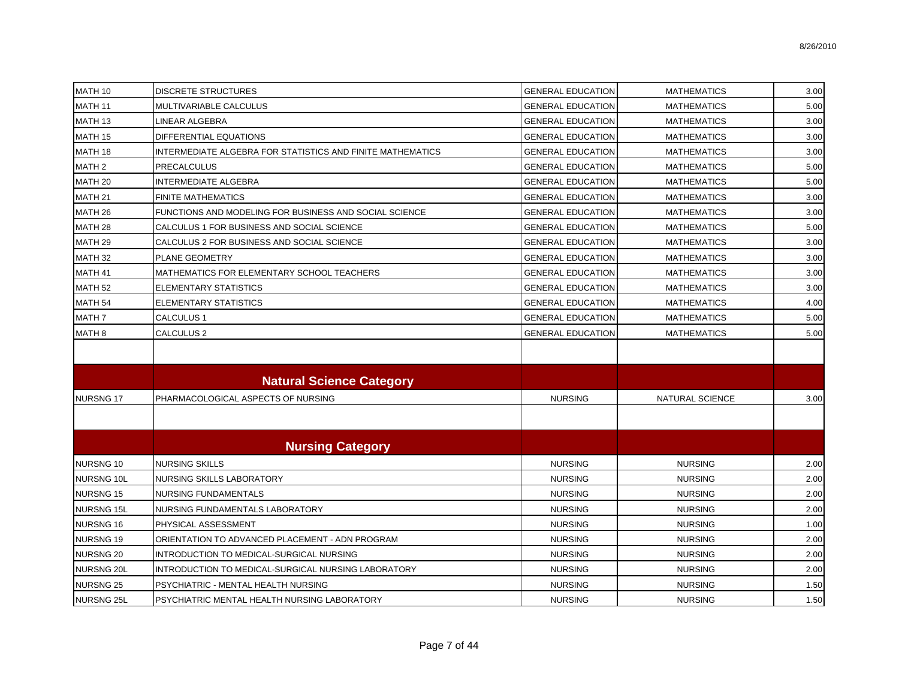| MATH 10            | <b>DISCRETE STRUCTURES</b>                                 | <b>GENERAL EDUCATION</b> | <b>MATHEMATICS</b> | 3.00 |
|--------------------|------------------------------------------------------------|--------------------------|--------------------|------|
| MATH 11            | MULTIVARIABLE CALCULUS                                     | <b>GENERAL EDUCATION</b> | <b>MATHEMATICS</b> | 5.00 |
| MATH 13            | LINEAR ALGEBRA                                             | <b>GENERAL EDUCATION</b> | <b>MATHEMATICS</b> | 3.00 |
| MATH 15            | <b>DIFFERENTIAL EQUATIONS</b>                              | <b>GENERAL EDUCATION</b> | <b>MATHEMATICS</b> | 3.00 |
| MATH 18            | INTERMEDIATE ALGEBRA FOR STATISTICS AND FINITE MATHEMATICS | <b>GENERAL EDUCATION</b> | <b>MATHEMATICS</b> | 3.00 |
| MATH <sub>2</sub>  | <b>PRECALCULUS</b>                                         | <b>GENERAL EDUCATION</b> | <b>MATHEMATICS</b> | 5.00 |
| MATH <sub>20</sub> | <b>INTERMEDIATE ALGEBRA</b>                                | <b>GENERAL EDUCATION</b> | <b>MATHEMATICS</b> | 5.00 |
| MATH 21            | <b>FINITE MATHEMATICS</b>                                  | <b>GENERAL EDUCATION</b> | <b>MATHEMATICS</b> | 3.00 |
| MATH <sub>26</sub> | FUNCTIONS AND MODELING FOR BUSINESS AND SOCIAL SCIENCE     | <b>GENERAL EDUCATION</b> | <b>MATHEMATICS</b> | 3.00 |
| MATH <sub>28</sub> | CALCULUS 1 FOR BUSINESS AND SOCIAL SCIENCE                 | <b>GENERAL EDUCATION</b> | <b>MATHEMATICS</b> | 5.00 |
| MATH 29            | CALCULUS 2 FOR BUSINESS AND SOCIAL SCIENCE                 | <b>GENERAL EDUCATION</b> | <b>MATHEMATICS</b> | 3.00 |
| MATH <sub>32</sub> | <b>PLANE GEOMETRY</b>                                      | <b>GENERAL EDUCATION</b> | <b>MATHEMATICS</b> | 3.00 |
| MATH 41            | MATHEMATICS FOR ELEMENTARY SCHOOL TEACHERS                 | <b>GENERAL EDUCATION</b> | <b>MATHEMATICS</b> | 3.00 |
| MATH <sub>52</sub> | ELEMENTARY STATISTICS                                      | <b>GENERAL EDUCATION</b> | <b>MATHEMATICS</b> | 3.00 |
| MATH 54            | <b>ELEMENTARY STATISTICS</b>                               | <b>GENERAL EDUCATION</b> | <b>MATHEMATICS</b> | 4.00 |
| MATH <sub>7</sub>  | CALCULUS 1                                                 | <b>GENERAL EDUCATION</b> | <b>MATHEMATICS</b> | 5.00 |
| MATH 8             | CALCULUS <sub>2</sub>                                      | <b>GENERAL EDUCATION</b> | <b>MATHEMATICS</b> | 5.00 |
|                    |                                                            |                          |                    |      |
|                    | <b>Natural Science Category</b>                            |                          |                    |      |
| <b>NURSNG17</b>    | PHARMACOLOGICAL ASPECTS OF NURSING                         | <b>NURSING</b>           | NATURAL SCIENCE    | 3.00 |
|                    |                                                            |                          |                    |      |
|                    | <b>Nursing Category</b>                                    |                          |                    |      |
| <b>NURSNG 10</b>   | NURSING SKILLS                                             | <b>NURSING</b>           | <b>NURSING</b>     | 2.00 |
| <b>NURSNG 10L</b>  | NURSING SKILLS LABORATORY                                  | <b>NURSING</b>           | <b>NURSING</b>     | 2.00 |
| <b>NURSNG 15</b>   | NURSING FUNDAMENTALS                                       | <b>NURSING</b>           | <b>NURSING</b>     | 2.00 |
| <b>NURSNG 15L</b>  | NURSING FUNDAMENTALS LABORATORY                            | <b>NURSING</b>           | <b>NURSING</b>     | 2.00 |
| <b>NURSNG 16</b>   | PHYSICAL ASSESSMENT                                        | <b>NURSING</b>           | <b>NURSING</b>     | 1.00 |
| <b>NURSNG 19</b>   | ORIENTATION TO ADVANCED PLACEMENT - ADN PROGRAM            | <b>NURSING</b>           | <b>NURSING</b>     | 2.00 |
| <b>NURSNG 20</b>   | INTRODUCTION TO MEDICAL-SURGICAL NURSING                   | <b>NURSING</b>           | <b>NURSING</b>     | 2.00 |
| NURSNG 20L         | INTRODUCTION TO MEDICAL-SURGICAL NURSING LABORATORY        | <b>NURSING</b>           | <b>NURSING</b>     | 2.00 |
| <b>NURSNG 25</b>   | PSYCHIATRIC - MENTAL HEALTH NURSING                        | <b>NURSING</b>           | <b>NURSING</b>     | 1.50 |
| <b>NURSNG 25L</b>  | PSYCHIATRIC MENTAL HEALTH NURSING LABORATORY               | <b>NURSING</b>           | <b>NURSING</b>     | 1.50 |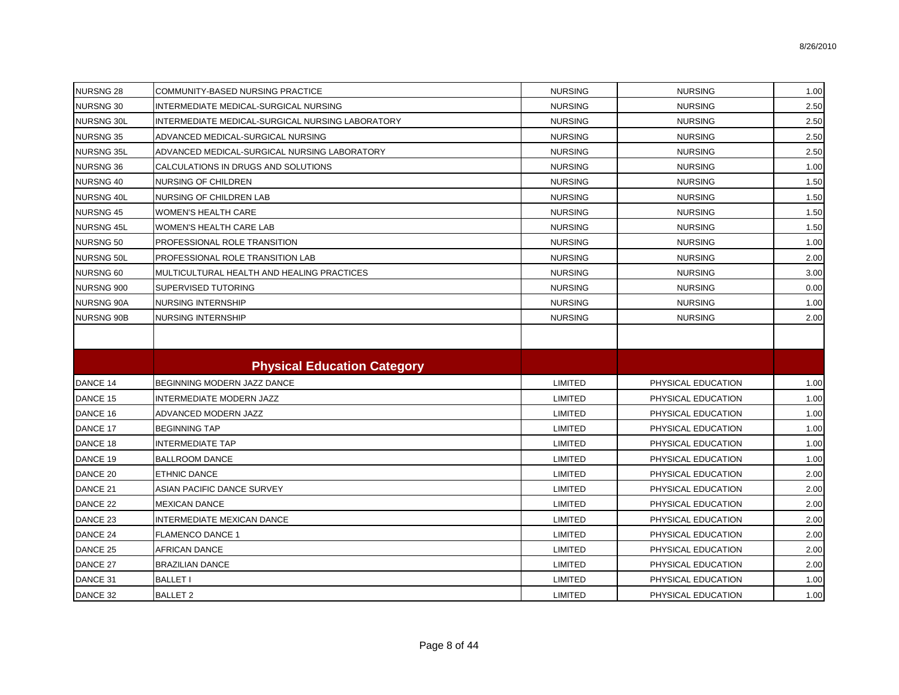| <b>NURSNG 28</b>  | COMMUNITY-BASED NURSING PRACTICE                 | <b>NURSING</b> | <b>NURSING</b>     | 1.00 |
|-------------------|--------------------------------------------------|----------------|--------------------|------|
| <b>NURSNG 30</b>  | INTERMEDIATE MEDICAL-SURGICAL NURSING            | <b>NURSING</b> | <b>NURSING</b>     | 2.50 |
| <b>NURSNG 30L</b> | INTERMEDIATE MEDICAL-SURGICAL NURSING LABORATORY | <b>NURSING</b> | <b>NURSING</b>     | 2.50 |
| <b>NURSNG 35</b>  | ADVANCED MEDICAL-SURGICAL NURSING                | <b>NURSING</b> | <b>NURSING</b>     | 2.50 |
| <b>NURSNG 35L</b> | ADVANCED MEDICAL-SURGICAL NURSING LABORATORY     | <b>NURSING</b> | <b>NURSING</b>     | 2.50 |
| <b>NURSNG 36</b>  | CALCULATIONS IN DRUGS AND SOLUTIONS              | <b>NURSING</b> | <b>NURSING</b>     | 1.00 |
| <b>NURSNG 40</b>  | <b>NURSING OF CHILDREN</b>                       | <b>NURSING</b> | <b>NURSING</b>     | 1.50 |
| NURSNG 40L        | NURSING OF CHILDREN LAB                          | <b>NURSING</b> | <b>NURSING</b>     | 1.50 |
| <b>NURSNG 45</b>  | <b>WOMEN'S HEALTH CARE</b>                       | <b>NURSING</b> | <b>NURSING</b>     | 1.50 |
| <b>NURSNG 45L</b> | WOMEN'S HEALTH CARE LAB                          | <b>NURSING</b> | <b>NURSING</b>     | 1.50 |
| <b>NURSNG 50</b>  | PROFESSIONAL ROLE TRANSITION                     | <b>NURSING</b> | <b>NURSING</b>     | 1.00 |
| <b>NURSNG 50L</b> | PROFESSIONAL ROLE TRANSITION LAB                 | <b>NURSING</b> | <b>NURSING</b>     | 2.00 |
| NURSNG 60         | MULTICULTURAL HEALTH AND HEALING PRACTICES       | <b>NURSING</b> | <b>NURSING</b>     | 3.00 |
| <b>NURSNG 900</b> | SUPERVISED TUTORING                              | <b>NURSING</b> | <b>NURSING</b>     | 0.00 |
| <b>NURSNG 90A</b> | NURSING INTERNSHIP                               | <b>NURSING</b> | <b>NURSING</b>     | 1.00 |
| <b>NURSNG 90B</b> | NURSING INTERNSHIP                               | <b>NURSING</b> | <b>NURSING</b>     | 2.00 |
|                   |                                                  |                |                    |      |
|                   |                                                  |                |                    |      |
|                   | <b>Physical Education Category</b>               |                |                    |      |
| DANCE 14          | BEGINNING MODERN JAZZ DANCE                      | <b>LIMITED</b> | PHYSICAL EDUCATION | 1.00 |
| DANCE 15          | INTERMEDIATE MODERN JAZZ                         | <b>LIMITED</b> | PHYSICAL EDUCATION | 1.00 |
| DANCE 16          | ADVANCED MODERN JAZZ                             | LIMITED        | PHYSICAL EDUCATION | 1.00 |
| DANCE 17          | <b>BEGINNING TAP</b>                             | <b>LIMITED</b> | PHYSICAL EDUCATION | 1.00 |
| DANCE 18          | <b>INTERMEDIATE TAP</b>                          | <b>LIMITED</b> | PHYSICAL EDUCATION | 1.00 |
| DANCE 19          | <b>BALLROOM DANCE</b>                            | LIMITED        | PHYSICAL EDUCATION | 1.00 |
| DANCE 20          | <b>ETHNIC DANCE</b>                              | LIMITED        | PHYSICAL EDUCATION | 2.00 |
| DANCE 21          | ASIAN PACIFIC DANCE SURVEY                       | <b>LIMITED</b> | PHYSICAL EDUCATION | 2.00 |
| DANCE 22          | <b>MEXICAN DANCE</b>                             | LIMITED        | PHYSICAL EDUCATION | 2.00 |
| DANCE 23          | INTERMEDIATE MEXICAN DANCE                       | LIMITED        | PHYSICAL EDUCATION | 2.00 |
| DANCE 24          | <b>FLAMENCO DANCE 1</b>                          | <b>LIMITED</b> | PHYSICAL EDUCATION | 2.00 |
| DANCE 25          | <b>AFRICAN DANCE</b>                             | <b>LIMITED</b> | PHYSICAL EDUCATION | 2.00 |
| DANCE 27          | <b>BRAZILIAN DANCE</b>                           | LIMITED        | PHYSICAL EDUCATION | 2.00 |
| DANCE 31          | <b>BALLET I</b>                                  | <b>LIMITED</b> | PHYSICAL EDUCATION | 1.00 |
| DANCE 32          | <b>BALLET 2</b>                                  | <b>LIMITED</b> | PHYSICAL EDUCATION | 1.00 |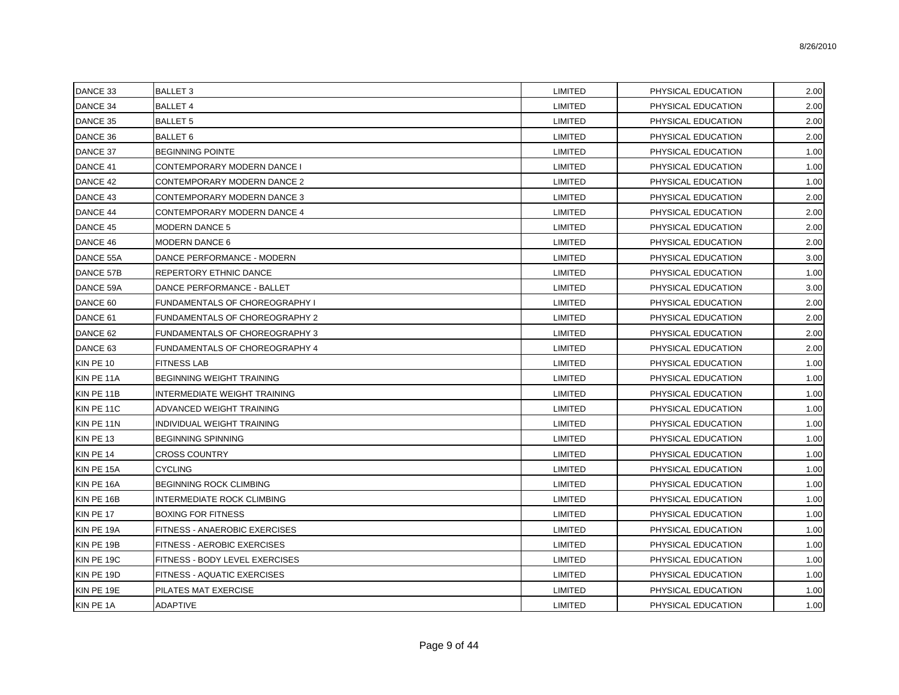8/26/2010

| DANCE 33   | <b>BALLET 3</b>                       | LIMITED        | PHYSICAL EDUCATION | 2.00 |
|------------|---------------------------------------|----------------|--------------------|------|
| DANCE 34   | <b>BALLET 4</b>                       | LIMITED        | PHYSICAL EDUCATION | 2.00 |
| DANCE 35   | <b>BALLET 5</b>                       | LIMITED        | PHYSICAL EDUCATION | 2.00 |
| DANCE 36   | <b>BALLET 6</b>                       | <b>LIMITED</b> | PHYSICAL EDUCATION | 2.00 |
| DANCE 37   | <b>BEGINNING POINTE</b>               | LIMITED        | PHYSICAL EDUCATION | 1.00 |
| DANCE 41   | CONTEMPORARY MODERN DANCE I           | LIMITED        | PHYSICAL EDUCATION | 1.00 |
| DANCE 42   | CONTEMPORARY MODERN DANCE 2           | LIMITED        | PHYSICAL EDUCATION | 1.00 |
| DANCE 43   | CONTEMPORARY MODERN DANCE 3           | <b>LIMITED</b> | PHYSICAL EDUCATION | 2.00 |
| DANCE 44   | CONTEMPORARY MODERN DANCE 4           | <b>LIMITED</b> | PHYSICAL EDUCATION | 2.00 |
| DANCE 45   | <b>MODERN DANCE 5</b>                 | LIMITED        | PHYSICAL EDUCATION | 2.00 |
| DANCE 46   | <b>MODERN DANCE 6</b>                 | LIMITED        | PHYSICAL EDUCATION | 2.00 |
| DANCE 55A  | DANCE PERFORMANCE - MODERN            | LIMITED        | PHYSICAL EDUCATION | 3.00 |
| DANCE 57B  | REPERTORY ETHNIC DANCE                | LIMITED        | PHYSICAL EDUCATION | 1.00 |
| DANCE 59A  | DANCE PERFORMANCE - BALLET            | LIMITED        | PHYSICAL EDUCATION | 3.00 |
| DANCE 60   | FUNDAMENTALS OF CHOREOGRAPHY I        | LIMITED        | PHYSICAL EDUCATION | 2.00 |
| DANCE 61   | <b>FUNDAMENTALS OF CHOREOGRAPHY 2</b> | LIMITED        | PHYSICAL EDUCATION | 2.00 |
| DANCE 62   | FUNDAMENTALS OF CHOREOGRAPHY 3        | LIMITED        | PHYSICAL EDUCATION | 2.00 |
| DANCE 63   | FUNDAMENTALS OF CHOREOGRAPHY 4        | LIMITED        | PHYSICAL EDUCATION | 2.00 |
| KIN PE 10  | <b>FITNESS LAB</b>                    | LIMITED        | PHYSICAL EDUCATION | 1.00 |
| KIN PE 11A | <b>BEGINNING WEIGHT TRAINING</b>      | LIMITED        | PHYSICAL EDUCATION | 1.00 |
| KIN PE 11B | INTERMEDIATE WEIGHT TRAINING          | <b>LIMITED</b> | PHYSICAL EDUCATION | 1.00 |
| KIN PE 11C | ADVANCED WEIGHT TRAINING              | <b>LIMITED</b> | PHYSICAL EDUCATION | 1.00 |
| KIN PE 11N | INDIVIDUAL WEIGHT TRAINING            | LIMITED        | PHYSICAL EDUCATION | 1.00 |
| KIN PE 13  | <b>BEGINNING SPINNING</b>             | LIMITED        | PHYSICAL EDUCATION | 1.00 |
| KIN PE 14  | <b>CROSS COUNTRY</b>                  | LIMITED        | PHYSICAL EDUCATION | 1.00 |
| KIN PE 15A | <b>CYCLING</b>                        | LIMITED        | PHYSICAL EDUCATION | 1.00 |
| KIN PE 16A | <b>BEGINNING ROCK CLIMBING</b>        | LIMITED        | PHYSICAL EDUCATION | 1.00 |
| KIN PE 16B | <b>INTERMEDIATE ROCK CLIMBING</b>     | LIMITED        | PHYSICAL EDUCATION | 1.00 |
| KIN PE 17  | <b>BOXING FOR FITNESS</b>             | LIMITED        | PHYSICAL EDUCATION | 1.00 |
| KIN PE 19A | FITNESS - ANAEROBIC EXERCISES         | LIMITED        | PHYSICAL EDUCATION | 1.00 |
| KIN PE 19B | FITNESS - AEROBIC EXERCISES           | LIMITED        | PHYSICAL EDUCATION | 1.00 |
| KIN PE 19C | FITNESS - BODY LEVEL EXERCISES        | LIMITED        | PHYSICAL EDUCATION | 1.00 |
| KIN PE 19D | FITNESS - AQUATIC EXERCISES           | LIMITED        | PHYSICAL EDUCATION | 1.00 |
| KIN PE 19E | PILATES MAT EXERCISE                  | LIMITED        | PHYSICAL EDUCATION | 1.00 |
| KIN PE 1A  | ADAPTIVE                              | LIMITED        | PHYSICAL EDUCATION | 1.00 |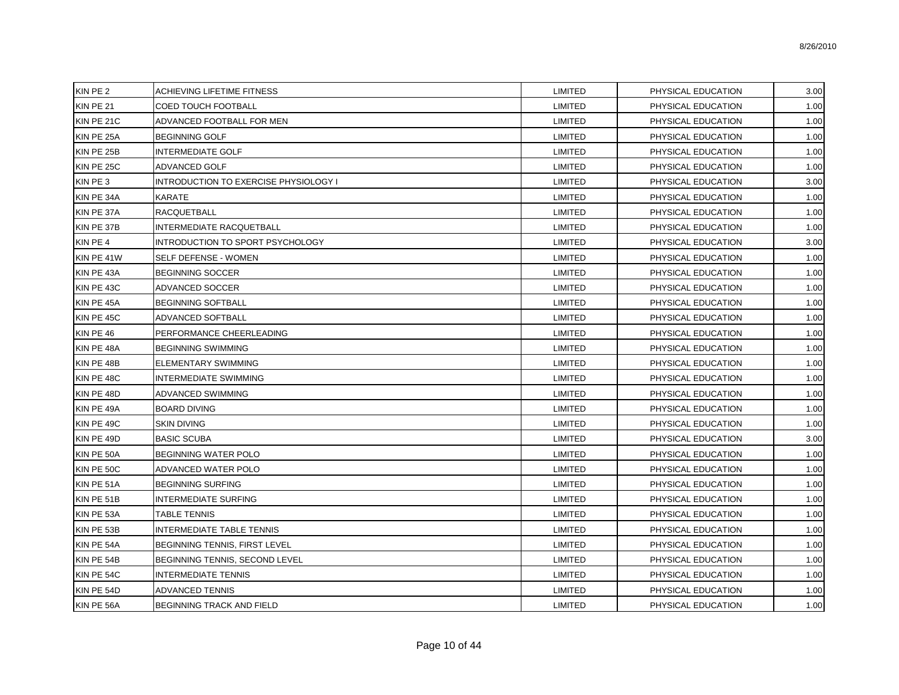| KIN PE 2   | <b>ACHIEVING LIFETIME FITNESS</b>     | LIMITED        | PHYSICAL EDUCATION | 3.00 |
|------------|---------------------------------------|----------------|--------------------|------|
| KIN PE 21  | <b>COED TOUCH FOOTBALL</b>            | LIMITED        | PHYSICAL EDUCATION | 1.00 |
| KIN PE 21C | ADVANCED FOOTBALL FOR MEN             | LIMITED        | PHYSICAL EDUCATION | 1.00 |
| KIN PE 25A | <b>BEGINNING GOLF</b>                 | <b>LIMITED</b> | PHYSICAL EDUCATION | 1.00 |
| KIN PE 25B | <b>INTERMEDIATE GOLF</b>              | LIMITED        | PHYSICAL EDUCATION | 1.00 |
| KIN PE 25C | ADVANCED GOLF                         | <b>LIMITED</b> | PHYSICAL EDUCATION | 1.00 |
| KIN PE 3   | INTRODUCTION TO EXERCISE PHYSIOLOGY I | <b>LIMITED</b> | PHYSICAL EDUCATION | 3.00 |
| KIN PE 34A | <b>KARATE</b>                         | <b>LIMITED</b> | PHYSICAL EDUCATION | 1.00 |
| KIN PE 37A | <b>RACQUETBALL</b>                    | <b>LIMITED</b> | PHYSICAL EDUCATION | 1.00 |
| KIN PE 37B | <b>INTERMEDIATE RACQUETBALL</b>       | <b>LIMITED</b> | PHYSICAL EDUCATION | 1.00 |
| KIN PE 4   | INTRODUCTION TO SPORT PSYCHOLOGY      | LIMITED        | PHYSICAL EDUCATION | 3.00 |
| KIN PE 41W | SELF DEFENSE - WOMEN                  | LIMITED        | PHYSICAL EDUCATION | 1.00 |
| KIN PE 43A | <b>BEGINNING SOCCER</b>               | LIMITED        | PHYSICAL EDUCATION | 1.00 |
| KIN PE 43C | ADVANCED SOCCER                       | <b>LIMITED</b> | PHYSICAL EDUCATION | 1.00 |
| KIN PE 45A | BEGINNING SOFTBALL                    | <b>LIMITED</b> | PHYSICAL EDUCATION | 1.00 |
| KIN PE 45C | ADVANCED SOFTBALL                     | <b>LIMITED</b> | PHYSICAL EDUCATION | 1.00 |
| KIN PE 46  | PERFORMANCE CHEERLEADING              | LIMITED        | PHYSICAL EDUCATION | 1.00 |
| KIN PE 48A | <b>BEGINNING SWIMMING</b>             | LIMITED        | PHYSICAL EDUCATION | 1.00 |
| KIN PE 48B | ELEMENTARY SWIMMING                   | LIMITED        | PHYSICAL EDUCATION | 1.00 |
| KIN PE 48C | <b>INTERMEDIATE SWIMMING</b>          | LIMITED        | PHYSICAL EDUCATION | 1.00 |
| KIN PE 48D | ADVANCED SWIMMING                     | LIMITED        | PHYSICAL EDUCATION | 1.00 |
| KIN PE 49A | <b>BOARD DIVING</b>                   | <b>LIMITED</b> | PHYSICAL EDUCATION | 1.00 |
| KIN PE 49C | <b>SKIN DIVING</b>                    | <b>LIMITED</b> | PHYSICAL EDUCATION | 1.00 |
| KIN PE 49D | <b>BASIC SCUBA</b>                    | LIMITED        | PHYSICAL EDUCATION | 3.00 |
| KIN PE 50A | <b>BEGINNING WATER POLO</b>           | LIMITED        | PHYSICAL EDUCATION | 1.00 |
| KIN PE 50C | ADVANCED WATER POLO                   | LIMITED        | PHYSICAL EDUCATION | 1.00 |
| KIN PE 51A | <b>BEGINNING SURFING</b>              | LIMITED        | PHYSICAL EDUCATION | 1.00 |
| KIN PE 51B | <b>INTERMEDIATE SURFING</b>           | LIMITED        | PHYSICAL EDUCATION | 1.00 |
| KIN PE 53A | TABLE TENNIS                          | <b>LIMITED</b> | PHYSICAL EDUCATION | 1.00 |
| KIN PE 53B | <b>INTERMEDIATE TABLE TENNIS</b>      | <b>LIMITED</b> | PHYSICAL EDUCATION | 1.00 |
| KIN PE 54A | BEGINNING TENNIS, FIRST LEVEL         | LIMITED        | PHYSICAL EDUCATION | 1.00 |
| KIN PE 54B | BEGINNING TENNIS, SECOND LEVEL        | LIMITED        | PHYSICAL EDUCATION | 1.00 |
| KIN PE 54C | <b>INTERMEDIATE TENNIS</b>            | LIMITED        | PHYSICAL EDUCATION | 1.00 |
| KIN PE 54D | ADVANCED TENNIS                       | <b>LIMITED</b> | PHYSICAL EDUCATION | 1.00 |
| KIN PE 56A | <b>BEGINNING TRACK AND FIELD</b>      | <b>LIMITED</b> | PHYSICAL EDUCATION | 1.00 |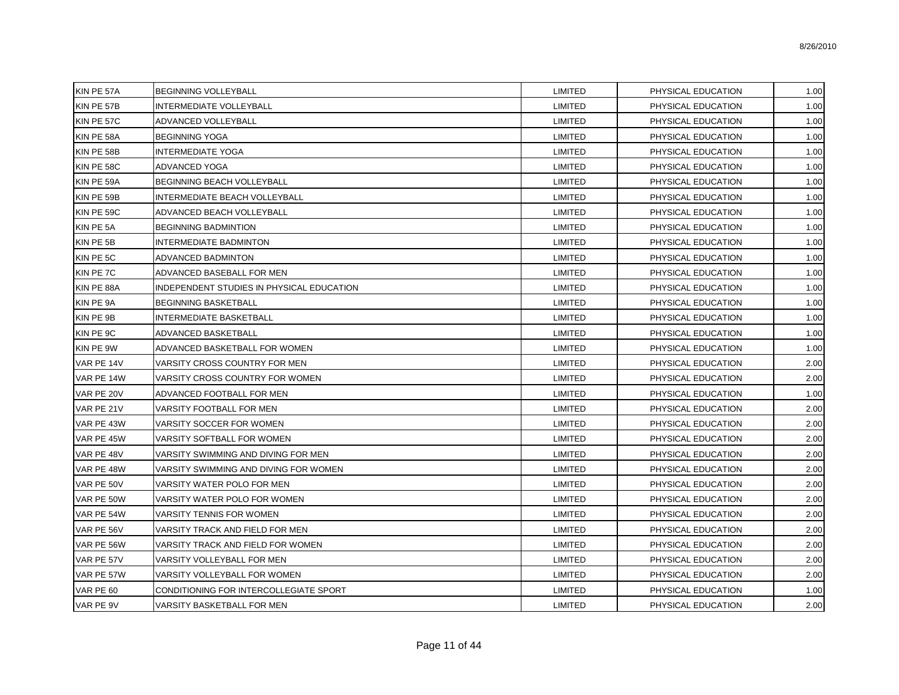| KIN PE 57A | <b>BEGINNING VOLLEYBALL</b>               | LIMITED        | PHYSICAL EDUCATION | 1.00 |
|------------|-------------------------------------------|----------------|--------------------|------|
| KIN PE 57B | <b>INTERMEDIATE VOLLEYBALL</b>            | <b>LIMITED</b> | PHYSICAL EDUCATION | 1.00 |
| KIN PE 57C | ADVANCED VOLLEYBALL                       | LIMITED        | PHYSICAL EDUCATION | 1.00 |
| KIN PE 58A | <b>BEGINNING YOGA</b>                     | LIMITED        | PHYSICAL EDUCATION | 1.00 |
| KIN PE 58B | <b>INTERMEDIATE YOGA</b>                  | <b>LIMITED</b> | PHYSICAL EDUCATION | 1.00 |
| KIN PE 58C | ADVANCED YOGA                             | LIMITED        | PHYSICAL EDUCATION | 1.00 |
| KIN PE 59A | BEGINNING BEACH VOLLEYBALL                | LIMITED        | PHYSICAL EDUCATION | 1.00 |
| KIN PE 59B | INTERMEDIATE BEACH VOLLEYBALL             | LIMITED        | PHYSICAL EDUCATION | 1.00 |
| KIN PE 59C | ADVANCED BEACH VOLLEYBALL                 | <b>LIMITED</b> | PHYSICAL EDUCATION | 1.00 |
| KIN PE 5A  | <b>BEGINNING BADMINTION</b>               | <b>LIMITED</b> | PHYSICAL EDUCATION | 1.00 |
| KIN PE 5B  | <b>INTERMEDIATE BADMINTON</b>             | LIMITED        | PHYSICAL EDUCATION | 1.00 |
| KIN PE 5C  | <b>ADVANCED BADMINTON</b>                 | <b>LIMITED</b> | PHYSICAL EDUCATION | 1.00 |
| KIN PE 7C  | ADVANCED BASEBALL FOR MEN                 | <b>LIMITED</b> | PHYSICAL EDUCATION | 1.00 |
| KIN PE 88A | INDEPENDENT STUDIES IN PHYSICAL EDUCATION | LIMITED        | PHYSICAL EDUCATION | 1.00 |
| KIN PE 9A  | <b>BEGINNING BASKETBALL</b>               | LIMITED        | PHYSICAL EDUCATION | 1.00 |
| KIN PE 9B  | <b>INTERMEDIATE BASKETBALL</b>            | LIMITED        | PHYSICAL EDUCATION | 1.00 |
| KIN PE 9C  | ADVANCED BASKETBALL                       | <b>LIMITED</b> | PHYSICAL EDUCATION | 1.00 |
| KIN PE 9W  | ADVANCED BASKETBALL FOR WOMEN             | LIMITED        | PHYSICAL EDUCATION | 1.00 |
| VAR PE 14V | VARSITY CROSS COUNTRY FOR MEN             | LIMITED        | PHYSICAL EDUCATION | 2.00 |
| VAR PE 14W | VARSITY CROSS COUNTRY FOR WOMEN           | LIMITED        | PHYSICAL EDUCATION | 2.00 |
| VAR PE 20V | ADVANCED FOOTBALL FOR MEN                 | LIMITED        | PHYSICAL EDUCATION | 1.00 |
| VAR PE 21V | VARSITY FOOTBALL FOR MEN                  | <b>LIMITED</b> | PHYSICAL EDUCATION | 2.00 |
| VAR PE 43W | VARSITY SOCCER FOR WOMEN                  | LIMITED        | PHYSICAL EDUCATION | 2.00 |
| VAR PE 45W | VARSITY SOFTBALL FOR WOMEN                | <b>LIMITED</b> | PHYSICAL EDUCATION | 2.00 |
| VAR PE 48V | VARSITY SWIMMING AND DIVING FOR MEN       | LIMITED        | PHYSICAL EDUCATION | 2.00 |
| VAR PE 48W | VARSITY SWIMMING AND DIVING FOR WOMEN     | LIMITED        | PHYSICAL EDUCATION | 2.00 |
| VAR PE 50V | VARSITY WATER POLO FOR MEN                | LIMITED        | PHYSICAL EDUCATION | 2.00 |
| VAR PE 50W | VARSITY WATER POLO FOR WOMEN              | <b>LIMITED</b> | PHYSICAL EDUCATION | 2.00 |
| VAR PE 54W | VARSITY TENNIS FOR WOMEN                  | LIMITED        | PHYSICAL EDUCATION | 2.00 |
| VAR PE 56V | VARSITY TRACK AND FIELD FOR MEN           | LIMITED        | PHYSICAL EDUCATION | 2.00 |
| VAR PE 56W | VARSITY TRACK AND FIELD FOR WOMEN         | LIMITED        | PHYSICAL EDUCATION | 2.00 |
| VAR PE 57V | VARSITY VOLLEYBALL FOR MEN                | LIMITED        | PHYSICAL EDUCATION | 2.00 |
| VAR PE 57W | VARSITY VOLLEYBALL FOR WOMEN              | LIMITED        | PHYSICAL EDUCATION | 2.00 |
| VAR PE 60  | CONDITIONING FOR INTERCOLLEGIATE SPORT    | LIMITED        | PHYSICAL EDUCATION | 1.00 |
| VAR PE 9V  | VARSITY BASKETBALL FOR MEN                | LIMITED        | PHYSICAL EDUCATION | 2.00 |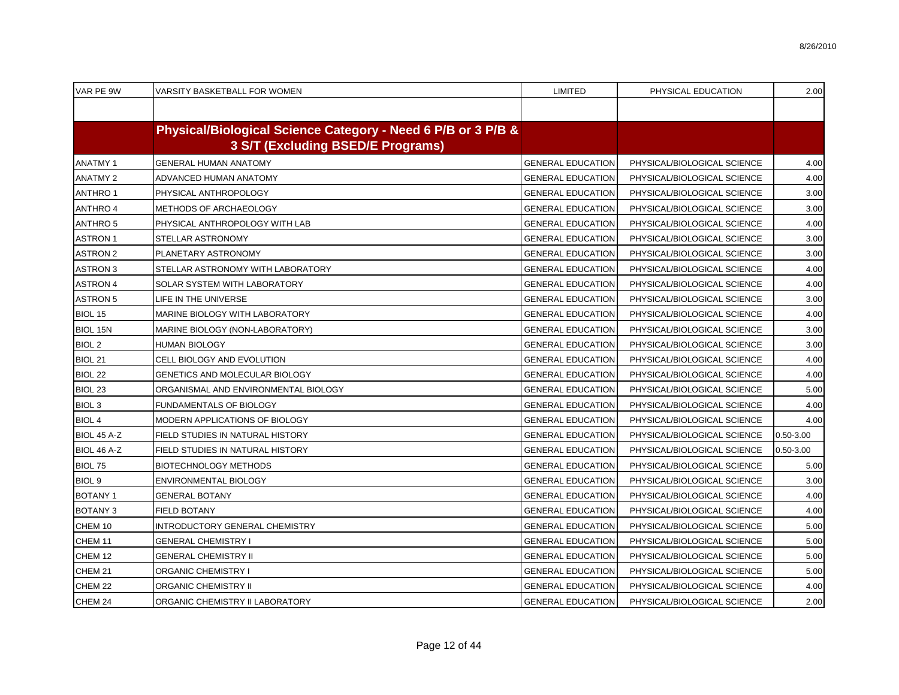| VAR PE 9W          | VARSITY BASKETBALL FOR WOMEN                                                                      | <b>LIMITED</b>           | PHYSICAL EDUCATION          | 2.00          |
|--------------------|---------------------------------------------------------------------------------------------------|--------------------------|-----------------------------|---------------|
|                    |                                                                                                   |                          |                             |               |
|                    | Physical/Biological Science Category - Need 6 P/B or 3 P/B &<br>3 S/T (Excluding BSED/E Programs) |                          |                             |               |
| <b>ANATMY1</b>     | <b>GENERAL HUMAN ANATOMY</b>                                                                      | <b>GENERAL EDUCATION</b> | PHYSICAL/BIOLOGICAL SCIENCE | 4.00          |
| <b>ANATMY 2</b>    | ADVANCED HUMAN ANATOMY                                                                            | <b>GENERAL EDUCATION</b> | PHYSICAL/BIOLOGICAL SCIENCE | 4.00          |
| <b>ANTHRO1</b>     | PHYSICAL ANTHROPOLOGY                                                                             | <b>GENERAL EDUCATION</b> | PHYSICAL/BIOLOGICAL SCIENCE | 3.00          |
| <b>ANTHRO 4</b>    | METHODS OF ARCHAEOLOGY                                                                            | <b>GENERAL EDUCATION</b> | PHYSICAL/BIOLOGICAL SCIENCE | 3.00          |
| <b>ANTHRO 5</b>    | PHYSICAL ANTHROPOLOGY WITH LAB                                                                    | <b>GENERAL EDUCATION</b> | PHYSICAL/BIOLOGICAL SCIENCE | 4.00          |
| <b>ASTRON1</b>     | STELLAR ASTRONOMY                                                                                 | <b>GENERAL EDUCATION</b> | PHYSICAL/BIOLOGICAL SCIENCE | 3.00          |
| <b>ASTRON 2</b>    | PLANETARY ASTRONOMY                                                                               | <b>GENERAL EDUCATION</b> | PHYSICAL/BIOLOGICAL SCIENCE | 3.00          |
| <b>ASTRON 3</b>    | STELLAR ASTRONOMY WITH LABORATORY                                                                 | <b>GENERAL EDUCATION</b> | PHYSICAL/BIOLOGICAL SCIENCE | 4.00          |
| <b>ASTRON 4</b>    | SOLAR SYSTEM WITH LABORATORY                                                                      | <b>GENERAL EDUCATION</b> | PHYSICAL/BIOLOGICAL SCIENCE | 4.00          |
| <b>ASTRON 5</b>    | LIFE IN THE UNIVERSE                                                                              | <b>GENERAL EDUCATION</b> | PHYSICAL/BIOLOGICAL SCIENCE | 3.00          |
| BIOL 15            | MARINE BIOLOGY WITH LABORATORY                                                                    | <b>GENERAL EDUCATION</b> | PHYSICAL/BIOLOGICAL SCIENCE | 4.00          |
| BIOL 15N           | MARINE BIOLOGY (NON-LABORATORY)                                                                   | <b>GENERAL EDUCATION</b> | PHYSICAL/BIOLOGICAL SCIENCE | 3.00          |
| <b>BIOL 2</b>      | HUMAN BIOLOGY                                                                                     | <b>GENERAL EDUCATION</b> | PHYSICAL/BIOLOGICAL SCIENCE | 3.00          |
| BIOL 21            | CELL BIOLOGY AND EVOLUTION                                                                        | <b>GENERAL EDUCATION</b> | PHYSICAL/BIOLOGICAL SCIENCE | 4.00          |
| BIOL 22            | GENETICS AND MOLECULAR BIOLOGY                                                                    | <b>GENERAL EDUCATION</b> | PHYSICAL/BIOLOGICAL SCIENCE | 4.00          |
| BIOL <sub>23</sub> | ORGANISMAL AND ENVIRONMENTAL BIOLOGY                                                              | <b>GENERAL EDUCATION</b> | PHYSICAL/BIOLOGICAL SCIENCE | 5.00          |
| BIOL <sub>3</sub>  | FUNDAMENTALS OF BIOLOGY                                                                           | <b>GENERAL EDUCATION</b> | PHYSICAL/BIOLOGICAL SCIENCE | 4.00          |
| <b>BIOL 4</b>      | MODERN APPLICATIONS OF BIOLOGY                                                                    | <b>GENERAL EDUCATION</b> | PHYSICAL/BIOLOGICAL SCIENCE | 4.00          |
| BIOL 45 A-Z        | FIELD STUDIES IN NATURAL HISTORY                                                                  | <b>GENERAL EDUCATION</b> | PHYSICAL/BIOLOGICAL SCIENCE | $0.50 - 3.00$ |
| BIOL 46 A-Z        | FIELD STUDIES IN NATURAL HISTORY                                                                  | <b>GENERAL EDUCATION</b> | PHYSICAL/BIOLOGICAL SCIENCE | $0.50 - 3.00$ |
| <b>BIOL 75</b>     | <b>BIOTECHNOLOGY METHODS</b>                                                                      | <b>GENERAL EDUCATION</b> | PHYSICAL/BIOLOGICAL SCIENCE | 5.00          |
| BIOL <sub>9</sub>  | ENVIRONMENTAL BIOLOGY                                                                             | <b>GENERAL EDUCATION</b> | PHYSICAL/BIOLOGICAL SCIENCE | 3.00          |
| <b>BOTANY1</b>     | <b>GENERAL BOTANY</b>                                                                             | <b>GENERAL EDUCATION</b> | PHYSICAL/BIOLOGICAL SCIENCE | 4.00          |
| <b>BOTANY 3</b>    | <b>FIELD BOTANY</b>                                                                               | <b>GENERAL EDUCATION</b> | PHYSICAL/BIOLOGICAL SCIENCE | 4.00          |
| CHEM 10            | INTRODUCTORY GENERAL CHEMISTRY                                                                    | <b>GENERAL EDUCATION</b> | PHYSICAL/BIOLOGICAL SCIENCE | 5.00          |
| CHEM 11            | <b>GENERAL CHEMISTRY I</b>                                                                        | <b>GENERAL EDUCATION</b> | PHYSICAL/BIOLOGICAL SCIENCE | 5.00          |
| CHEM 12            | <b>GENERAL CHEMISTRY II</b>                                                                       | <b>GENERAL EDUCATION</b> | PHYSICAL/BIOLOGICAL SCIENCE | 5.00          |
| CHEM 21            | <b>ORGANIC CHEMISTRY I</b>                                                                        | <b>GENERAL EDUCATION</b> | PHYSICAL/BIOLOGICAL SCIENCE | 5.00          |
| CHEM 22            | <b>ORGANIC CHEMISTRY II</b>                                                                       | <b>GENERAL EDUCATION</b> | PHYSICAL/BIOLOGICAL SCIENCE | 4.00          |
| CHEM 24            | ORGANIC CHEMISTRY II LABORATORY                                                                   | <b>GENERAL EDUCATION</b> | PHYSICAL/BIOLOGICAL SCIENCE | 2.00          |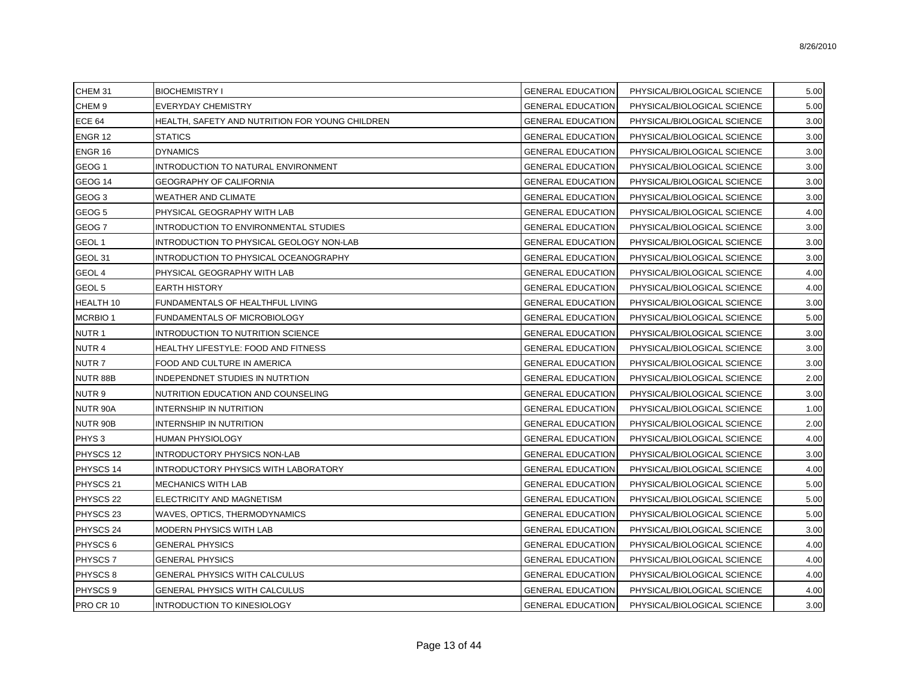| CHEM 31              | <b>BIOCHEMISTRY I</b>                           | <b>GENERAL EDUCATION</b> | PHYSICAL/BIOLOGICAL SCIENCE | 5.00 |
|----------------------|-------------------------------------------------|--------------------------|-----------------------------|------|
| CHEM <sub>9</sub>    | <b>EVERYDAY CHEMISTRY</b>                       | <b>GENERAL EDUCATION</b> | PHYSICAL/BIOLOGICAL SCIENCE | 5.00 |
| <b>ECE 64</b>        | HEALTH, SAFETY AND NUTRITION FOR YOUNG CHILDREN | <b>GENERAL EDUCATION</b> | PHYSICAL/BIOLOGICAL SCIENCE | 3.00 |
| ENGR 12              | <b>STATICS</b>                                  | GENERAL EDUCATION        | PHYSICAL/BIOLOGICAL SCIENCE | 3.00 |
| ENGR 16              | <b>DYNAMICS</b>                                 | <b>GENERAL EDUCATION</b> | PHYSICAL/BIOLOGICAL SCIENCE | 3.00 |
| GEOG <sub>1</sub>    | INTRODUCTION TO NATURAL ENVIRONMENT             | <b>GENERAL EDUCATION</b> | PHYSICAL/BIOLOGICAL SCIENCE | 3.00 |
| GEOG <sub>14</sub>   | <b>GEOGRAPHY OF CALIFORNIA</b>                  | <b>GENERAL EDUCATION</b> | PHYSICAL/BIOLOGICAL SCIENCE | 3.00 |
| GEOG <sub>3</sub>    | WEATHER AND CLIMATE                             | <b>GENERAL EDUCATION</b> | PHYSICAL/BIOLOGICAL SCIENCE | 3.00 |
| GEOG <sub>5</sub>    | PHYSICAL GEOGRAPHY WITH LAB                     | <b>GENERAL EDUCATION</b> | PHYSICAL/BIOLOGICAL SCIENCE | 4.00 |
| GEOG <sub>7</sub>    | INTRODUCTION TO ENVIRONMENTAL STUDIES           | <b>GENERAL EDUCATION</b> | PHYSICAL/BIOLOGICAL SCIENCE | 3.00 |
| GEOL 1               | INTRODUCTION TO PHYSICAL GEOLOGY NON-LAB        | <b>GENERAL EDUCATION</b> | PHYSICAL/BIOLOGICAL SCIENCE | 3.00 |
| GEOL 31              | INTRODUCTION TO PHYSICAL OCEANOGRAPHY           | <b>GENERAL EDUCATION</b> | PHYSICAL/BIOLOGICAL SCIENCE | 3.00 |
| GEOL 4               | PHYSICAL GEOGRAPHY WITH LAB                     | <b>GENERAL EDUCATION</b> | PHYSICAL/BIOLOGICAL SCIENCE | 4.00 |
| GEOL 5               | <b>EARTH HISTORY</b>                            | <b>GENERAL EDUCATION</b> | PHYSICAL/BIOLOGICAL SCIENCE | 4.00 |
| HEALTH <sub>10</sub> | FUNDAMENTALS OF HEALTHFUL LIVING                | <b>GENERAL EDUCATION</b> | PHYSICAL/BIOLOGICAL SCIENCE | 3.00 |
| <b>MCRBIO1</b>       | FUNDAMENTALS OF MICROBIOLOGY                    | <b>GENERAL EDUCATION</b> | PHYSICAL/BIOLOGICAL SCIENCE | 5.00 |
| NUTR 1               | INTRODUCTION TO NUTRITION SCIENCE               | <b>GENERAL EDUCATION</b> | PHYSICAL/BIOLOGICAL SCIENCE | 3.00 |
| NUTR 4               | HEALTHY LIFESTYLE: FOOD AND FITNESS             | GENERAL EDUCATION        | PHYSICAL/BIOLOGICAL SCIENCE | 3.00 |
| NUTR 7               | FOOD AND CULTURE IN AMERICA                     | <b>GENERAL EDUCATION</b> | PHYSICAL/BIOLOGICAL SCIENCE | 3.00 |
| NUTR 88B             | INDEPENDNET STUDIES IN NUTRTION                 | <b>GENERAL EDUCATION</b> | PHYSICAL/BIOLOGICAL SCIENCE | 2.00 |
| NUTR 9               | NUTRITION EDUCATION AND COUNSELING              | <b>GENERAL EDUCATION</b> | PHYSICAL/BIOLOGICAL SCIENCE | 3.00 |
| NUTR 90A             | <b>INTERNSHIP IN NUTRITION</b>                  | <b>GENERAL EDUCATION</b> | PHYSICAL/BIOLOGICAL SCIENCE | 1.00 |
| NUTR 90B             | <b>INTERNSHIP IN NUTRITION</b>                  | GENERAL EDUCATION        | PHYSICAL/BIOLOGICAL SCIENCE | 2.00 |
| PHYS <sub>3</sub>    | <b>HUMAN PHYSIOLOGY</b>                         | <b>GENERAL EDUCATION</b> | PHYSICAL/BIOLOGICAL SCIENCE | 4.00 |
| PHYSCS 12            | <b>INTRODUCTORY PHYSICS NON-LAB</b>             | <b>GENERAL EDUCATION</b> | PHYSICAL/BIOLOGICAL SCIENCE | 3.00 |
| PHYSCS 14            | <b>INTRODUCTORY PHYSICS WITH LABORATORY</b>     | <b>GENERAL EDUCATION</b> | PHYSICAL/BIOLOGICAL SCIENCE | 4.00 |
| PHYSCS 21            | <b>MECHANICS WITH LAB</b>                       | <b>GENERAL EDUCATION</b> | PHYSICAL/BIOLOGICAL SCIENCE | 5.00 |
| PHYSCS 22            | ELECTRICITY AND MAGNETISM                       | <b>GENERAL EDUCATION</b> | PHYSICAL/BIOLOGICAL SCIENCE | 5.00 |
| PHYSCS <sub>23</sub> | WAVES, OPTICS, THERMODYNAMICS                   | <b>GENERAL EDUCATION</b> | PHYSICAL/BIOLOGICAL SCIENCE | 5.00 |
| PHYSCS 24            | MODERN PHYSICS WITH LAB                         | <b>GENERAL EDUCATION</b> | PHYSICAL/BIOLOGICAL SCIENCE | 3.00 |
| PHYSCS 6             | <b>GENERAL PHYSICS</b>                          | <b>GENERAL EDUCATION</b> | PHYSICAL/BIOLOGICAL SCIENCE | 4.00 |
| PHYSCS <sub>7</sub>  | <b>GENERAL PHYSICS</b>                          | <b>GENERAL EDUCATION</b> | PHYSICAL/BIOLOGICAL SCIENCE | 4.00 |
| PHYSCS <sub>8</sub>  | GENERAL PHYSICS WITH CALCULUS                   | <b>GENERAL EDUCATION</b> | PHYSICAL/BIOLOGICAL SCIENCE | 4.00 |
| PHYSCS 9             | <b>GENERAL PHYSICS WITH CALCULUS</b>            | GENERAL EDUCATION        | PHYSICAL/BIOLOGICAL SCIENCE | 4.00 |
| PRO CR 10            | <b>INTRODUCTION TO KINESIOLOGY</b>              | <b>GENERAL EDUCATION</b> | PHYSICAL/BIOLOGICAL SCIENCE | 3.00 |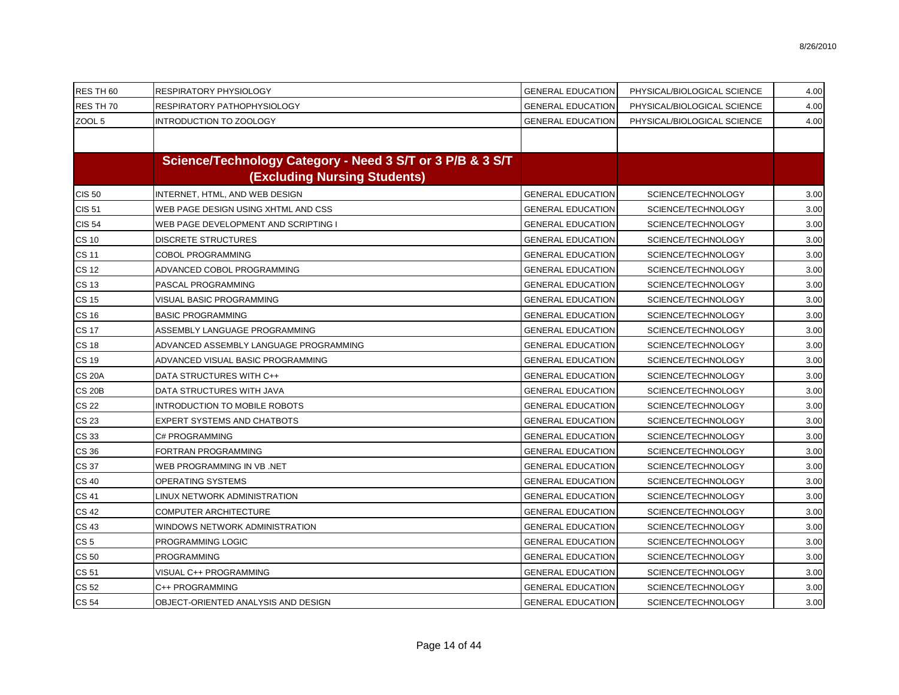| RES TH 60       | RESPIRATORY PHYSIOLOGY                                    | <b>GENERAL EDUCATION</b> | PHYSICAL/BIOLOGICAL SCIENCE | 4.00 |
|-----------------|-----------------------------------------------------------|--------------------------|-----------------------------|------|
| RES TH 70       | RESPIRATORY PATHOPHYSIOLOGY                               | <b>GENERAL EDUCATION</b> | PHYSICAL/BIOLOGICAL SCIENCE | 4.00 |
| ZOOL 5          | INTRODUCTION TO ZOOLOGY                                   | <b>GENERAL EDUCATION</b> | PHYSICAL/BIOLOGICAL SCIENCE | 4.00 |
|                 |                                                           |                          |                             |      |
|                 | Science/Technology Category - Need 3 S/T or 3 P/B & 3 S/T |                          |                             |      |
|                 | <b>(Excluding Nursing Students)</b>                       |                          |                             |      |
| <b>CIS 50</b>   | INTERNET, HTML, AND WEB DESIGN                            | <b>GENERAL EDUCATION</b> | SCIENCE/TECHNOLOGY          | 3.00 |
| <b>CIS 51</b>   | WEB PAGE DESIGN USING XHTML AND CSS                       | <b>GENERAL EDUCATION</b> | SCIENCE/TECHNOLOGY          | 3.00 |
| <b>CIS 54</b>   | WEB PAGE DEVELOPMENT AND SCRIPTING I                      | <b>GENERAL EDUCATION</b> | SCIENCE/TECHNOLOGY          | 3.00 |
| <b>CS 10</b>    | <b>DISCRETE STRUCTURES</b>                                | <b>GENERAL EDUCATION</b> | SCIENCE/TECHNOLOGY          | 3.00 |
| <b>CS 11</b>    | <b>COBOL PROGRAMMING</b>                                  | <b>GENERAL EDUCATION</b> | SCIENCE/TECHNOLOGY          | 3.00 |
| <b>CS 12</b>    | ADVANCED COBOL PROGRAMMING                                | <b>GENERAL EDUCATION</b> | SCIENCE/TECHNOLOGY          | 3.00 |
| CS 13           | PASCAL PROGRAMMING                                        | <b>GENERAL EDUCATION</b> | SCIENCE/TECHNOLOGY          | 3.00 |
| <b>CS 15</b>    | VISUAL BASIC PROGRAMMING                                  | <b>GENERAL EDUCATION</b> | SCIENCE/TECHNOLOGY          | 3.00 |
| <b>CS 16</b>    | <b>BASIC PROGRAMMING</b>                                  | <b>GENERAL EDUCATION</b> | SCIENCE/TECHNOLOGY          | 3.00 |
| <b>CS 17</b>    | ASSEMBLY LANGUAGE PROGRAMMING                             | <b>GENERAL EDUCATION</b> | SCIENCE/TECHNOLOGY          | 3.00 |
| <b>CS 18</b>    | ADVANCED ASSEMBLY LANGUAGE PROGRAMMING                    | <b>GENERAL EDUCATION</b> | SCIENCE/TECHNOLOGY          | 3.00 |
| <b>CS 19</b>    | ADVANCED VISUAL BASIC PROGRAMMING                         | <b>GENERAL EDUCATION</b> | SCIENCE/TECHNOLOGY          | 3.00 |
| <b>CS 20A</b>   | DATA STRUCTURES WITH C++                                  | <b>GENERAL EDUCATION</b> | SCIENCE/TECHNOLOGY          | 3.00 |
| <b>CS 20B</b>   | DATA STRUCTURES WITH JAVA                                 | <b>GENERAL EDUCATION</b> | SCIENCE/TECHNOLOGY          | 3.00 |
| <b>CS 22</b>    | <b>INTRODUCTION TO MOBILE ROBOTS</b>                      | <b>GENERAL EDUCATION</b> | SCIENCE/TECHNOLOGY          | 3.00 |
| <b>CS 23</b>    | EXPERT SYSTEMS AND CHATBOTS                               | <b>GENERAL EDUCATION</b> | SCIENCE/TECHNOLOGY          | 3.00 |
| CS 33           | C# PROGRAMMING                                            | <b>GENERAL EDUCATION</b> | SCIENCE/TECHNOLOGY          | 3.00 |
| CS 36           | FORTRAN PROGRAMMING                                       | <b>GENERAL EDUCATION</b> | SCIENCE/TECHNOLOGY          | 3.00 |
| <b>CS 37</b>    | WEB PROGRAMMING IN VB.NET                                 | <b>GENERAL EDUCATION</b> | SCIENCE/TECHNOLOGY          | 3.00 |
| <b>CS 40</b>    | OPERATING SYSTEMS                                         | <b>GENERAL EDUCATION</b> | SCIENCE/TECHNOLOGY          | 3.00 |
| <b>CS 41</b>    | LINUX NETWORK ADMINISTRATION                              | <b>GENERAL EDUCATION</b> | SCIENCE/TECHNOLOGY          | 3.00 |
| <b>CS 42</b>    | <b>COMPUTER ARCHITECTURE</b>                              | <b>GENERAL EDUCATION</b> | SCIENCE/TECHNOLOGY          | 3.00 |
| <b>CS 43</b>    | WINDOWS NETWORK ADMINISTRATION                            | <b>GENERAL EDUCATION</b> | SCIENCE/TECHNOLOGY          | 3.00 |
| CS <sub>5</sub> | PROGRAMMING LOGIC                                         | <b>GENERAL EDUCATION</b> | SCIENCE/TECHNOLOGY          | 3.00 |
| <b>CS 50</b>    | <b>PROGRAMMING</b>                                        | <b>GENERAL EDUCATION</b> | SCIENCE/TECHNOLOGY          | 3.00 |
| <b>CS 51</b>    | VISUAL C++ PROGRAMMING                                    | <b>GENERAL EDUCATION</b> | SCIENCE/TECHNOLOGY          | 3.00 |
| <b>CS 52</b>    | C++ PROGRAMMING                                           | <b>GENERAL EDUCATION</b> | SCIENCE/TECHNOLOGY          | 3.00 |
| <b>CS 54</b>    | OBJECT-ORIENTED ANALYSIS AND DESIGN                       | <b>GENERAL EDUCATION</b> | SCIENCE/TECHNOLOGY          | 3.00 |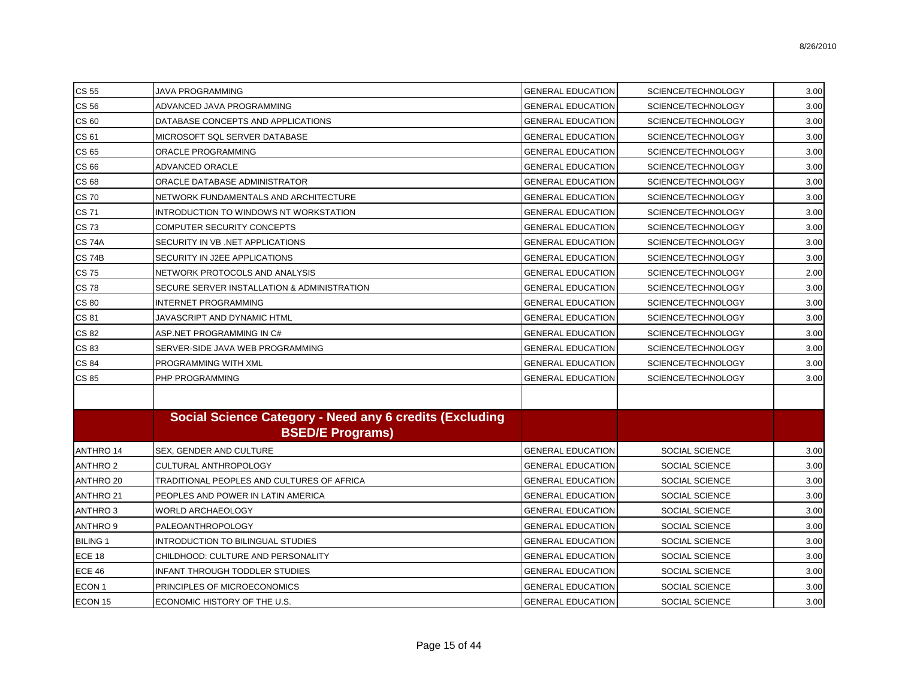| <b>CS 55</b>        | <b>JAVA PROGRAMMING</b>                                                            | <b>GENERAL EDUCATION</b> | SCIENCE/TECHNOLOGY    | 3.00 |
|---------------------|------------------------------------------------------------------------------------|--------------------------|-----------------------|------|
| <b>CS 56</b>        | ADVANCED JAVA PROGRAMMING                                                          | <b>GENERAL EDUCATION</b> | SCIENCE/TECHNOLOGY    | 3.00 |
| CS 60               | DATABASE CONCEPTS AND APPLICATIONS                                                 | <b>GENERAL EDUCATION</b> | SCIENCE/TECHNOLOGY    | 3.00 |
| CS 61               | MICROSOFT SQL SERVER DATABASE                                                      | <b>GENERAL EDUCATION</b> | SCIENCE/TECHNOLOGY    | 3.00 |
| <b>CS 65</b>        | ORACLE PROGRAMMING                                                                 | <b>GENERAL EDUCATION</b> | SCIENCE/TECHNOLOGY    | 3.00 |
| <b>CS 66</b>        | ADVANCED ORACLE                                                                    | <b>GENERAL EDUCATION</b> | SCIENCE/TECHNOLOGY    | 3.00 |
| <b>CS 68</b>        | ORACLE DATABASE ADMINISTRATOR                                                      | <b>GENERAL EDUCATION</b> | SCIENCE/TECHNOLOGY    | 3.00 |
| <b>CS70</b>         | NETWORK FUNDAMENTALS AND ARCHITECTURE                                              | <b>GENERAL EDUCATION</b> | SCIENCE/TECHNOLOGY    | 3.00 |
| <b>CS71</b>         | INTRODUCTION TO WINDOWS NT WORKSTATION                                             | <b>GENERAL EDUCATION</b> | SCIENCE/TECHNOLOGY    | 3.00 |
| <b>CS73</b>         | COMPUTER SECURITY CONCEPTS                                                         | <b>GENERAL EDUCATION</b> | SCIENCE/TECHNOLOGY    | 3.00 |
| <b>CS 74A</b>       | SECURITY IN VB. NET APPLICATIONS                                                   | <b>GENERAL EDUCATION</b> | SCIENCE/TECHNOLOGY    | 3.00 |
| <b>CS 74B</b>       | SECURITY IN J2EE APPLICATIONS                                                      | <b>GENERAL EDUCATION</b> | SCIENCE/TECHNOLOGY    | 3.00 |
| <b>CS75</b>         | NETWORK PROTOCOLS AND ANALYSIS                                                     | <b>GENERAL EDUCATION</b> | SCIENCE/TECHNOLOGY    | 2.00 |
| <b>CS78</b>         | SECURE SERVER INSTALLATION & ADMINISTRATION                                        | <b>GENERAL EDUCATION</b> | SCIENCE/TECHNOLOGY    | 3.00 |
| <b>CS 80</b>        | <b>INTERNET PROGRAMMING</b>                                                        | <b>GENERAL EDUCATION</b> | SCIENCE/TECHNOLOGY    | 3.00 |
| <b>CS 81</b>        | JAVASCRIPT AND DYNAMIC HTML                                                        | <b>GENERAL EDUCATION</b> | SCIENCE/TECHNOLOGY    | 3.00 |
| <b>CS 82</b>        | ASP.NET PROGRAMMING IN C#                                                          | <b>GENERAL EDUCATION</b> | SCIENCE/TECHNOLOGY    | 3.00 |
| <b>CS 83</b>        | SERVER-SIDE JAVA WEB PROGRAMMING                                                   | <b>GENERAL EDUCATION</b> | SCIENCE/TECHNOLOGY    | 3.00 |
| <b>CS 84</b>        | PROGRAMMING WITH XML                                                               | <b>GENERAL EDUCATION</b> | SCIENCE/TECHNOLOGY    | 3.00 |
| CS 85               | PHP PROGRAMMING                                                                    | <b>GENERAL EDUCATION</b> | SCIENCE/TECHNOLOGY    | 3.00 |
|                     | Social Science Category - Need any 6 credits (Excluding<br><b>BSED/E Programs)</b> |                          |                       |      |
| <b>ANTHRO 14</b>    | <b>SEX, GENDER AND CULTURE</b>                                                     | <b>GENERAL EDUCATION</b> | SOCIAL SCIENCE        | 3.00 |
| <b>ANTHRO 2</b>     | CULTURAL ANTHROPOLOGY                                                              | <b>GENERAL EDUCATION</b> | SOCIAL SCIENCE        | 3.00 |
| ANTHRO 20           | TRADITIONAL PEOPLES AND CULTURES OF AFRICA                                         | <b>GENERAL EDUCATION</b> | SOCIAL SCIENCE        | 3.00 |
| ANTHRO 21           | PEOPLES AND POWER IN LATIN AMERICA                                                 | <b>GENERAL EDUCATION</b> | SOCIAL SCIENCE        | 3.00 |
| ANTHRO <sub>3</sub> | <b>WORLD ARCHAEOLOGY</b>                                                           | <b>GENERAL EDUCATION</b> | SOCIAL SCIENCE        | 3.00 |
| ANTHRO <sub>9</sub> | <b>PALEOANTHROPOLOGY</b>                                                           | <b>GENERAL EDUCATION</b> | SOCIAL SCIENCE        | 3.00 |
| <b>BILING 1</b>     | INTRODUCTION TO BILINGUAL STUDIES                                                  | <b>GENERAL EDUCATION</b> | SOCIAL SCIENCE        | 3.00 |
| <b>ECE 18</b>       | CHILDHOOD: CULTURE AND PERSONALITY                                                 | <b>GENERAL EDUCATION</b> | SOCIAL SCIENCE        | 3.00 |
| <b>ECE 46</b>       | INFANT THROUGH TODDLER STUDIES                                                     | <b>GENERAL EDUCATION</b> | <b>SOCIAL SCIENCE</b> | 3.00 |
| ECON <sub>1</sub>   | PRINCIPLES OF MICROECONOMICS                                                       | <b>GENERAL EDUCATION</b> | SOCIAL SCIENCE        | 3.00 |
| ECON 15             | ECONOMIC HISTORY OF THE U.S.                                                       | <b>GENERAL EDUCATION</b> | SOCIAL SCIENCE        | 3.00 |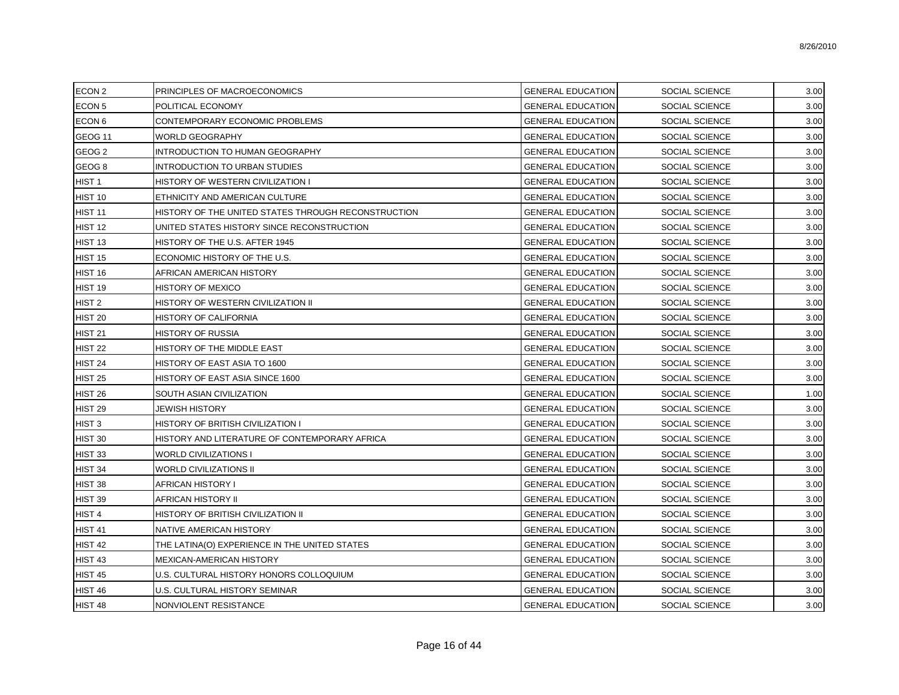| ECON <sub>2</sub>  | PRINCIPLES OF MACROECONOMICS                        | <b>GENERAL EDUCATION</b> | SOCIAL SCIENCE        | 3.00 |
|--------------------|-----------------------------------------------------|--------------------------|-----------------------|------|
| ECON <sub>5</sub>  | POLITICAL ECONOMY                                   | <b>GENERAL EDUCATION</b> | SOCIAL SCIENCE        | 3.00 |
| ECON <sub>6</sub>  | CONTEMPORARY ECONOMIC PROBLEMS                      | <b>GENERAL EDUCATION</b> | SOCIAL SCIENCE        | 3.00 |
| GEOG <sub>11</sub> | <b>WORLD GEOGRAPHY</b>                              | <b>GENERAL EDUCATION</b> | SOCIAL SCIENCE        | 3.00 |
| GEOG <sub>2</sub>  | INTRODUCTION TO HUMAN GEOGRAPHY                     | <b>GENERAL EDUCATION</b> | SOCIAL SCIENCE        | 3.00 |
| GEOG <sub>8</sub>  | INTRODUCTION TO URBAN STUDIES                       | <b>GENERAL EDUCATION</b> | SOCIAL SCIENCE        | 3.00 |
| HIST <sub>1</sub>  | HISTORY OF WESTERN CIVILIZATION I                   | <b>GENERAL EDUCATION</b> | SOCIAL SCIENCE        | 3.00 |
| HIST 10            | ETHNICITY AND AMERICAN CULTURE                      | <b>GENERAL EDUCATION</b> | SOCIAL SCIENCE        | 3.00 |
| HIST 11            | HISTORY OF THE UNITED STATES THROUGH RECONSTRUCTION | <b>GENERAL EDUCATION</b> | SOCIAL SCIENCE        | 3.00 |
| HIST 12            | UNITED STATES HISTORY SINCE RECONSTRUCTION          | <b>GENERAL EDUCATION</b> | SOCIAL SCIENCE        | 3.00 |
| HIST <sub>13</sub> | HISTORY OF THE U.S. AFTER 1945                      | <b>GENERAL EDUCATION</b> | SOCIAL SCIENCE        | 3.00 |
| <b>HIST 15</b>     | ECONOMIC HISTORY OF THE U.S.                        | <b>GENERAL EDUCATION</b> | <b>SOCIAL SCIENCE</b> | 3.00 |
| HIST 16            | AFRICAN AMERICAN HISTORY                            | <b>GENERAL EDUCATION</b> | <b>SOCIAL SCIENCE</b> | 3.00 |
| HIST 19            | <b>HISTORY OF MEXICO</b>                            | <b>GENERAL EDUCATION</b> | <b>SOCIAL SCIENCE</b> | 3.00 |
| HIST <sub>2</sub>  | HISTORY OF WESTERN CIVILIZATION II                  | <b>GENERAL EDUCATION</b> | <b>SOCIAL SCIENCE</b> | 3.00 |
| <b>HIST 20</b>     | HISTORY OF CALIFORNIA                               | <b>GENERAL EDUCATION</b> | <b>SOCIAL SCIENCE</b> | 3.00 |
| <b>HIST 21</b>     | <b>HISTORY OF RUSSIA</b>                            | <b>GENERAL EDUCATION</b> | SOCIAL SCIENCE        | 3.00 |
| <b>HIST 22</b>     | HISTORY OF THE MIDDLE EAST                          | <b>GENERAL EDUCATION</b> | <b>SOCIAL SCIENCE</b> | 3.00 |
| <b>HIST 24</b>     | HISTORY OF EAST ASIA TO 1600                        | <b>GENERAL EDUCATION</b> | SOCIAL SCIENCE        | 3.00 |
| <b>HIST 25</b>     | HISTORY OF EAST ASIA SINCE 1600                     | <b>GENERAL EDUCATION</b> | <b>SOCIAL SCIENCE</b> | 3.00 |
| <b>HIST 26</b>     | SOUTH ASIAN CIVILIZATION                            | <b>GENERAL EDUCATION</b> | <b>SOCIAL SCIENCE</b> | 1.00 |
| HIST <sub>29</sub> | JEWISH HISTORY                                      | <b>GENERAL EDUCATION</b> | SOCIAL SCIENCE        | 3.00 |
| HIST <sub>3</sub>  | HISTORY OF BRITISH CIVILIZATION I                   | <b>GENERAL EDUCATION</b> | SOCIAL SCIENCE        | 3.00 |
| HIST 30            | HISTORY AND LITERATURE OF CONTEMPORARY AFRICA       | <b>GENERAL EDUCATION</b> | SOCIAL SCIENCE        | 3.00 |
| HIST <sub>33</sub> | <b>WORLD CIVILIZATIONS I</b>                        | <b>GENERAL EDUCATION</b> | SOCIAL SCIENCE        | 3.00 |
| HIST 34            | <b>WORLD CIVILIZATIONS II</b>                       | <b>GENERAL EDUCATION</b> | SOCIAL SCIENCE        | 3.00 |
| HIST 38            | <b>AFRICAN HISTORY I</b>                            | <b>GENERAL EDUCATION</b> | SOCIAL SCIENCE        | 3.00 |
| HIST 39            | AFRICAN HISTORY II                                  | <b>GENERAL EDUCATION</b> | SOCIAL SCIENCE        | 3.00 |
| HIST <sub>4</sub>  | HISTORY OF BRITISH CIVILIZATION II                  | <b>GENERAL EDUCATION</b> | SOCIAL SCIENCE        | 3.00 |
| HIST 41            | NATIVE AMERICAN HISTORY                             | <b>GENERAL EDUCATION</b> | SOCIAL SCIENCE        | 3.00 |
| HIST 42            | THE LATINA(O) EXPERIENCE IN THE UNITED STATES       | <b>GENERAL EDUCATION</b> | SOCIAL SCIENCE        | 3.00 |
| HIST <sub>43</sub> | MEXICAN-AMERICAN HISTORY                            | <b>GENERAL EDUCATION</b> | SOCIAL SCIENCE        | 3.00 |
| <b>HIST 45</b>     | U.S. CULTURAL HISTORY HONORS COLLOQUIUM             | <b>GENERAL EDUCATION</b> | SOCIAL SCIENCE        | 3.00 |
| HIST 46            | U.S. CULTURAL HISTORY SEMINAR                       | <b>GENERAL EDUCATION</b> | SOCIAL SCIENCE        | 3.00 |
| HIST 48            | NONVIOLENT RESISTANCE                               | <b>GENERAL EDUCATION</b> | SOCIAL SCIENCE        | 3.00 |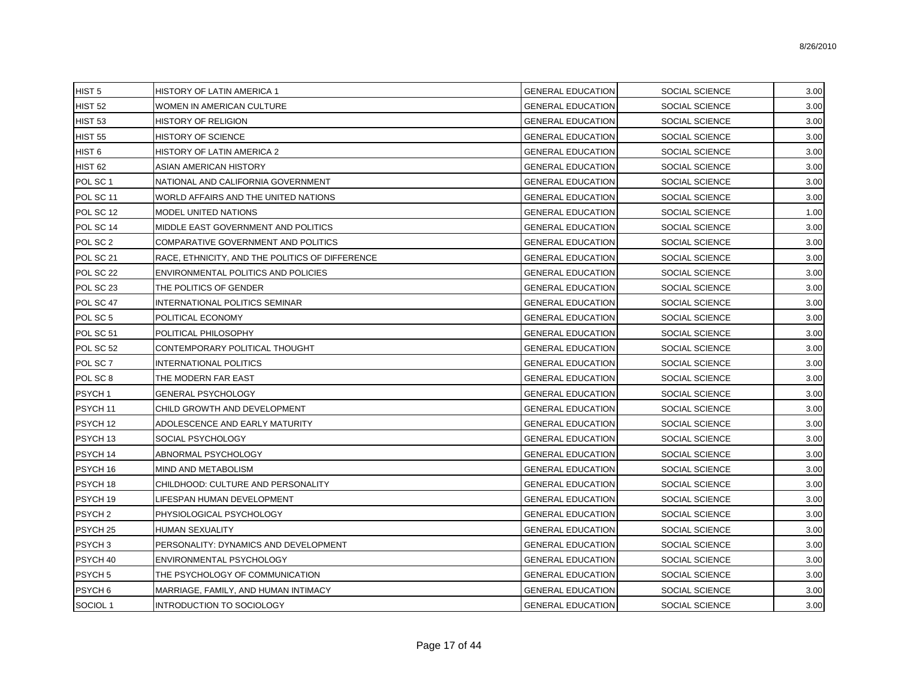| HIST <sub>5</sub>   | HISTORY OF LATIN AMERICA 1                      | <b>GENERAL EDUCATION</b> | SOCIAL SCIENCE        | 3.00 |
|---------------------|-------------------------------------------------|--------------------------|-----------------------|------|
| HIST <sub>52</sub>  | WOMEN IN AMERICAN CULTURE                       | <b>GENERAL EDUCATION</b> | <b>SOCIAL SCIENCE</b> | 3.00 |
| <b>HIST 53</b>      | HISTORY OF RELIGION                             | <b>GENERAL EDUCATION</b> | SOCIAL SCIENCE        | 3.00 |
| <b>HIST 55</b>      | HISTORY OF SCIENCE                              | <b>GENERAL EDUCATION</b> | SOCIAL SCIENCE        | 3.00 |
| HIST <sub>6</sub>   | HISTORY OF LATIN AMERICA 2                      | <b>GENERAL EDUCATION</b> | SOCIAL SCIENCE        | 3.00 |
| HIST <sub>62</sub>  | ASIAN AMERICAN HISTORY                          | <b>GENERAL EDUCATION</b> | SOCIAL SCIENCE        | 3.00 |
| POL SC <sub>1</sub> | NATIONAL AND CALIFORNIA GOVERNMENT              | <b>GENERAL EDUCATION</b> | <b>SOCIAL SCIENCE</b> | 3.00 |
| POL SC 11           | WORLD AFFAIRS AND THE UNITED NATIONS            | <b>GENERAL EDUCATION</b> | SOCIAL SCIENCE        | 3.00 |
| POL SC 12           | MODEL UNITED NATIONS                            | <b>GENERAL EDUCATION</b> | SOCIAL SCIENCE        | 1.00 |
| POL SC 14           | MIDDLE EAST GOVERNMENT AND POLITICS             | <b>GENERAL EDUCATION</b> | SOCIAL SCIENCE        | 3.00 |
| POL SC 2            | COMPARATIVE GOVERNMENT AND POLITICS             | <b>GENERAL EDUCATION</b> | <b>SOCIAL SCIENCE</b> | 3.00 |
| POL SC 21           | RACE, ETHNICITY, AND THE POLITICS OF DIFFERENCE | <b>GENERAL EDUCATION</b> | SOCIAL SCIENCE        | 3.00 |
| POL SC 22           | ENVIRONMENTAL POLITICS AND POLICIES             | <b>GENERAL EDUCATION</b> | <b>SOCIAL SCIENCE</b> | 3.00 |
| POL SC 23           | THE POLITICS OF GENDER                          | <b>GENERAL EDUCATION</b> | SOCIAL SCIENCE        | 3.00 |
| POL SC 47           | INTERNATIONAL POLITICS SEMINAR                  | <b>GENERAL EDUCATION</b> | <b>SOCIAL SCIENCE</b> | 3.00 |
| POL SC 5            | POLITICAL ECONOMY                               | <b>GENERAL EDUCATION</b> | SOCIAL SCIENCE        | 3.00 |
| POL SC 51           | POLITICAL PHILOSOPHY                            | <b>GENERAL EDUCATION</b> | <b>SOCIAL SCIENCE</b> | 3.00 |
| POL SC 52           | CONTEMPORARY POLITICAL THOUGHT                  | <b>GENERAL EDUCATION</b> | SOCIAL SCIENCE        | 3.00 |
| POL SC 7            | <b>INTERNATIONAL POLITICS</b>                   | <b>GENERAL EDUCATION</b> | <b>SOCIAL SCIENCE</b> | 3.00 |
| POL SC 8            | THE MODERN FAR EAST                             | <b>GENERAL EDUCATION</b> | SOCIAL SCIENCE        | 3.00 |
| PSYCH <sub>1</sub>  | <b>GENERAL PSYCHOLOGY</b>                       | <b>GENERAL EDUCATION</b> | <b>SOCIAL SCIENCE</b> | 3.00 |
| PSYCH <sub>11</sub> | CHILD GROWTH AND DEVELOPMENT                    | <b>GENERAL EDUCATION</b> | SOCIAL SCIENCE        | 3.00 |
| PSYCH 12            | ADOLESCENCE AND EARLY MATURITY                  | <b>GENERAL EDUCATION</b> | <b>SOCIAL SCIENCE</b> | 3.00 |
| PSYCH <sub>13</sub> | SOCIAL PSYCHOLOGY                               | <b>GENERAL EDUCATION</b> | SOCIAL SCIENCE        | 3.00 |
| PSYCH <sub>14</sub> | ABNORMAL PSYCHOLOGY                             | <b>GENERAL EDUCATION</b> | <b>SOCIAL SCIENCE</b> | 3.00 |
| PSYCH 16            | MIND AND METABOLISM                             | <b>GENERAL EDUCATION</b> | SOCIAL SCIENCE        | 3.00 |
| PSYCH 18            | CHILDHOOD: CULTURE AND PERSONALITY              | <b>GENERAL EDUCATION</b> | <b>SOCIAL SCIENCE</b> | 3.00 |
| PSYCH 19            | LIFESPAN HUMAN DEVELOPMENT                      | <b>GENERAL EDUCATION</b> | <b>SOCIAL SCIENCE</b> | 3.00 |
| PSYCH <sub>2</sub>  | PHYSIOLOGICAL PSYCHOLOGY                        | <b>GENERAL EDUCATION</b> | <b>SOCIAL SCIENCE</b> | 3.00 |
| PSYCH <sub>25</sub> | HUMAN SEXUALITY                                 | <b>GENERAL EDUCATION</b> | SOCIAL SCIENCE        | 3.00 |
| PSYCH <sub>3</sub>  | PERSONALITY: DYNAMICS AND DEVELOPMENT           | <b>GENERAL EDUCATION</b> | SOCIAL SCIENCE        | 3.00 |
| PSYCH 40            | ENVIRONMENTAL PSYCHOLOGY                        | <b>GENERAL EDUCATION</b> | SOCIAL SCIENCE        | 3.00 |
| PSYCH <sub>5</sub>  | THE PSYCHOLOGY OF COMMUNICATION                 | <b>GENERAL EDUCATION</b> | SOCIAL SCIENCE        | 3.00 |
| PSYCH <sub>6</sub>  | MARRIAGE, FAMILY, AND HUMAN INTIMACY            | <b>GENERAL EDUCATION</b> | <b>SOCIAL SCIENCE</b> | 3.00 |
| SOCIOL 1            | INTRODUCTION TO SOCIOLOGY                       | <b>GENERAL EDUCATION</b> | SOCIAL SCIENCE        | 3.00 |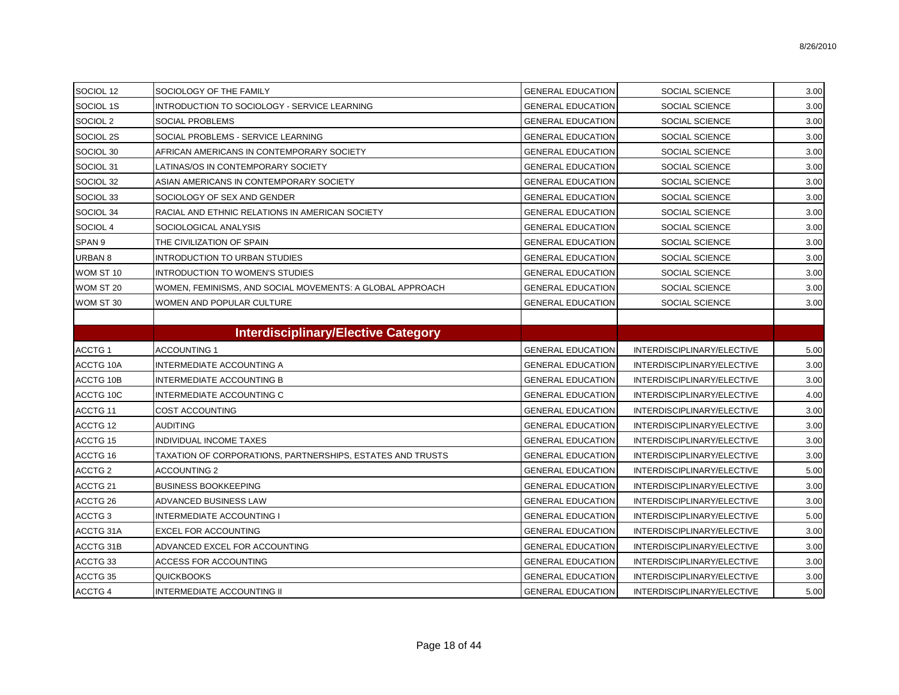| SOCIOL 12           | SOCIOLOGY OF THE FAMILY                                    | <b>GENERAL EDUCATION</b> | SOCIAL SCIENCE             | 3.00 |
|---------------------|------------------------------------------------------------|--------------------------|----------------------------|------|
| SOCIOL 1S           | INTRODUCTION TO SOCIOLOGY - SERVICE LEARNING               | <b>GENERAL EDUCATION</b> | SOCIAL SCIENCE             | 3.00 |
| SOCIOL 2            | <b>SOCIAL PROBLEMS</b>                                     | <b>GENERAL EDUCATION</b> | SOCIAL SCIENCE             | 3.00 |
| SOCIOL 2S           | SOCIAL PROBLEMS - SERVICE LEARNING                         | <b>GENERAL EDUCATION</b> | SOCIAL SCIENCE             | 3.00 |
| SOCIOL 30           | AFRICAN AMERICANS IN CONTEMPORARY SOCIETY                  | <b>GENERAL EDUCATION</b> | SOCIAL SCIENCE             | 3.00 |
| SOCIOL 31           | LATINAS/OS IN CONTEMPORARY SOCIETY                         | <b>GENERAL EDUCATION</b> | SOCIAL SCIENCE             | 3.00 |
| SOCIOL 32           | ASIAN AMERICANS IN CONTEMPORARY SOCIETY                    | <b>GENERAL EDUCATION</b> | SOCIAL SCIENCE             | 3.00 |
| SOCIOL 33           | SOCIOLOGY OF SEX AND GENDER                                | <b>GENERAL EDUCATION</b> | SOCIAL SCIENCE             | 3.00 |
| SOCIOL 34           | RACIAL AND ETHNIC RELATIONS IN AMERICAN SOCIETY            | <b>GENERAL EDUCATION</b> | SOCIAL SCIENCE             | 3.00 |
| SOCIOL 4            | SOCIOLOGICAL ANALYSIS                                      | <b>GENERAL EDUCATION</b> | SOCIAL SCIENCE             | 3.00 |
| SPAN <sub>9</sub>   | THE CIVILIZATION OF SPAIN                                  | <b>GENERAL EDUCATION</b> | SOCIAL SCIENCE             | 3.00 |
| <b>URBAN 8</b>      | <b>INTRODUCTION TO URBAN STUDIES</b>                       | <b>GENERAL EDUCATION</b> | SOCIAL SCIENCE             | 3.00 |
| WOM ST 10           | INTRODUCTION TO WOMEN'S STUDIES                            | <b>GENERAL EDUCATION</b> | SOCIAL SCIENCE             | 3.00 |
| WOM ST 20           | WOMEN, FEMINISMS, AND SOCIAL MOVEMENTS: A GLOBAL APPROACH  | <b>GENERAL EDUCATION</b> | SOCIAL SCIENCE             | 3.00 |
| WOM ST 30           | WOMEN AND POPULAR CULTURE                                  | <b>GENERAL EDUCATION</b> | SOCIAL SCIENCE             | 3.00 |
|                     |                                                            |                          |                            |      |
|                     | <b>Interdisciplinary/Elective Category</b>                 |                          |                            |      |
| ACCTG 1             | <b>ACCOUNTING 1</b>                                        | <b>GENERAL EDUCATION</b> | INTERDISCIPLINARY/ELECTIVE | 5.00 |
| <b>ACCTG 10A</b>    | <b>INTERMEDIATE ACCOUNTING A</b>                           | <b>GENERAL EDUCATION</b> | INTERDISCIPLINARY/ELECTIVE | 3.00 |
| ACCTG 10B           | INTERMEDIATE ACCOUNTING B                                  | <b>GENERAL EDUCATION</b> | INTERDISCIPLINARY/ELECTIVE | 3.00 |
| ACCTG 10C           | INTERMEDIATE ACCOUNTING C                                  | <b>GENERAL EDUCATION</b> | INTERDISCIPLINARY/ELECTIVE | 4.00 |
| ACCTG <sub>11</sub> | <b>COST ACCOUNTING</b>                                     | <b>GENERAL EDUCATION</b> | INTERDISCIPLINARY/ELECTIVE | 3.00 |
| ACCTG 12            | <b>AUDITING</b>                                            | <b>GENERAL EDUCATION</b> | INTERDISCIPLINARY/ELECTIVE | 3.00 |
| ACCTG 15            | <b>INDIVIDUAL INCOME TAXES</b>                             | <b>GENERAL EDUCATION</b> | INTERDISCIPLINARY/ELECTIVE | 3.00 |
| ACCTG 16            | TAXATION OF CORPORATIONS, PARTNERSHIPS, ESTATES AND TRUSTS | <b>GENERAL EDUCATION</b> | INTERDISCIPLINARY/ELECTIVE | 3.00 |
| ACCTG <sub>2</sub>  | <b>ACCOUNTING 2</b>                                        | <b>GENERAL EDUCATION</b> | INTERDISCIPLINARY/ELECTIVE | 5.00 |
| ACCTG <sub>21</sub> | <b>BUSINESS BOOKKEEPING</b>                                | <b>GENERAL EDUCATION</b> | INTERDISCIPLINARY/ELECTIVE | 3.00 |
| ACCTG 26            | ADVANCED BUSINESS LAW                                      | <b>GENERAL EDUCATION</b> | INTERDISCIPLINARY/ELECTIVE | 3.00 |
| ACCTG <sub>3</sub>  | <b>INTERMEDIATE ACCOUNTING I</b>                           | <b>GENERAL EDUCATION</b> | INTERDISCIPLINARY/ELECTIVE | 5.00 |
| ACCTG 31A           | <b>EXCEL FOR ACCOUNTING</b>                                | <b>GENERAL EDUCATION</b> | INTERDISCIPLINARY/ELECTIVE | 3.00 |
| ACCTG 31B           | ADVANCED EXCEL FOR ACCOUNTING                              | <b>GENERAL EDUCATION</b> | INTERDISCIPLINARY/ELECTIVE | 3.00 |
| ACCTG 33            | ACCESS FOR ACCOUNTING                                      | <b>GENERAL EDUCATION</b> | INTERDISCIPLINARY/ELECTIVE | 3.00 |
| ACCTG 35            | <b>QUICKBOOKS</b>                                          | <b>GENERAL EDUCATION</b> | INTERDISCIPLINARY/ELECTIVE | 3.00 |
| ACCTG 4             | INTERMEDIATE ACCOUNTING II                                 | <b>GENERAL EDUCATION</b> | INTERDISCIPLINARY/ELECTIVE | 5.00 |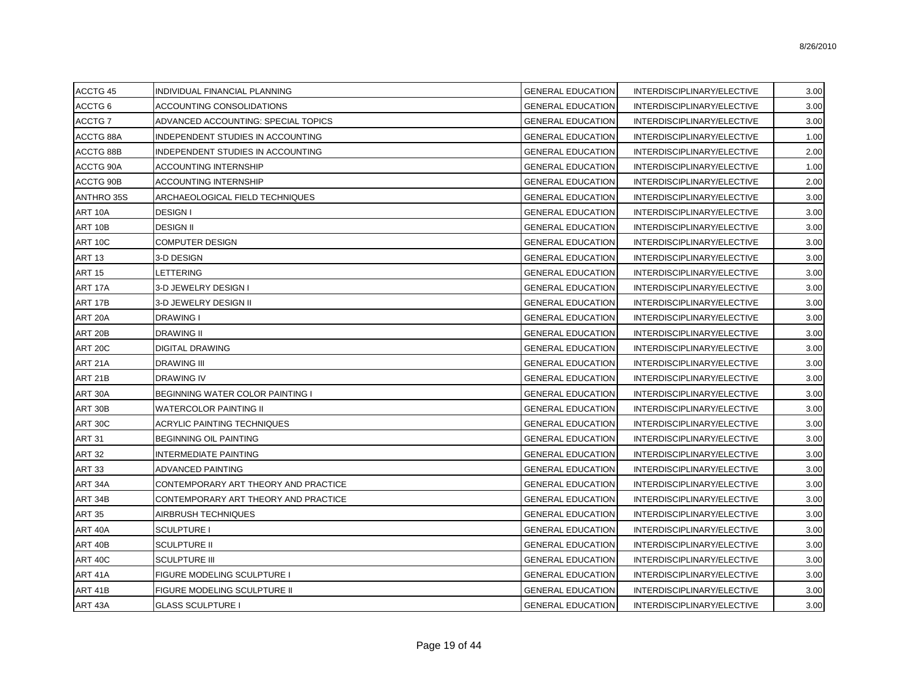8/26/2010

| 1001070             | "סיוויש היה ביותר איהודים ישכח זו ביותר | <b>OFINEIN IF FROM HIGH</b> | <b>INTERDIOOII EIN INTIELEOTIVE</b> | $\mathsf{v}.\mathsf{v} \mathsf{v}$ |
|---------------------|-----------------------------------------|-----------------------------|-------------------------------------|------------------------------------|
| ACCTG 6             | ACCOUNTING CONSOLIDATIONS               | <b>GENERAL EDUCATION</b>    | INTERDISCIPLINARY/ELECTIVE          | 3.00                               |
| ACCTG <sub>7</sub>  | ADVANCED ACCOUNTING: SPECIAL TOPICS     | <b>GENERAL EDUCATION</b>    | INTERDISCIPLINARY/ELECTIVE          | 3.00                               |
| ACCTG 88A           | INDEPENDENT STUDIES IN ACCOUNTING       | <b>GENERAL EDUCATION</b>    | INTERDISCIPLINARY/ELECTIVE          | 1.00                               |
| ACCTG 88B           | INDEPENDENT STUDIES IN ACCOUNTING       | GENERAL EDUCATION           | INTERDISCIPLINARY/ELECTIVE          | 2.00                               |
| ACCTG 90A           | <b>ACCOUNTING INTERNSHIP</b>            | <b>GENERAL EDUCATION</b>    | INTERDISCIPLINARY/ELECTIVE          | 1.00                               |
| ACCTG 90B           | <b>ACCOUNTING INTERNSHIP</b>            | <b>GENERAL EDUCATION</b>    | INTERDISCIPLINARY/ELECTIVE          | 2.00                               |
| ANTHRO 35S          | ARCHAEOLOGICAL FIELD TECHNIQUES         | GENERAL EDUCATION           | INTERDISCIPLINARY/ELECTIVE          | 3.00                               |
| ART 10A             | <b>DESIGN I</b>                         | <b>GENERAL EDUCATION</b>    | INTERDISCIPLINARY/ELECTIVE          | 3.00                               |
| ART 10B             | <b>DESIGN II</b>                        | GENERAL EDUCATION           | INTERDISCIPLINARY/ELECTIVE          | 3.00                               |
| ART 10C             | <b>COMPUTER DESIGN</b>                  | GENERAL EDUCATION           | INTERDISCIPLINARY/ELECTIVE          | 3.00                               |
| <b>ART 13</b>       | 3-D DESIGN                              | <b>GENERAL EDUCATION</b>    | INTERDISCIPLINARY/ELECTIVE          | 3.00                               |
| <b>ART 15</b>       | <b>LETTERING</b>                        | <b>GENERAL EDUCATION</b>    | INTERDISCIPLINARY/ELECTIVE          | 3.00                               |
| ART 17A             | 3-D JEWELRY DESIGN I                    | <b>GENERAL EDUCATION</b>    | INTERDISCIPLINARY/ELECTIVE          | 3.00                               |
| <b>ART 17B</b>      | 3-D JEWELRY DESIGN II                   | <b>GENERAL EDUCATION</b>    | INTERDISCIPLINARY/ELECTIVE          | 3.00                               |
| ART 20A             | <b>DRAWING I</b>                        | <b>GENERAL EDUCATION</b>    | INTERDISCIPLINARY/ELECTIVE          | 3.00                               |
| ART 20B             | <b>DRAWING II</b>                       | GENERAL EDUCATION           | INTERDISCIPLINARY/ELECTIVE          | 3.00                               |
| <b>ART 20C</b>      | <b>DIGITAL DRAWING</b>                  | <b>GENERAL EDUCATION</b>    | INTERDISCIPLINARY/ELECTIVE          | 3.00                               |
| ART <sub>21</sub> A | <b>DRAWING III</b>                      | <b>GENERAL EDUCATION</b>    | INTERDISCIPLINARY/ELECTIVE          | 3.00                               |
| <b>ART 21B</b>      | <b>DRAWING IV</b>                       | <b>GENERAL EDUCATION</b>    | INTERDISCIPLINARY/ELECTIVE          | 3.00                               |
| ART 30A             | BEGINNING WATER COLOR PAINTING I        | <b>GENERAL EDUCATION</b>    | INTERDISCIPLINARY/ELECTIVE          | 3.00                               |
| ART 30B             | <b>WATERCOLOR PAINTING II</b>           | <b>GENERAL EDUCATION</b>    | INTERDISCIPLINARY/ELECTIVE          | 3.00                               |
| ART 30C             | <b>ACRYLIC PAINTING TECHNIQUES</b>      | GENERAL EDUCATION           | INTERDISCIPLINARY/ELECTIVE          | 3.00                               |
| <b>ART 31</b>       | <b>BEGINNING OIL PAINTING</b>           | <b>GENERAL EDUCATION</b>    | INTERDISCIPLINARY/ELECTIVE          | 3.00                               |
| <b>ART 32</b>       | <b>INTERMEDIATE PAINTING</b>            | <b>GENERAL EDUCATION</b>    | INTERDISCIPLINARY/ELECTIVE          | 3.00                               |
| <b>ART 33</b>       | <b>ADVANCED PAINTING</b>                | <b>GENERAL EDUCATION</b>    | INTERDISCIPLINARY/ELECTIVE          | 3.00                               |
| ART 34A             | CONTEMPORARY ART THEORY AND PRACTICE    | <b>GENERAL EDUCATION</b>    | INTERDISCIPLINARY/ELECTIVE          | 3.00                               |
| ART 34B             | CONTEMPORARY ART THEORY AND PRACTICE    | GENERAL EDUCATION           | INTERDISCIPLINARY/ELECTIVE          | 3.00                               |
| <b>ART 35</b>       | AIRBRUSH TECHNIQUES                     | GENERAL EDUCATION           | INTERDISCIPLINARY/ELECTIVE          | 3.00                               |
| ART 40A             | <b>SCULPTURE I</b>                      | <b>GENERAL EDUCATION</b>    | INTERDISCIPLINARY/ELECTIVE          | 3.00                               |
| ART 40B             | <b>SCULPTURE II</b>                     | <b>GENERAL EDUCATION</b>    | INTERDISCIPLINARY/ELECTIVE          | 3.00                               |
| ART 40C             | <b>SCULPTURE III</b>                    | <b>GENERAL EDUCATION</b>    | INTERDISCIPLINARY/ELECTIVE          | 3.00                               |
| ART 41A             | <b>FIGURE MODELING SCULPTURE I</b>      | <b>GENERAL EDUCATION</b>    | INTERDISCIPLINARY/ELECTIVE          | 3.00                               |
| ART <sub>41</sub> B | <b>FIGURE MODELING SCULPTURE II</b>     | GENERAL EDUCATION           | INTERDISCIPLINARY/ELECTIVE          | 3.00                               |
| ART 43A             | <b>GLASS SCULPTURE I</b>                | <b>GENERAL EDUCATION</b>    | INTERDISCIPLINARY/ELECTIVE          | 3.00                               |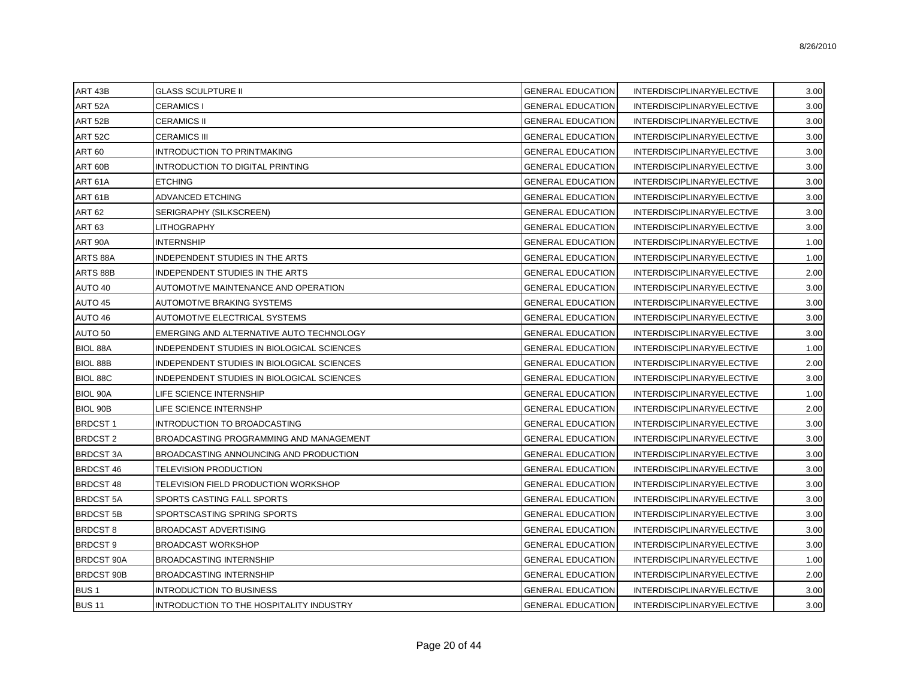| ART <sub>43</sub> B | <b>GLASS SCULPTURE II</b>                  | <b>GENERAL EDUCATION</b> | INTERDISCIPLINARY/ELECTIVE | 3.00 |
|---------------------|--------------------------------------------|--------------------------|----------------------------|------|
| ART 52A             | <b>CERAMICS I</b>                          | <b>GENERAL EDUCATION</b> | INTERDISCIPLINARY/ELECTIVE | 3.00 |
| ART 52B             | <b>CERAMICS II</b>                         | <b>GENERAL EDUCATION</b> | INTERDISCIPLINARY/ELECTIVE | 3.00 |
| ART <sub>52C</sub>  | <b>CERAMICS III</b>                        | <b>GENERAL EDUCATION</b> | INTERDISCIPLINARY/ELECTIVE | 3.00 |
| ART 60              | INTRODUCTION TO PRINTMAKING                | <b>GENERAL EDUCATION</b> | INTERDISCIPLINARY/ELECTIVE | 3.00 |
| ART 60B             | <b>INTRODUCTION TO DIGITAL PRINTING</b>    | <b>GENERAL EDUCATION</b> | INTERDISCIPLINARY/ELECTIVE | 3.00 |
| ART 61A             | <b>ETCHING</b>                             | <b>GENERAL EDUCATION</b> | INTERDISCIPLINARY/ELECTIVE | 3.00 |
| ART 61B             | ADVANCED ETCHING                           | <b>GENERAL EDUCATION</b> | INTERDISCIPLINARY/ELECTIVE | 3.00 |
| <b>ART 62</b>       | SERIGRAPHY (SILKSCREEN)                    | <b>GENERAL EDUCATION</b> | INTERDISCIPLINARY/ELECTIVE | 3.00 |
| <b>ART 63</b>       | LITHOGRAPHY                                | <b>GENERAL EDUCATION</b> | INTERDISCIPLINARY/ELECTIVE | 3.00 |
| ART 90A             | INTERNSHIP                                 | <b>GENERAL EDUCATION</b> | INTERDISCIPLINARY/ELECTIVE | 1.00 |
| ARTS 88A            | INDEPENDENT STUDIES IN THE ARTS            | <b>GENERAL EDUCATION</b> | INTERDISCIPLINARY/ELECTIVE | 1.00 |
| ARTS 88B            | INDEPENDENT STUDIES IN THE ARTS            | <b>GENERAL EDUCATION</b> | INTERDISCIPLINARY/ELECTIVE | 2.00 |
| AUTO 40             | AUTOMOTIVE MAINTENANCE AND OPERATION       | <b>GENERAL EDUCATION</b> | INTERDISCIPLINARY/ELECTIVE | 3.00 |
| AUTO 45             | AUTOMOTIVE BRAKING SYSTEMS                 | <b>GENERAL EDUCATION</b> | INTERDISCIPLINARY/ELECTIVE | 3.00 |
| AUTO 46             | AUTOMOTIVE ELECTRICAL SYSTEMS              | <b>GENERAL EDUCATION</b> | INTERDISCIPLINARY/ELECTIVE | 3.00 |
| AUTO 50             | EMERGING AND ALTERNATIVE AUTO TECHNOLOGY   | <b>GENERAL EDUCATION</b> | INTERDISCIPLINARY/ELECTIVE | 3.00 |
| <b>BIOL 88A</b>     | INDEPENDENT STUDIES IN BIOLOGICAL SCIENCES | <b>GENERAL EDUCATION</b> | INTERDISCIPLINARY/ELECTIVE | 1.00 |
| <b>BIOL 88B</b>     | INDEPENDENT STUDIES IN BIOLOGICAL SCIENCES | <b>GENERAL EDUCATION</b> | INTERDISCIPLINARY/ELECTIVE | 2.00 |
| <b>BIOL 88C</b>     | INDEPENDENT STUDIES IN BIOLOGICAL SCIENCES | <b>GENERAL EDUCATION</b> | INTERDISCIPLINARY/ELECTIVE | 3.00 |
| <b>BIOL 90A</b>     | LIFE SCIENCE INTERNSHIP                    | <b>GENERAL EDUCATION</b> | INTERDISCIPLINARY/ELECTIVE | 1.00 |
| BIOL 90B            | LIFE SCIENCE INTERNSHP                     | <b>GENERAL EDUCATION</b> | INTERDISCIPLINARY/ELECTIVE | 2.00 |
| <b>BRDCST1</b>      | INTRODUCTION TO BROADCASTING               | <b>GENERAL EDUCATION</b> | INTERDISCIPLINARY/ELECTIVE | 3.00 |
| <b>BRDCST2</b>      | BROADCASTING PROGRAMMING AND MANAGEMENT    | <b>GENERAL EDUCATION</b> | INTERDISCIPLINARY/ELECTIVE | 3.00 |
| <b>BRDCST 3A</b>    | BROADCASTING ANNOUNCING AND PRODUCTION     | <b>GENERAL EDUCATION</b> | INTERDISCIPLINARY/ELECTIVE | 3.00 |
| <b>BRDCST 46</b>    | TELEVISION PRODUCTION                      | <b>GENERAL EDUCATION</b> | INTERDISCIPLINARY/ELECTIVE | 3.00 |
| <b>BRDCST 48</b>    | TELEVISION FIELD PRODUCTION WORKSHOP       | <b>GENERAL EDUCATION</b> | INTERDISCIPLINARY/ELECTIVE | 3.00 |
| <b>BRDCST 5A</b>    | SPORTS CASTING FALL SPORTS                 | <b>GENERAL EDUCATION</b> | INTERDISCIPLINARY/ELECTIVE | 3.00 |
| <b>BRDCST 5B</b>    | SPORTSCASTING SPRING SPORTS                | <b>GENERAL EDUCATION</b> | INTERDISCIPLINARY/ELECTIVE | 3.00 |
| <b>BRDCST8</b>      | <b>BROADCAST ADVERTISING</b>               | <b>GENERAL EDUCATION</b> | INTERDISCIPLINARY/ELECTIVE | 3.00 |
| <b>BRDCST9</b>      | <b>BROADCAST WORKSHOP</b>                  | <b>GENERAL EDUCATION</b> | INTERDISCIPLINARY/ELECTIVE | 3.00 |
| <b>BRDCST 90A</b>   | <b>BROADCASTING INTERNSHIP</b>             | <b>GENERAL EDUCATION</b> | INTERDISCIPLINARY/ELECTIVE | 1.00 |
| <b>BRDCST 90B</b>   | <b>BROADCASTING INTERNSHIP</b>             | <b>GENERAL EDUCATION</b> | INTERDISCIPLINARY/ELECTIVE | 2.00 |
| <b>BUS1</b>         | <b>INTRODUCTION TO BUSINESS</b>            | <b>GENERAL EDUCATION</b> | INTERDISCIPLINARY/ELECTIVE | 3.00 |
| <b>BUS 11</b>       | INTRODUCTION TO THE HOSPITALITY INDUSTRY   | <b>GENERAL EDUCATION</b> | INTERDISCIPLINARY/ELECTIVE | 3.00 |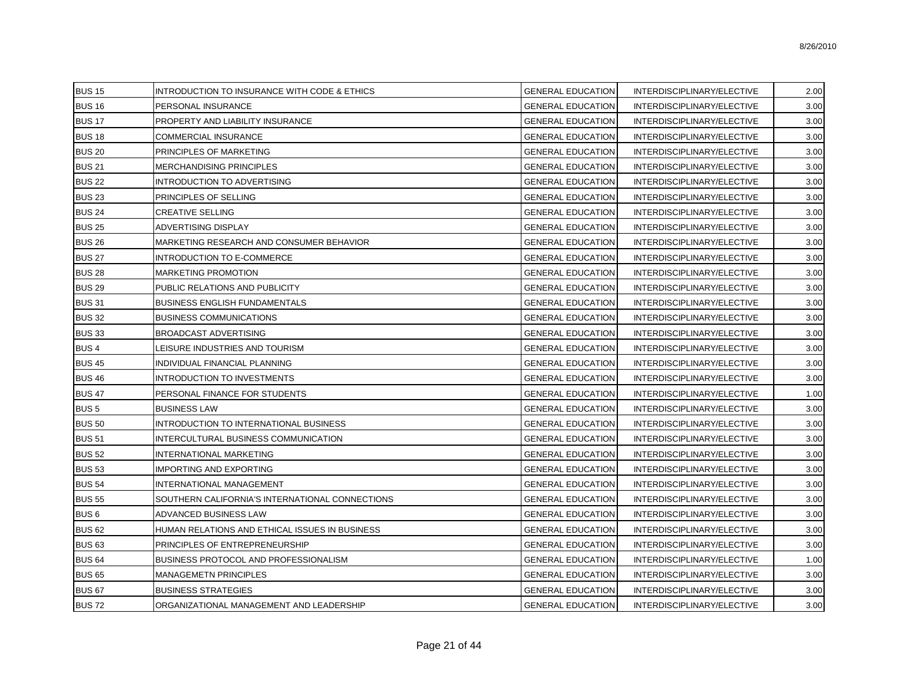| <b>BUS 15</b>    | INTRODUCTION TO INSURANCE WITH CODE & ETHICS    | <b>GENERAL EDUCATION</b> | INTERDISCIPLINARY/ELECTIVE | 2.00 |
|------------------|-------------------------------------------------|--------------------------|----------------------------|------|
| <b>BUS 16</b>    | PERSONAL INSURANCE                              | <b>GENERAL EDUCATION</b> | INTERDISCIPLINARY/ELECTIVE | 3.00 |
| <b>BUS 17</b>    | PROPERTY AND LIABILITY INSURANCE                | GENERAL EDUCATION        | INTERDISCIPLINARY/ELECTIVE | 3.00 |
| <b>BUS 18</b>    | COMMERCIAL INSURANCE                            | <b>GENERAL EDUCATION</b> | INTERDISCIPLINARY/ELECTIVE | 3.00 |
| <b>BUS 20</b>    | PRINCIPLES OF MARKETING                         | GENERAL EDUCATION        | INTERDISCIPLINARY/ELECTIVE | 3.00 |
| <b>BUS 21</b>    | MERCHANDISING PRINCIPLES                        | <b>GENERAL EDUCATION</b> | INTERDISCIPLINARY/ELECTIVE | 3.00 |
| <b>BUS 22</b>    | <b>INTRODUCTION TO ADVERTISING</b>              | <b>GENERAL EDUCATION</b> | INTERDISCIPLINARY/ELECTIVE | 3.00 |
| <b>BUS 23</b>    | PRINCIPLES OF SELLING                           | <b>GENERAL EDUCATION</b> | INTERDISCIPLINARY/ELECTIVE | 3.00 |
| <b>BUS 24</b>    | <b>CREATIVE SELLING</b>                         | <b>GENERAL EDUCATION</b> | INTERDISCIPLINARY/ELECTIVE | 3.00 |
| <b>BUS 25</b>    | <b>ADVERTISING DISPLAY</b>                      | <b>GENERAL EDUCATION</b> | INTERDISCIPLINARY/ELECTIVE | 3.00 |
| <b>BUS 26</b>    | MARKETING RESEARCH AND CONSUMER BEHAVIOR        | GENERAL EDUCATION        | INTERDISCIPLINARY/ELECTIVE | 3.00 |
| <b>BUS 27</b>    | INTRODUCTION TO E-COMMERCE                      | <b>GENERAL EDUCATION</b> | INTERDISCIPLINARY/ELECTIVE | 3.00 |
| <b>BUS 28</b>    | MARKETING PROMOTION                             | GENERAL EDUCATION        | INTERDISCIPLINARY/ELECTIVE | 3.00 |
| <b>BUS 29</b>    | PUBLIC RELATIONS AND PUBLICITY                  | <b>GENERAL EDUCATION</b> | INTERDISCIPLINARY/ELECTIVE | 3.00 |
| <b>BUS 31</b>    | <b>BUSINESS ENGLISH FUNDAMENTALS</b>            | <b>GENERAL EDUCATION</b> | INTERDISCIPLINARY/ELECTIVE | 3.00 |
| <b>BUS 32</b>    | <b>BUSINESS COMMUNICATIONS</b>                  | <b>GENERAL EDUCATION</b> | INTERDISCIPLINARY/ELECTIVE | 3.00 |
| <b>BUS 33</b>    | BROADCAST ADVERTISING                           | <b>GENERAL EDUCATION</b> | INTERDISCIPLINARY/ELECTIVE | 3.00 |
| <b>BUS4</b>      | LEISURE INDUSTRIES AND TOURISM                  | <b>GENERAL EDUCATION</b> | INTERDISCIPLINARY/ELECTIVE | 3.00 |
| <b>BUS 45</b>    | INDIVIDUAL FINANCIAL PLANNING                   | <b>GENERAL EDUCATION</b> | INTERDISCIPLINARY/ELECTIVE | 3.00 |
| <b>BUS 46</b>    | INTRODUCTION TO INVESTMENTS                     | GENERAL EDUCATION        | INTERDISCIPLINARY/ELECTIVE | 3.00 |
| <b>BUS 47</b>    | PERSONAL FINANCE FOR STUDENTS                   | GENERAL EDUCATION        | INTERDISCIPLINARY/ELECTIVE | 1.00 |
| <b>BUS5</b>      | <b>BUSINESS LAW</b>                             | GENERAL EDUCATION        | INTERDISCIPLINARY/ELECTIVE | 3.00 |
| <b>BUS 50</b>    | INTRODUCTION TO INTERNATIONAL BUSINESS          | <b>GENERAL EDUCATION</b> | INTERDISCIPLINARY/ELECTIVE | 3.00 |
| <b>BUS 51</b>    | INTERCULTURAL BUSINESS COMMUNICATION            | <b>GENERAL EDUCATION</b> | INTERDISCIPLINARY/ELECTIVE | 3.00 |
| <b>BUS 52</b>    | INTERNATIONAL MARKETING                         | <b>GENERAL EDUCATION</b> | INTERDISCIPLINARY/ELECTIVE | 3.00 |
| <b>BUS 53</b>    | <b>IMPORTING AND EXPORTING</b>                  | GENERAL EDUCATION        | INTERDISCIPLINARY/ELECTIVE | 3.00 |
| <b>BUS 54</b>    | INTERNATIONAL MANAGEMENT                        | <b>GENERAL EDUCATION</b> | INTERDISCIPLINARY/ELECTIVE | 3.00 |
| <b>BUS 55</b>    | SOUTHERN CALIFORNIA'S INTERNATIONAL CONNECTIONS | GENERAL EDUCATION        | INTERDISCIPLINARY/ELECTIVE | 3.00 |
| BUS <sub>6</sub> | ADVANCED BUSINESS LAW                           | <b>GENERAL EDUCATION</b> | INTERDISCIPLINARY/ELECTIVE | 3.00 |
| <b>BUS 62</b>    | HUMAN RELATIONS AND ETHICAL ISSUES IN BUSINESS  | <b>GENERAL EDUCATION</b> | INTERDISCIPLINARY/ELECTIVE | 3.00 |
| <b>BUS 63</b>    | PRINCIPLES OF ENTREPRENEURSHIP                  | <b>GENERAL EDUCATION</b> | INTERDISCIPLINARY/ELECTIVE | 3.00 |
| <b>BUS 64</b>    | BUSINESS PROTOCOL AND PROFESSIONALISM           | <b>GENERAL EDUCATION</b> | INTERDISCIPLINARY/ELECTIVE | 1.00 |
| <b>BUS 65</b>    | <b>MANAGEMETN PRINCIPLES</b>                    | <b>GENERAL EDUCATION</b> | INTERDISCIPLINARY/ELECTIVE | 3.00 |
| <b>BUS 67</b>    | <b>BUSINESS STRATEGIES</b>                      | <b>GENERAL EDUCATION</b> | INTERDISCIPLINARY/ELECTIVE | 3.00 |
| <b>BUS72</b>     | ORGANIZATIONAL MANAGEMENT AND LEADERSHIP        | <b>GENERAL EDUCATION</b> | INTERDISCIPLINARY/ELECTIVE | 3.00 |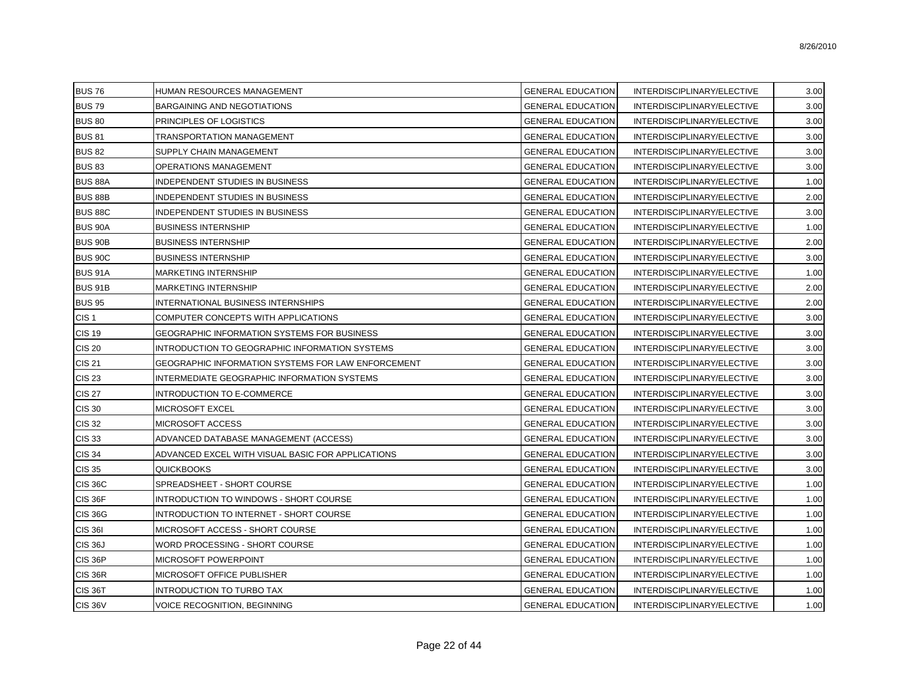| <b>BUS76</b>     | HUMAN RESOURCES MANAGEMENT                         | <b>GENERAL EDUCATION</b> | INTERDISCIPLINARY/ELECTIVE | 3.00 |
|------------------|----------------------------------------------------|--------------------------|----------------------------|------|
| <b>BUS 79</b>    | <b>BARGAINING AND NEGOTIATIONS</b>                 | <b>GENERAL EDUCATION</b> | INTERDISCIPLINARY/ELECTIVE | 3.00 |
| <b>BUS 80</b>    | PRINCIPLES OF LOGISTICS                            | <b>GENERAL EDUCATION</b> | INTERDISCIPLINARY/ELECTIVE | 3.00 |
| <b>BUS 81</b>    | TRANSPORTATION MANAGEMENT                          | <b>GENERAL EDUCATION</b> | INTERDISCIPLINARY/ELECTIVE | 3.00 |
| <b>BUS 82</b>    | SUPPLY CHAIN MANAGEMENT                            | <b>GENERAL EDUCATION</b> | INTERDISCIPLINARY/ELECTIVE | 3.00 |
| <b>BUS 83</b>    | <b>OPERATIONS MANAGEMENT</b>                       | <b>GENERAL EDUCATION</b> | INTERDISCIPLINARY/ELECTIVE | 3.00 |
| <b>BUS 88A</b>   | INDEPENDENT STUDIES IN BUSINESS                    | <b>GENERAL EDUCATION</b> | INTERDISCIPLINARY/ELECTIVE | 1.00 |
| <b>BUS 88B</b>   | INDEPENDENT STUDIES IN BUSINESS                    | <b>GENERAL EDUCATION</b> | INTERDISCIPLINARY/ELECTIVE | 2.00 |
| <b>BUS 88C</b>   | INDEPENDENT STUDIES IN BUSINESS                    | <b>GENERAL EDUCATION</b> | INTERDISCIPLINARY/ELECTIVE | 3.00 |
| <b>BUS 90A</b>   | <b>BUSINESS INTERNSHIP</b>                         | <b>GENERAL EDUCATION</b> | INTERDISCIPLINARY/ELECTIVE | 1.00 |
| <b>BUS 90B</b>   | <b>BUSINESS INTERNSHIP</b>                         | <b>GENERAL EDUCATION</b> | INTERDISCIPLINARY/ELECTIVE | 2.00 |
| <b>BUS 90C</b>   | <b>BUSINESS INTERNSHIP</b>                         | <b>GENERAL EDUCATION</b> | INTERDISCIPLINARY/ELECTIVE | 3.00 |
| <b>BUS 91A</b>   | <b>MARKETING INTERNSHIP</b>                        | <b>GENERAL EDUCATION</b> | INTERDISCIPLINARY/ELECTIVE | 1.00 |
| <b>BUS 91B</b>   | MARKETING INTERNSHIP                               | <b>GENERAL EDUCATION</b> | INTERDISCIPLINARY/ELECTIVE | 2.00 |
| <b>BUS 95</b>    | INTERNATIONAL BUSINESS INTERNSHIPS                 | <b>GENERAL EDUCATION</b> | INTERDISCIPLINARY/ELECTIVE | 2.00 |
| CIS <sub>1</sub> | COMPUTER CONCEPTS WITH APPLICATIONS                | <b>GENERAL EDUCATION</b> | INTERDISCIPLINARY/ELECTIVE | 3.00 |
| <b>CIS 19</b>    | GEOGRAPHIC INFORMATION SYSTEMS FOR BUSINESS        | <b>GENERAL EDUCATION</b> | INTERDISCIPLINARY/ELECTIVE | 3.00 |
| <b>CIS 20</b>    | INTRODUCTION TO GEOGRAPHIC INFORMATION SYSTEMS     | <b>GENERAL EDUCATION</b> | INTERDISCIPLINARY/ELECTIVE | 3.00 |
| <b>CIS 21</b>    | GEOGRAPHIC INFORMATION SYSTEMS FOR LAW ENFORCEMENT | <b>GENERAL EDUCATION</b> | INTERDISCIPLINARY/ELECTIVE | 3.00 |
| CIS 23           | INTERMEDIATE GEOGRAPHIC INFORMATION SYSTEMS        | <b>GENERAL EDUCATION</b> | INTERDISCIPLINARY/ELECTIVE | 3.00 |
| <b>CIS 27</b>    | INTRODUCTION TO E-COMMERCE                         | <b>GENERAL EDUCATION</b> | INTERDISCIPLINARY/ELECTIVE | 3.00 |
| <b>CIS 30</b>    | MICROSOFT EXCEL                                    | <b>GENERAL EDUCATION</b> | INTERDISCIPLINARY/ELECTIVE | 3.00 |
| <b>CIS 32</b>    | MICROSOFT ACCESS                                   | <b>GENERAL EDUCATION</b> | INTERDISCIPLINARY/ELECTIVE | 3.00 |
| <b>CIS 33</b>    | ADVANCED DATABASE MANAGEMENT (ACCESS)              | <b>GENERAL EDUCATION</b> | INTERDISCIPLINARY/ELECTIVE | 3.00 |
| <b>CIS 34</b>    | ADVANCED EXCEL WITH VISUAL BASIC FOR APPLICATIONS  | <b>GENERAL EDUCATION</b> | INTERDISCIPLINARY/ELECTIVE | 3.00 |
| <b>CIS 35</b>    | <b>QUICKBOOKS</b>                                  | <b>GENERAL EDUCATION</b> | INTERDISCIPLINARY/ELECTIVE | 3.00 |
| <b>CIS 36C</b>   | SPREADSHEET - SHORT COURSE                         | <b>GENERAL EDUCATION</b> | INTERDISCIPLINARY/ELECTIVE | 1.00 |
| CIS 36F          | INTRODUCTION TO WINDOWS - SHORT COURSE             | <b>GENERAL EDUCATION</b> | INTERDISCIPLINARY/ELECTIVE | 1.00 |
| <b>CIS 36G</b>   | INTRODUCTION TO INTERNET - SHORT COURSE            | <b>GENERAL EDUCATION</b> | INTERDISCIPLINARY/ELECTIVE | 1.00 |
| <b>CIS 361</b>   | MICROSOFT ACCESS - SHORT COURSE                    | <b>GENERAL EDUCATION</b> | INTERDISCIPLINARY/ELECTIVE | 1.00 |
| <b>CIS 36J</b>   | WORD PROCESSING - SHORT COURSE                     | <b>GENERAL EDUCATION</b> | INTERDISCIPLINARY/ELECTIVE | 1.00 |
| <b>CIS 36P</b>   | MICROSOFT POWERPOINT                               | <b>GENERAL EDUCATION</b> | INTERDISCIPLINARY/ELECTIVE | 1.00 |
| <b>CIS 36R</b>   | MICROSOFT OFFICE PUBLISHER                         | <b>GENERAL EDUCATION</b> | INTERDISCIPLINARY/ELECTIVE | 1.00 |
| <b>CIS 36T</b>   | INTRODUCTION TO TURBO TAX                          | <b>GENERAL EDUCATION</b> | INTERDISCIPLINARY/ELECTIVE | 1.00 |
| <b>CIS 36V</b>   | VOICE RECOGNITION, BEGINNING                       | <b>GENERAL EDUCATION</b> | INTERDISCIPLINARY/ELECTIVE | 1.00 |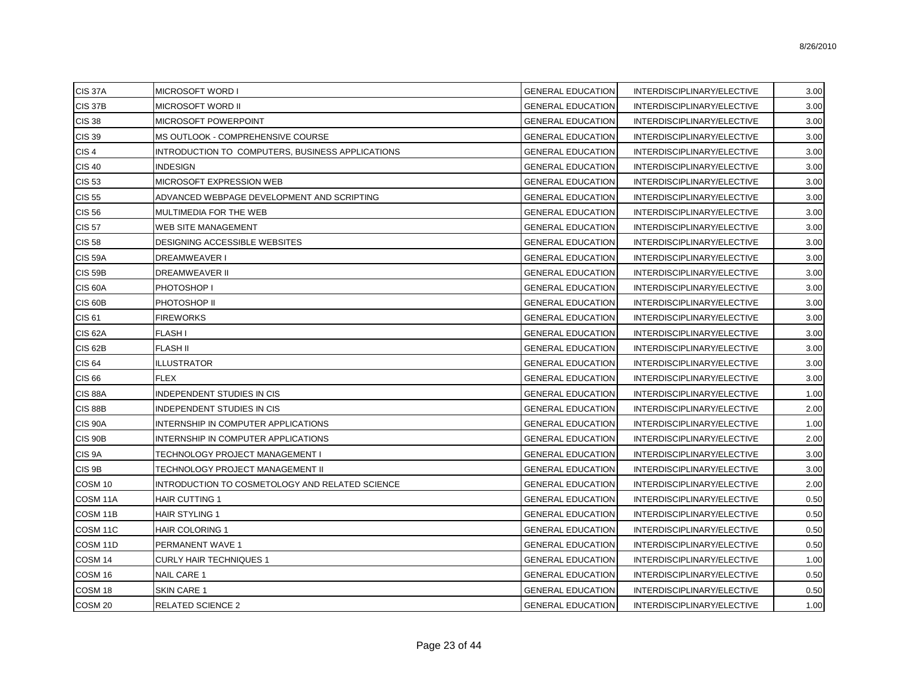| <b>CIS 37A</b>      | MICROSOFT WORD I                                 | <b>GENERAL EDUCATION</b> | INTERDISCIPLINARY/ELECTIVE | 3.00 |
|---------------------|--------------------------------------------------|--------------------------|----------------------------|------|
| <b>CIS 37B</b>      | <b>MICROSOFT WORD II</b>                         | <b>GENERAL EDUCATION</b> | INTERDISCIPLINARY/ELECTIVE | 3.00 |
| <b>CIS 38</b>       | MICROSOFT POWERPOINT                             | <b>GENERAL EDUCATION</b> | INTERDISCIPLINARY/ELECTIVE | 3.00 |
| <b>CIS 39</b>       | MS OUTLOOK - COMPREHENSIVE COURSE                | <b>GENERAL EDUCATION</b> | INTERDISCIPLINARY/ELECTIVE | 3.00 |
| CIS <sub>4</sub>    | INTRODUCTION TO COMPUTERS, BUSINESS APPLICATIONS | <b>GENERAL EDUCATION</b> | INTERDISCIPLINARY/ELECTIVE | 3.00 |
| <b>CIS 40</b>       | <b>INDESIGN</b>                                  | <b>GENERAL EDUCATION</b> | INTERDISCIPLINARY/ELECTIVE | 3.00 |
| <b>CIS 53</b>       | MICROSOFT EXPRESSION WEB                         | <b>GENERAL EDUCATION</b> | INTERDISCIPLINARY/ELECTIVE | 3.00 |
| <b>CIS 55</b>       | ADVANCED WEBPAGE DEVELOPMENT AND SCRIPTING       | <b>GENERAL EDUCATION</b> | INTERDISCIPLINARY/ELECTIVE | 3.00 |
| <b>CIS 56</b>       | MULTIMEDIA FOR THE WEB                           | <b>GENERAL EDUCATION</b> | INTERDISCIPLINARY/ELECTIVE | 3.00 |
| <b>CIS 57</b>       | WEB SITE MANAGEMENT                              | <b>GENERAL EDUCATION</b> | INTERDISCIPLINARY/ELECTIVE | 3.00 |
| <b>CIS 58</b>       | DESIGNING ACCESSIBLE WEBSITES                    | <b>GENERAL EDUCATION</b> | INTERDISCIPLINARY/ELECTIVE | 3.00 |
| <b>CIS 59A</b>      | DREAMWEAVER I                                    | <b>GENERAL EDUCATION</b> | INTERDISCIPLINARY/ELECTIVE | 3.00 |
| <b>CIS 59B</b>      | DREAMWEAVER II                                   | <b>GENERAL EDUCATION</b> | INTERDISCIPLINARY/ELECTIVE | 3.00 |
| <b>CIS 60A</b>      | PHOTOSHOP I                                      | <b>GENERAL EDUCATION</b> | INTERDISCIPLINARY/ELECTIVE | 3.00 |
| CIS <sub>60</sub> B | PHOTOSHOP II                                     | <b>GENERAL EDUCATION</b> | INTERDISCIPLINARY/ELECTIVE | 3.00 |
| <b>CIS 61</b>       | <b>FIREWORKS</b>                                 | <b>GENERAL EDUCATION</b> | INTERDISCIPLINARY/ELECTIVE | 3.00 |
| <b>CIS 62A</b>      | FLASH I                                          | <b>GENERAL EDUCATION</b> | INTERDISCIPLINARY/ELECTIVE | 3.00 |
| <b>CIS 62B</b>      | <b>FLASH II</b>                                  | <b>GENERAL EDUCATION</b> | INTERDISCIPLINARY/ELECTIVE | 3.00 |
| <b>CIS 64</b>       | <b>ILLUSTRATOR</b>                               | <b>GENERAL EDUCATION</b> | INTERDISCIPLINARY/ELECTIVE | 3.00 |
| <b>CIS 66</b>       | <b>FLEX</b>                                      | <b>GENERAL EDUCATION</b> | INTERDISCIPLINARY/ELECTIVE | 3.00 |
| <b>CIS 88A</b>      | INDEPENDENT STUDIES IN CIS                       | <b>GENERAL EDUCATION</b> | INTERDISCIPLINARY/ELECTIVE | 1.00 |
| <b>CIS 88B</b>      | INDEPENDENT STUDIES IN CIS                       | <b>GENERAL EDUCATION</b> | INTERDISCIPLINARY/ELECTIVE | 2.00 |
| <b>CIS 90A</b>      | INTERNSHIP IN COMPUTER APPLICATIONS              | <b>GENERAL EDUCATION</b> | INTERDISCIPLINARY/ELECTIVE | 1.00 |
| <b>CIS 90B</b>      | INTERNSHIP IN COMPUTER APPLICATIONS              | <b>GENERAL EDUCATION</b> | INTERDISCIPLINARY/ELECTIVE | 2.00 |
| CIS <sub>9</sub> A  | TECHNOLOGY PROJECT MANAGEMENT I                  | <b>GENERAL EDUCATION</b> | INTERDISCIPLINARY/ELECTIVE | 3.00 |
| CIS <sub>9B</sub>   | TECHNOLOGY PROJECT MANAGEMENT II                 | <b>GENERAL EDUCATION</b> | INTERDISCIPLINARY/ELECTIVE | 3.00 |
| COSM 10             | INTRODUCTION TO COSMETOLOGY AND RELATED SCIENCE  | <b>GENERAL EDUCATION</b> | INTERDISCIPLINARY/ELECTIVE | 2.00 |
| COSM 11A            | <b>HAIR CUTTING 1</b>                            | <b>GENERAL EDUCATION</b> | INTERDISCIPLINARY/ELECTIVE | 0.50 |
| COSM 11B            | <b>HAIR STYLING 1</b>                            | <b>GENERAL EDUCATION</b> | INTERDISCIPLINARY/ELECTIVE | 0.50 |
| COSM 11C            | <b>HAIR COLORING 1</b>                           | <b>GENERAL EDUCATION</b> | INTERDISCIPLINARY/ELECTIVE | 0.50 |
| COSM <sub>11D</sub> | PERMANENT WAVE 1                                 | <b>GENERAL EDUCATION</b> | INTERDISCIPLINARY/ELECTIVE | 0.50 |
| COSM 14             | <b>CURLY HAIR TECHNIQUES 1</b>                   | <b>GENERAL EDUCATION</b> | INTERDISCIPLINARY/ELECTIVE | 1.00 |
| COSM 16             | NAIL CARE 1                                      | <b>GENERAL EDUCATION</b> | INTERDISCIPLINARY/ELECTIVE | 0.50 |
| COSM 18             | <b>SKIN CARE 1</b>                               | <b>GENERAL EDUCATION</b> | INTERDISCIPLINARY/ELECTIVE | 0.50 |
| COSM <sub>20</sub>  | <b>RELATED SCIENCE 2</b>                         | <b>GENERAL EDUCATION</b> | INTERDISCIPLINARY/ELECTIVE | 1.00 |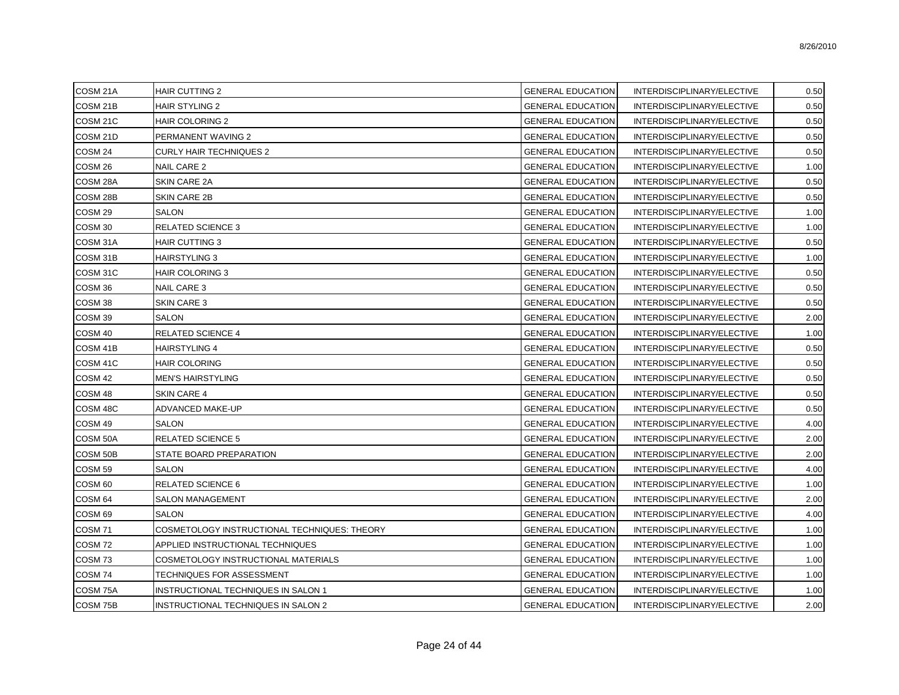| COSM 21A            | <b>HAIR CUTTING 2</b>                        | <b>GENERAL EDUCATION</b> | INTERDISCIPLINARY/ELECTIVE | 0.50 |
|---------------------|----------------------------------------------|--------------------------|----------------------------|------|
| COSM 21B            | <b>HAIR STYLING 2</b>                        | <b>GENERAL EDUCATION</b> | INTERDISCIPLINARY/ELECTIVE | 0.50 |
| COSM <sub>21C</sub> | <b>HAIR COLORING 2</b>                       | <b>GENERAL EDUCATION</b> | INTERDISCIPLINARY/ELECTIVE | 0.50 |
| COSM 21D            | PERMANENT WAVING 2                           | <b>GENERAL EDUCATION</b> | INTERDISCIPLINARY/ELECTIVE | 0.50 |
| COSM <sub>24</sub>  | CURLY HAIR TECHNIQUES 2                      | <b>GENERAL EDUCATION</b> | INTERDISCIPLINARY/ELECTIVE | 0.50 |
| COSM <sub>26</sub>  | NAIL CARE 2                                  | <b>GENERAL EDUCATION</b> | INTERDISCIPLINARY/ELECTIVE | 1.00 |
| COSM 28A            | SKIN CARE 2A                                 | <b>GENERAL EDUCATION</b> | INTERDISCIPLINARY/ELECTIVE | 0.50 |
| COSM 28B            | <b>SKIN CARE 2B</b>                          | <b>GENERAL EDUCATION</b> | INTERDISCIPLINARY/ELECTIVE | 0.50 |
| COSM <sub>29</sub>  | <b>SALON</b>                                 | <b>GENERAL EDUCATION</b> | INTERDISCIPLINARY/ELECTIVE | 1.00 |
| COSM 30             | <b>RELATED SCIENCE 3</b>                     | <b>GENERAL EDUCATION</b> | INTERDISCIPLINARY/ELECTIVE | 1.00 |
| COSM 31A            | <b>HAIR CUTTING 3</b>                        | <b>GENERAL EDUCATION</b> | INTERDISCIPLINARY/ELECTIVE | 0.50 |
| COSM 31B            | <b>HAIRSTYLING 3</b>                         | <b>GENERAL EDUCATION</b> | INTERDISCIPLINARY/ELECTIVE | 1.00 |
| COSM 31C            | <b>HAIR COLORING 3</b>                       | <b>GENERAL EDUCATION</b> | INTERDISCIPLINARY/ELECTIVE | 0.50 |
| COSM 36             | <b>NAIL CARE 3</b>                           | GENERAL EDUCATION        | INTERDISCIPLINARY/ELECTIVE | 0.50 |
| COSM <sub>38</sub>  | <b>SKIN CARE 3</b>                           | <b>GENERAL EDUCATION</b> | INTERDISCIPLINARY/ELECTIVE | 0.50 |
| COSM 39             | <b>SALON</b>                                 | GENERAL EDUCATION        | INTERDISCIPLINARY/ELECTIVE | 2.00 |
| COSM 40             | <b>RELATED SCIENCE 4</b>                     | <b>GENERAL EDUCATION</b> | INTERDISCIPLINARY/ELECTIVE | 1.00 |
| COSM 41B            | HAIRSTYLING 4                                | <b>GENERAL EDUCATION</b> | INTERDISCIPLINARY/ELECTIVE | 0.50 |
| COSM 41C            | <b>HAIR COLORING</b>                         | <b>GENERAL EDUCATION</b> | INTERDISCIPLINARY/ELECTIVE | 0.50 |
| COSM 42             | <b>MEN'S HAIRSTYLING</b>                     | <b>GENERAL EDUCATION</b> | INTERDISCIPLINARY/ELECTIVE | 0.50 |
| COSM 48             | <b>SKIN CARE 4</b>                           | <b>GENERAL EDUCATION</b> | INTERDISCIPLINARY/ELECTIVE | 0.50 |
| COSM 48C            | ADVANCED MAKE-UP                             | <b>GENERAL EDUCATION</b> | INTERDISCIPLINARY/ELECTIVE | 0.50 |
| COSM 49             | <b>SALON</b>                                 | <b>GENERAL EDUCATION</b> | INTERDISCIPLINARY/ELECTIVE | 4.00 |
| COSM 50A            | <b>RELATED SCIENCE 5</b>                     | <b>GENERAL EDUCATION</b> | INTERDISCIPLINARY/ELECTIVE | 2.00 |
| COSM 50B            | STATE BOARD PREPARATION                      | <b>GENERAL EDUCATION</b> | INTERDISCIPLINARY/ELECTIVE | 2.00 |
| COSM <sub>59</sub>  | SALON                                        | <b>GENERAL EDUCATION</b> | INTERDISCIPLINARY/ELECTIVE | 4.00 |
| COSM <sub>60</sub>  | <b>RELATED SCIENCE 6</b>                     | <b>GENERAL EDUCATION</b> | INTERDISCIPLINARY/ELECTIVE | 1.00 |
| COSM <sub>64</sub>  | <b>SALON MANAGEMENT</b>                      | <b>GENERAL EDUCATION</b> | INTERDISCIPLINARY/ELECTIVE | 2.00 |
| COSM <sub>69</sub>  | SALON                                        | <b>GENERAL EDUCATION</b> | INTERDISCIPLINARY/ELECTIVE | 4.00 |
| <b>COSM 71</b>      | COSMETOLOGY INSTRUCTIONAL TECHNIQUES: THEORY | <b>GENERAL EDUCATION</b> | INTERDISCIPLINARY/ELECTIVE | 1.00 |
| COSM <sub>72</sub>  | APPLIED INSTRUCTIONAL TECHNIQUES             | <b>GENERAL EDUCATION</b> | INTERDISCIPLINARY/ELECTIVE | 1.00 |
| COSM <sub>73</sub>  | COSMETOLOGY INSTRUCTIONAL MATERIALS          | <b>GENERAL EDUCATION</b> | INTERDISCIPLINARY/ELECTIVE | 1.00 |
| COSM <sub>74</sub>  | TECHNIQUES FOR ASSESSMENT                    | <b>GENERAL EDUCATION</b> | INTERDISCIPLINARY/ELECTIVE | 1.00 |
| COSM 75A            | INSTRUCTIONAL TECHNIQUES IN SALON 1          | <b>GENERAL EDUCATION</b> | INTERDISCIPLINARY/ELECTIVE | 1.00 |
| COSM 75B            | <b>INSTRUCTIONAL TECHNIQUES IN SALON 2</b>   | <b>GENERAL EDUCATION</b> | INTERDISCIPLINARY/ELECTIVE | 2.00 |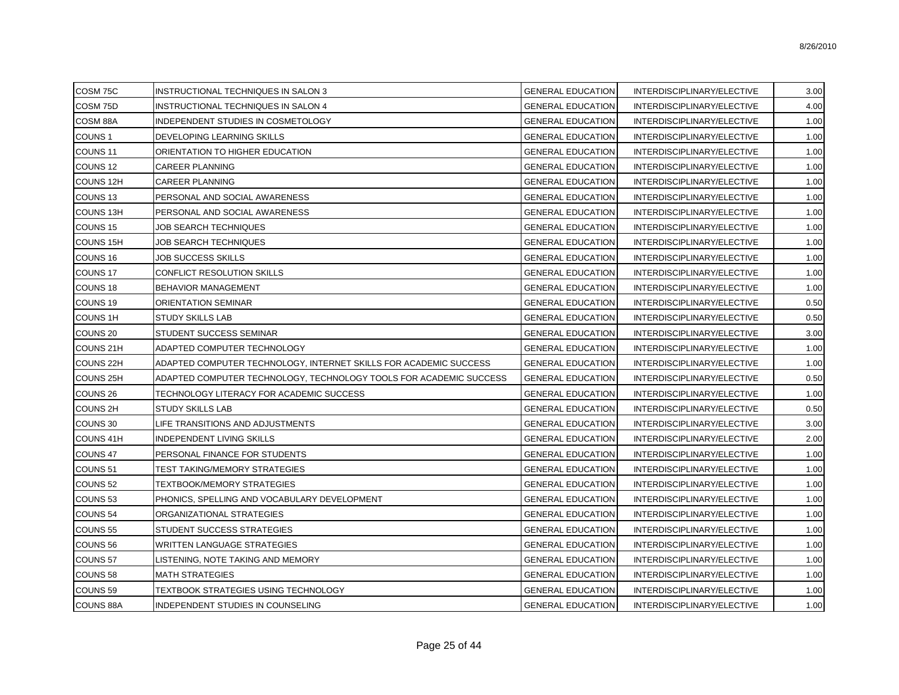| COSM 75C             | INSTRUCTIONAL TECHNIQUES IN SALON 3                                | <b>GENERAL EDUCATION</b> | INTERDISCIPLINARY/ELECTIVE | 3.00 |
|----------------------|--------------------------------------------------------------------|--------------------------|----------------------------|------|
| COSM 75D             | INSTRUCTIONAL TECHNIQUES IN SALON 4                                | <b>GENERAL EDUCATION</b> | INTERDISCIPLINARY/ELECTIVE | 4.00 |
| COSM 88A             | INDEPENDENT STUDIES IN COSMETOLOGY                                 | <b>GENERAL EDUCATION</b> | INTERDISCIPLINARY/ELECTIVE | 1.00 |
| COUNS <sub>1</sub>   | DEVELOPING LEARNING SKILLS                                         | <b>GENERAL EDUCATION</b> | INTERDISCIPLINARY/ELECTIVE | 1.00 |
| COUNS <sub>11</sub>  | ORIENTATION TO HIGHER EDUCATION                                    | <b>GENERAL EDUCATION</b> | INTERDISCIPLINARY/ELECTIVE | 1.00 |
| COUNS <sub>12</sub>  | CAREER PLANNING                                                    | <b>GENERAL EDUCATION</b> | INTERDISCIPLINARY/ELECTIVE | 1.00 |
| COUNS 12H            | <b>CAREER PLANNING</b>                                             | <b>GENERAL EDUCATION</b> | INTERDISCIPLINARY/ELECTIVE | 1.00 |
| COUNS <sub>13</sub>  | PERSONAL AND SOCIAL AWARENESS                                      | GENERAL EDUCATION        | INTERDISCIPLINARY/ELECTIVE | 1.00 |
| <b>COUNS 13H</b>     | PERSONAL AND SOCIAL AWARENESS                                      | <b>GENERAL EDUCATION</b> | INTERDISCIPLINARY/ELECTIVE | 1.00 |
| COUNS <sub>15</sub>  | JOB SEARCH TECHNIQUES                                              | <b>GENERAL EDUCATION</b> | INTERDISCIPLINARY/ELECTIVE | 1.00 |
| <b>COUNS 15H</b>     | JOB SEARCH TECHNIQUES                                              | <b>GENERAL EDUCATION</b> | INTERDISCIPLINARY/ELECTIVE | 1.00 |
| COUNS 16             | <b>JOB SUCCESS SKILLS</b>                                          | <b>GENERAL EDUCATION</b> | INTERDISCIPLINARY/ELECTIVE | 1.00 |
| COUNS 17             | CONFLICT RESOLUTION SKILLS                                         | <b>GENERAL EDUCATION</b> | INTERDISCIPLINARY/ELECTIVE | 1.00 |
| COUNS <sub>18</sub>  | BEHAVIOR MANAGEMENT                                                | <b>GENERAL EDUCATION</b> | INTERDISCIPLINARY/ELECTIVE | 1.00 |
| COUNS <sub>19</sub>  | ORIENTATION SEMINAR                                                | <b>GENERAL EDUCATION</b> | INTERDISCIPLINARY/ELECTIVE | 0.50 |
| <b>COUNS 1H</b>      | <b>STUDY SKILLS LAB</b>                                            | <b>GENERAL EDUCATION</b> | INTERDISCIPLINARY/ELECTIVE | 0.50 |
| COUNS 20             | STUDENT SUCCESS SEMINAR                                            | <b>GENERAL EDUCATION</b> | INTERDISCIPLINARY/ELECTIVE | 3.00 |
| COUNS 21H            | ADAPTED COMPUTER TECHNOLOGY                                        | <b>GENERAL EDUCATION</b> | INTERDISCIPLINARY/ELECTIVE | 1.00 |
| COUNS <sub>22H</sub> | ADAPTED COMPUTER TECHNOLOGY, INTERNET SKILLS FOR ACADEMIC SUCCESS  | <b>GENERAL EDUCATION</b> | INTERDISCIPLINARY/ELECTIVE | 1.00 |
| COUNS 25H            | ADAPTED COMPUTER TECHNOLOGY, TECHNOLOGY TOOLS FOR ACADEMIC SUCCESS | <b>GENERAL EDUCATION</b> | INTERDISCIPLINARY/ELECTIVE | 0.50 |
| COUNS <sub>26</sub>  | TECHNOLOGY LITERACY FOR ACADEMIC SUCCESS                           | <b>GENERAL EDUCATION</b> | INTERDISCIPLINARY/ELECTIVE | 1.00 |
| <b>COUNS 2H</b>      | <b>STUDY SKILLS LAB</b>                                            | GENERAL EDUCATION        | INTERDISCIPLINARY/ELECTIVE | 0.50 |
| COUNS 30             | LIFE TRANSITIONS AND ADJUSTMENTS                                   | <b>GENERAL EDUCATION</b> | INTERDISCIPLINARY/ELECTIVE | 3.00 |
| COUNS 41H            | <b>INDEPENDENT LIVING SKILLS</b>                                   | <b>GENERAL EDUCATION</b> | INTERDISCIPLINARY/ELECTIVE | 2.00 |
| COUNS 47             | PERSONAL FINANCE FOR STUDENTS                                      | <b>GENERAL EDUCATION</b> | INTERDISCIPLINARY/ELECTIVE | 1.00 |
| COUNS <sub>51</sub>  | TEST TAKING/MEMORY STRATEGIES                                      | <b>GENERAL EDUCATION</b> | INTERDISCIPLINARY/ELECTIVE | 1.00 |
| COUNS <sub>52</sub>  | <b>TEXTBOOK/MEMORY STRATEGIES</b>                                  | <b>GENERAL EDUCATION</b> | INTERDISCIPLINARY/ELECTIVE | 1.00 |
| COUNS <sub>53</sub>  | PHONICS, SPELLING AND VOCABULARY DEVELOPMENT                       | <b>GENERAL EDUCATION</b> | INTERDISCIPLINARY/ELECTIVE | 1.00 |
| COUNS <sub>54</sub>  | ORGANIZATIONAL STRATEGIES                                          | <b>GENERAL EDUCATION</b> | INTERDISCIPLINARY/ELECTIVE | 1.00 |
| COUNS <sub>55</sub>  | STUDENT SUCCESS STRATEGIES                                         | <b>GENERAL EDUCATION</b> | INTERDISCIPLINARY/ELECTIVE | 1.00 |
| COUNS <sub>56</sub>  | WRITTEN LANGUAGE STRATEGIES                                        | <b>GENERAL EDUCATION</b> | INTERDISCIPLINARY/ELECTIVE | 1.00 |
| COUNS <sub>57</sub>  | LISTENING, NOTE TAKING AND MEMORY                                  | <b>GENERAL EDUCATION</b> | INTERDISCIPLINARY/ELECTIVE | 1.00 |
| COUNS 58             | <b>MATH STRATEGIES</b>                                             | <b>GENERAL EDUCATION</b> | INTERDISCIPLINARY/ELECTIVE | 1.00 |
| COUNS <sub>59</sub>  | TEXTBOOK STRATEGIES USING TECHNOLOGY                               | <b>GENERAL EDUCATION</b> | INTERDISCIPLINARY/ELECTIVE | 1.00 |
| <b>COUNS 88A</b>     | INDEPENDENT STUDIES IN COUNSELING                                  | <b>GENERAL EDUCATION</b> | INTERDISCIPLINARY/ELECTIVE | 1.00 |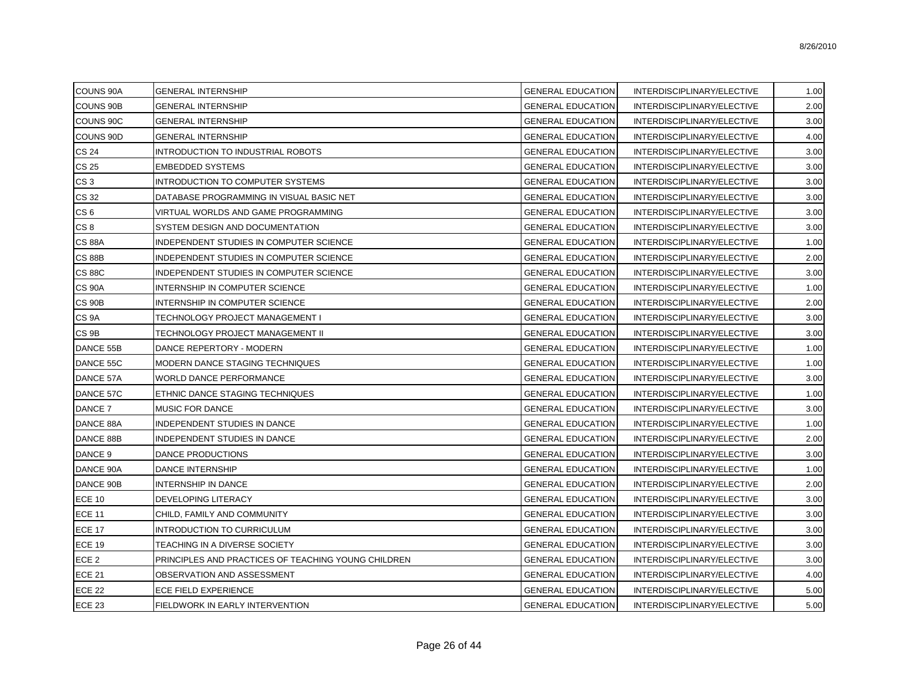| <b>COUNS 90A</b>   | <b>GENERAL INTERNSHIP</b>                           | <b>GENERAL EDUCATION</b> | INTERDISCIPLINARY/ELECTIVE | 1.00 |
|--------------------|-----------------------------------------------------|--------------------------|----------------------------|------|
| <b>COUNS 90B</b>   | <b>GENERAL INTERNSHIP</b>                           | <b>GENERAL EDUCATION</b> | INTERDISCIPLINARY/ELECTIVE | 2.00 |
| COUNS 90C          | <b>GENERAL INTERNSHIP</b>                           | <b>GENERAL EDUCATION</b> | INTERDISCIPLINARY/ELECTIVE | 3.00 |
| COUNS 90D          | <b>GENERAL INTERNSHIP</b>                           | <b>GENERAL EDUCATION</b> | INTERDISCIPLINARY/ELECTIVE | 4.00 |
| <b>CS 24</b>       | INTRODUCTION TO INDUSTRIAL ROBOTS                   | <b>GENERAL EDUCATION</b> | INTERDISCIPLINARY/ELECTIVE | 3.00 |
| CS 25              | <b>EMBEDDED SYSTEMS</b>                             | <b>GENERAL EDUCATION</b> | INTERDISCIPLINARY/ELECTIVE | 3.00 |
| CS <sub>3</sub>    | INTRODUCTION TO COMPUTER SYSTEMS                    | <b>GENERAL EDUCATION</b> | INTERDISCIPLINARY/ELECTIVE | 3.00 |
| CS 32              | DATABASE PROGRAMMING IN VISUAL BASIC NET            | <b>GENERAL EDUCATION</b> | INTERDISCIPLINARY/ELECTIVE | 3.00 |
| CS <sub>6</sub>    | VIRTUAL WORLDS AND GAME PROGRAMMING                 | <b>GENERAL EDUCATION</b> | INTERDISCIPLINARY/ELECTIVE | 3.00 |
| CS <sub>8</sub>    | SYSTEM DESIGN AND DOCUMENTATION                     | <b>GENERAL EDUCATION</b> | INTERDISCIPLINARY/ELECTIVE | 3.00 |
| <b>CS 88A</b>      | INDEPENDENT STUDIES IN COMPUTER SCIENCE             | <b>GENERAL EDUCATION</b> | INTERDISCIPLINARY/ELECTIVE | 1.00 |
| <b>CS 88B</b>      | INDEPENDENT STUDIES IN COMPUTER SCIENCE             | <b>GENERAL EDUCATION</b> | INTERDISCIPLINARY/ELECTIVE | 2.00 |
| <b>CS 88C</b>      | INDEPENDENT STUDIES IN COMPUTER SCIENCE             | <b>GENERAL EDUCATION</b> | INTERDISCIPLINARY/ELECTIVE | 3.00 |
| <b>CS 90A</b>      | INTERNSHIP IN COMPUTER SCIENCE                      | <b>GENERAL EDUCATION</b> | INTERDISCIPLINARY/ELECTIVE | 1.00 |
| <b>CS 90B</b>      | INTERNSHIP IN COMPUTER SCIENCE                      | <b>GENERAL EDUCATION</b> | INTERDISCIPLINARY/ELECTIVE | 2.00 |
| CS <sub>9</sub> A  | TECHNOLOGY PROJECT MANAGEMENT I                     | <b>GENERAL EDUCATION</b> | INTERDISCIPLINARY/ELECTIVE | 3.00 |
| CS <sub>9B</sub>   | TECHNOLOGY PROJECT MANAGEMENT II                    | <b>GENERAL EDUCATION</b> | INTERDISCIPLINARY/ELECTIVE | 3.00 |
| DANCE 55B          | DANCE REPERTORY - MODERN                            | <b>GENERAL EDUCATION</b> | INTERDISCIPLINARY/ELECTIVE | 1.00 |
| DANCE 55C          | MODERN DANCE STAGING TECHNIQUES                     | <b>GENERAL EDUCATION</b> | INTERDISCIPLINARY/ELECTIVE | 1.00 |
| DANCE 57A          | WORLD DANCE PERFORMANCE                             | <b>GENERAL EDUCATION</b> | INTERDISCIPLINARY/ELECTIVE | 3.00 |
| DANCE 57C          | ETHNIC DANCE STAGING TECHNIQUES                     | <b>GENERAL EDUCATION</b> | INTERDISCIPLINARY/ELECTIVE | 1.00 |
| DANCE 7            | <b>MUSIC FOR DANCE</b>                              | <b>GENERAL EDUCATION</b> | INTERDISCIPLINARY/ELECTIVE | 3.00 |
| DANCE 88A          | INDEPENDENT STUDIES IN DANCE                        | <b>GENERAL EDUCATION</b> | INTERDISCIPLINARY/ELECTIVE | 1.00 |
| DANCE 88B          | INDEPENDENT STUDIES IN DANCE                        | <b>GENERAL EDUCATION</b> | INTERDISCIPLINARY/ELECTIVE | 2.00 |
| DANCE <sub>9</sub> | <b>DANCE PRODUCTIONS</b>                            | <b>GENERAL EDUCATION</b> | INTERDISCIPLINARY/ELECTIVE | 3.00 |
| DANCE 90A          | <b>DANCE INTERNSHIP</b>                             | <b>GENERAL EDUCATION</b> | INTERDISCIPLINARY/ELECTIVE | 1.00 |
| DANCE 90B          | <b>INTERNSHIP IN DANCE</b>                          | <b>GENERAL EDUCATION</b> | INTERDISCIPLINARY/ELECTIVE | 2.00 |
| <b>ECE 10</b>      | DEVELOPING LITERACY                                 | <b>GENERAL EDUCATION</b> | INTERDISCIPLINARY/ELECTIVE | 3.00 |
| <b>ECE 11</b>      | CHILD, FAMILY AND COMMUNITY                         | <b>GENERAL EDUCATION</b> | INTERDISCIPLINARY/ELECTIVE | 3.00 |
| <b>ECE 17</b>      | <b>INTRODUCTION TO CURRICULUM</b>                   | <b>GENERAL EDUCATION</b> | INTERDISCIPLINARY/ELECTIVE | 3.00 |
| <b>ECE 19</b>      | TEACHING IN A DIVERSE SOCIETY                       | <b>GENERAL EDUCATION</b> | INTERDISCIPLINARY/ELECTIVE | 3.00 |
| ECE <sub>2</sub>   | PRINCIPLES AND PRACTICES OF TEACHING YOUNG CHILDREN | <b>GENERAL EDUCATION</b> | INTERDISCIPLINARY/ELECTIVE | 3.00 |
| <b>ECE 21</b>      | OBSERVATION AND ASSESSMENT                          | <b>GENERAL EDUCATION</b> | INTERDISCIPLINARY/ELECTIVE | 4.00 |
| <b>ECE 22</b>      | ECE FIELD EXPERIENCE                                | <b>GENERAL EDUCATION</b> | INTERDISCIPLINARY/ELECTIVE | 5.00 |
| <b>ECE 23</b>      | FIELDWORK IN EARLY INTERVENTION                     | <b>GENERAL EDUCATION</b> | INTERDISCIPLINARY/ELECTIVE | 5.00 |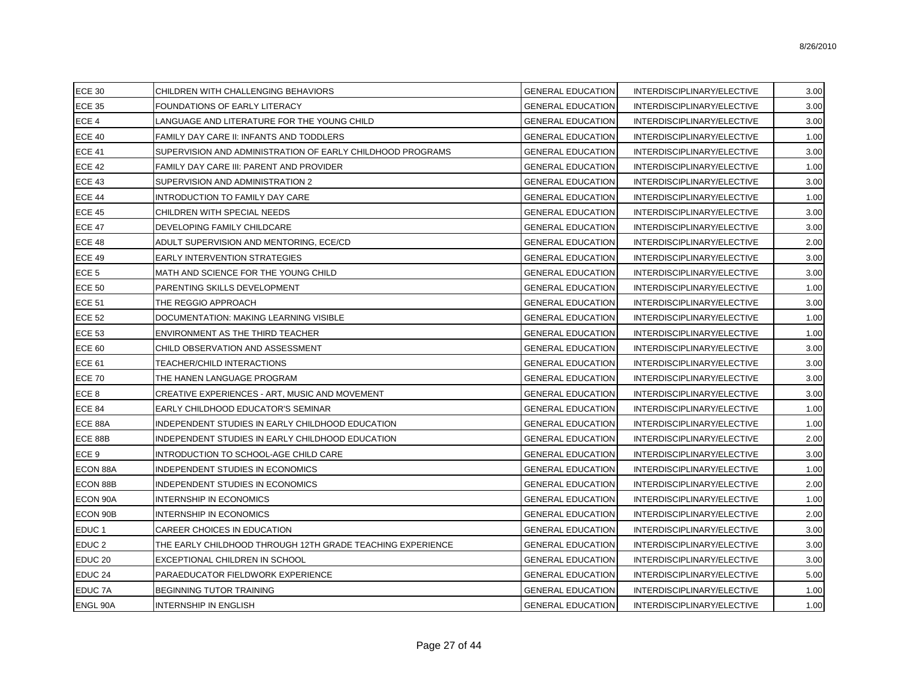| <b>ECE 30</b>      | CHILDREN WITH CHALLENGING BEHAVIORS                        | <b>GENERAL EDUCATION</b> | INTERDISCIPLINARY/ELECTIVE | 3.00 |
|--------------------|------------------------------------------------------------|--------------------------|----------------------------|------|
| <b>ECE 35</b>      | FOUNDATIONS OF EARLY LITERACY                              | <b>GENERAL EDUCATION</b> | INTERDISCIPLINARY/ELECTIVE | 3.00 |
| ECE 4              | LANGUAGE AND LITERATURE FOR THE YOUNG CHILD                | <b>GENERAL EDUCATION</b> | INTERDISCIPLINARY/ELECTIVE | 3.00 |
| <b>ECE 40</b>      | FAMILY DAY CARE II: INFANTS AND TODDLERS                   | <b>GENERAL EDUCATION</b> | INTERDISCIPLINARY/ELECTIVE | 1.00 |
| <b>ECE 41</b>      | SUPERVISION AND ADMINISTRATION OF EARLY CHILDHOOD PROGRAMS | <b>GENERAL EDUCATION</b> | INTERDISCIPLINARY/ELECTIVE | 3.00 |
| <b>ECE 42</b>      | FAMILY DAY CARE III: PARENT AND PROVIDER                   | <b>GENERAL EDUCATION</b> | INTERDISCIPLINARY/ELECTIVE | 1.00 |
| <b>ECE 43</b>      | SUPERVISION AND ADMINISTRATION 2                           | <b>GENERAL EDUCATION</b> | INTERDISCIPLINARY/ELECTIVE | 3.00 |
| <b>ECE 44</b>      | INTRODUCTION TO FAMILY DAY CARE                            | <b>GENERAL EDUCATION</b> | INTERDISCIPLINARY/ELECTIVE | 1.00 |
| <b>ECE 45</b>      | CHILDREN WITH SPECIAL NEEDS                                | <b>GENERAL EDUCATION</b> | INTERDISCIPLINARY/ELECTIVE | 3.00 |
| <b>ECE 47</b>      | DEVELOPING FAMILY CHILDCARE                                | <b>GENERAL EDUCATION</b> | INTERDISCIPLINARY/ELECTIVE | 3.00 |
| <b>ECE 48</b>      | ADULT SUPERVISION AND MENTORING, ECE/CD                    | <b>GENERAL EDUCATION</b> | INTERDISCIPLINARY/ELECTIVE | 2.00 |
| <b>ECE 49</b>      | <b>EARLY INTERVENTION STRATEGIES</b>                       | <b>GENERAL EDUCATION</b> | INTERDISCIPLINARY/ELECTIVE | 3.00 |
| ECE <sub>5</sub>   | MATH AND SCIENCE FOR THE YOUNG CHILD                       | <b>GENERAL EDUCATION</b> | INTERDISCIPLINARY/ELECTIVE | 3.00 |
| <b>ECE 50</b>      | PARENTING SKILLS DEVELOPMENT                               | <b>GENERAL EDUCATION</b> | INTERDISCIPLINARY/ELECTIVE | 1.00 |
| <b>ECE 51</b>      | THE REGGIO APPROACH                                        | <b>GENERAL EDUCATION</b> | INTERDISCIPLINARY/ELECTIVE | 3.00 |
| <b>ECE 52</b>      | DOCUMENTATION: MAKING LEARNING VISIBLE                     | <b>GENERAL EDUCATION</b> | INTERDISCIPLINARY/ELECTIVE | 1.00 |
| <b>ECE 53</b>      | ENVIRONMENT AS THE THIRD TEACHER                           | <b>GENERAL EDUCATION</b> | INTERDISCIPLINARY/ELECTIVE | 1.00 |
| <b>ECE 60</b>      | CHILD OBSERVATION AND ASSESSMENT                           | <b>GENERAL EDUCATION</b> | INTERDISCIPLINARY/ELECTIVE | 3.00 |
| <b>ECE 61</b>      | TEACHER/CHILD INTERACTIONS                                 | <b>GENERAL EDUCATION</b> | INTERDISCIPLINARY/ELECTIVE | 3.00 |
| <b>ECE 70</b>      | THE HANEN LANGUAGE PROGRAM                                 | <b>GENERAL EDUCATION</b> | INTERDISCIPLINARY/ELECTIVE | 3.00 |
| ECE <sub>8</sub>   | CREATIVE EXPERIENCES - ART, MUSIC AND MOVEMENT             | <b>GENERAL EDUCATION</b> | INTERDISCIPLINARY/ELECTIVE | 3.00 |
| ECE 84             | EARLY CHILDHOOD EDUCATOR'S SEMINAR                         | <b>GENERAL EDUCATION</b> | INTERDISCIPLINARY/ELECTIVE | 1.00 |
| ECE 88A            | INDEPENDENT STUDIES IN EARLY CHILDHOOD EDUCATION           | <b>GENERAL EDUCATION</b> | INTERDISCIPLINARY/ELECTIVE | 1.00 |
| ECE 88B            | INDEPENDENT STUDIES IN EARLY CHILDHOOD EDUCATION           | <b>GENERAL EDUCATION</b> | INTERDISCIPLINARY/ELECTIVE | 2.00 |
| ECE 9              | INTRODUCTION TO SCHOOL-AGE CHILD CARE                      | <b>GENERAL EDUCATION</b> | INTERDISCIPLINARY/ELECTIVE | 3.00 |
| ECON 88A           | INDEPENDENT STUDIES IN ECONOMICS                           | <b>GENERAL EDUCATION</b> | INTERDISCIPLINARY/ELECTIVE | 1.00 |
| ECON 88B           | <b>INDEPENDENT STUDIES IN ECONOMICS</b>                    | <b>GENERAL EDUCATION</b> | INTERDISCIPLINARY/ELECTIVE | 2.00 |
| ECON 90A           | <b>INTERNSHIP IN ECONOMICS</b>                             | <b>GENERAL EDUCATION</b> | INTERDISCIPLINARY/ELECTIVE | 1.00 |
| ECON 90B           | <b>INTERNSHIP IN ECONOMICS</b>                             | <b>GENERAL EDUCATION</b> | INTERDISCIPLINARY/ELECTIVE | 2.00 |
| EDUC <sub>1</sub>  | CAREER CHOICES IN EDUCATION                                | <b>GENERAL EDUCATION</b> | INTERDISCIPLINARY/ELECTIVE | 3.00 |
| EDUC <sub>2</sub>  | THE EARLY CHILDHOOD THROUGH 12TH GRADE TEACHING EXPERIENCE | <b>GENERAL EDUCATION</b> | INTERDISCIPLINARY/ELECTIVE | 3.00 |
| EDUC <sub>20</sub> | EXCEPTIONAL CHILDREN IN SCHOOL                             | <b>GENERAL EDUCATION</b> | INTERDISCIPLINARY/ELECTIVE | 3.00 |
| EDUC <sub>24</sub> | PARAEDUCATOR FIELDWORK EXPERIENCE                          | <b>GENERAL EDUCATION</b> | INTERDISCIPLINARY/ELECTIVE | 5.00 |
| <b>EDUC 7A</b>     | <b>BEGINNING TUTOR TRAINING</b>                            | <b>GENERAL EDUCATION</b> | INTERDISCIPLINARY/ELECTIVE | 1.00 |
| <b>ENGL 90A</b>    | IINTERNSHIP IN ENGLISH                                     | <b>GENERAL EDUCATION</b> | INTERDISCIPLINARY/ELECTIVE | 1.00 |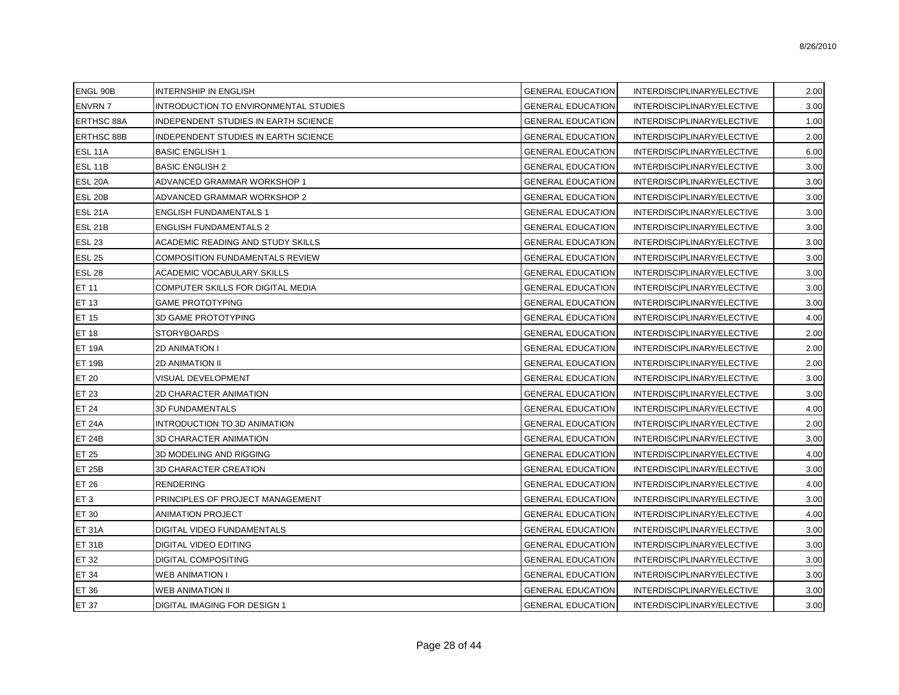| ENGL 90B           | <b>INTERNSHIP IN ENGLISH</b>          | <b>GENERAL EDUCATION</b> | INTERDISCIPLINARY/ELECTIVE | 2.00 |
|--------------------|---------------------------------------|--------------------------|----------------------------|------|
| <b>ENVRN7</b>      | INTRODUCTION TO ENVIRONMENTAL STUDIES | <b>GENERAL EDUCATION</b> | INTERDISCIPLINARY/ELECTIVE | 3.00 |
| <b>ERTHSC 88A</b>  | INDEPENDENT STUDIES IN EARTH SCIENCE  | <b>GENERAL EDUCATION</b> | INTERDISCIPLINARY/ELECTIVE | 1.00 |
| <b>ERTHSC 88B</b>  | INDEPENDENT STUDIES IN EARTH SCIENCE  | <b>GENERAL EDUCATION</b> | INTERDISCIPLINARY/ELECTIVE | 2.00 |
| ESL 11A            | <b>BASIC ENGLISH 1</b>                | <b>GENERAL EDUCATION</b> | INTERDISCIPLINARY/ELECTIVE | 6.00 |
| ESL <sub>11B</sub> | <b>BASIC ENGLISH 2</b>                | <b>GENERAL EDUCATION</b> | INTERDISCIPLINARY/ELECTIVE | 3.00 |
| ESL 20A            | ADVANCED GRAMMAR WORKSHOP 1           | <b>GENERAL EDUCATION</b> | INTERDISCIPLINARY/ELECTIVE | 3.00 |
| <b>ESL 20B</b>     | ADVANCED GRAMMAR WORKSHOP 2           | <b>GENERAL EDUCATION</b> | INTERDISCIPLINARY/ELECTIVE | 3.00 |
| <b>ESL 21A</b>     | <b>ENGLISH FUNDAMENTALS 1</b>         | <b>GENERAL EDUCATION</b> | INTERDISCIPLINARY/ELECTIVE | 3.00 |
| <b>ESL 21B</b>     | <b>ENGLISH FUNDAMENTALS 2</b>         | <b>GENERAL EDUCATION</b> | INTERDISCIPLINARY/ELECTIVE | 3.00 |
| <b>ESL 23</b>      | ACADEMIC READING AND STUDY SKILLS     | <b>GENERAL EDUCATION</b> | INTERDISCIPLINARY/ELECTIVE | 3.00 |
| <b>ESL 25</b>      | COMPOSITION FUNDAMENTALS REVIEW       | <b>GENERAL EDUCATION</b> | INTERDISCIPLINARY/ELECTIVE | 3.00 |
| <b>ESL 28</b>      | ACADEMIC VOCABULARY SKILLS            | <b>GENERAL EDUCATION</b> | INTERDISCIPLINARY/ELECTIVE | 3.00 |
| ET 11              | COMPUTER SKILLS FOR DIGITAL MEDIA     | <b>GENERAL EDUCATION</b> | INTERDISCIPLINARY/ELECTIVE | 3.00 |
| ET 13              | <b>GAME PROTOTYPING</b>               | <b>GENERAL EDUCATION</b> | INTERDISCIPLINARY/ELECTIVE | 3.00 |
| ET 15              | 3D GAME PROTOTYPING                   | <b>GENERAL EDUCATION</b> | INTERDISCIPLINARY/ELECTIVE | 4.00 |
| ET 18              | <b>STORYBOARDS</b>                    | <b>GENERAL EDUCATION</b> | INTERDISCIPLINARY/ELECTIVE | 2.00 |
| <b>ET 19A</b>      | <b>2D ANIMATION I</b>                 | <b>GENERAL EDUCATION</b> | INTERDISCIPLINARY/ELECTIVE | 2.00 |
| <b>ET 19B</b>      | <b>2D ANIMATION II</b>                | <b>GENERAL EDUCATION</b> | INTERDISCIPLINARY/ELECTIVE | 2.00 |
| ET 20              | VISUAL DEVELOPMENT                    | <b>GENERAL EDUCATION</b> | INTERDISCIPLINARY/ELECTIVE | 3.00 |
| ET 23              | 2D CHARACTER ANIMATION                | <b>GENERAL EDUCATION</b> | INTERDISCIPLINARY/ELECTIVE | 3.00 |
| <b>ET 24</b>       | <b>3D FUNDAMENTALS</b>                | <b>GENERAL EDUCATION</b> | INTERDISCIPLINARY/ELECTIVE | 4.00 |
| <b>ET 24A</b>      | INTRODUCTION TO 3D ANIMATION          | <b>GENERAL EDUCATION</b> | INTERDISCIPLINARY/ELECTIVE | 2.00 |
| <b>ET 24B</b>      | 3D CHARACTER ANIMATION                | <b>GENERAL EDUCATION</b> | INTERDISCIPLINARY/ELECTIVE | 3.00 |
| ET 25              | 3D MODELING AND RIGGING               | <b>GENERAL EDUCATION</b> | INTERDISCIPLINARY/ELECTIVE | 4.00 |
| <b>ET 25B</b>      | <b>3D CHARACTER CREATION</b>          | <b>GENERAL EDUCATION</b> | INTERDISCIPLINARY/ELECTIVE | 3.00 |
| ET 26              | <b>RENDERING</b>                      | <b>GENERAL EDUCATION</b> | INTERDISCIPLINARY/ELECTIVE | 4.00 |
| ET <sub>3</sub>    | PRINCIPLES OF PROJECT MANAGEMENT      | <b>GENERAL EDUCATION</b> | INTERDISCIPLINARY/ELECTIVE | 3.00 |
| ET 30              | ANIMATION PROJECT                     | <b>GENERAL EDUCATION</b> | INTERDISCIPLINARY/ELECTIVE | 4.00 |
| <b>ET 31A</b>      | DIGITAL VIDEO FUNDAMENTALS            | <b>GENERAL EDUCATION</b> | INTERDISCIPLINARY/ELECTIVE | 3.00 |
| <b>ET 31B</b>      | DIGITAL VIDEO EDITING                 | <b>GENERAL EDUCATION</b> | INTERDISCIPLINARY/ELECTIVE | 3.00 |
| ET 32              | DIGITAL COMPOSITING                   | <b>GENERAL EDUCATION</b> | INTERDISCIPLINARY/ELECTIVE | 3.00 |
| ET 34              | <b>WEB ANIMATION I</b>                | <b>GENERAL EDUCATION</b> | INTERDISCIPLINARY/ELECTIVE | 3.00 |
| ET 36              | WEB ANIMATION II                      | <b>GENERAL EDUCATION</b> | INTERDISCIPLINARY/ELECTIVE | 3.00 |
| <b>ET 37</b>       | DIGITAL IMAGING FOR DESIGN 1          | <b>GENERAL EDUCATION</b> | INTERDISCIPLINARY/ELECTIVE | 3.00 |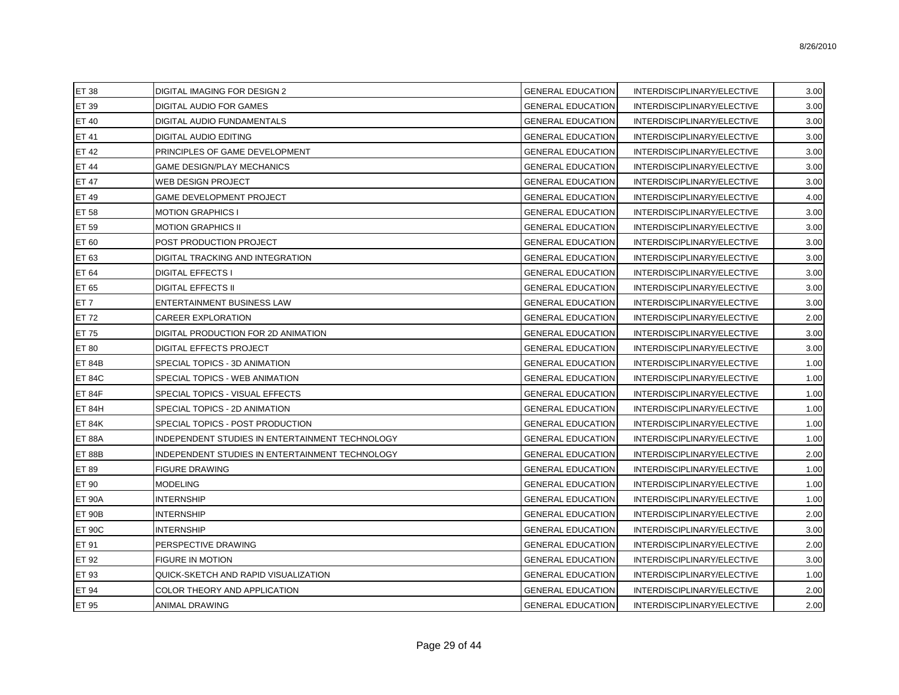| ET 38         | <b>DIGITAL IMAGING FOR DESIGN 2</b>             | <b>GENERAL EDUCATION</b> | INTERDISCIPLINARY/ELECTIVE | 3.00 |
|---------------|-------------------------------------------------|--------------------------|----------------------------|------|
| ET 39         | DIGITAL AUDIO FOR GAMES                         | <b>GENERAL EDUCATION</b> | INTERDISCIPLINARY/ELECTIVE | 3.00 |
| ET 40         | DIGITAL AUDIO FUNDAMENTALS                      | <b>GENERAL EDUCATION</b> | INTERDISCIPLINARY/ELECTIVE | 3.00 |
| ET 41         | <b>DIGITAL AUDIO EDITING</b>                    | <b>GENERAL EDUCATION</b> | INTERDISCIPLINARY/ELECTIVE | 3.00 |
| ET 42         | PRINCIPLES OF GAME DEVELOPMENT                  | <b>GENERAL EDUCATION</b> | INTERDISCIPLINARY/ELECTIVE | 3.00 |
| <b>ET 44</b>  | <b>GAME DESIGN/PLAY MECHANICS</b>               | <b>GENERAL EDUCATION</b> | INTERDISCIPLINARY/ELECTIVE | 3.00 |
| <b>ET 47</b>  | WEB DESIGN PROJECT                              | <b>GENERAL EDUCATION</b> | INTERDISCIPLINARY/ELECTIVE | 3.00 |
| ET 49         | <b>GAME DEVELOPMENT PROJECT</b>                 | <b>GENERAL EDUCATION</b> | INTERDISCIPLINARY/ELECTIVE | 4.00 |
| ET 58         | <b>MOTION GRAPHICS I</b>                        | <b>GENERAL EDUCATION</b> | INTERDISCIPLINARY/ELECTIVE | 3.00 |
| <b>ET 59</b>  | <b>MOTION GRAPHICS II</b>                       | <b>GENERAL EDUCATION</b> | INTERDISCIPLINARY/ELECTIVE | 3.00 |
| ET 60         | POST PRODUCTION PROJECT                         | <b>GENERAL EDUCATION</b> | INTERDISCIPLINARY/ELECTIVE | 3.00 |
| ET 63         | <b>DIGITAL TRACKING AND INTEGRATION</b>         | <b>GENERAL EDUCATION</b> | INTERDISCIPLINARY/ELECTIVE | 3.00 |
| ET 64         | <b>DIGITAL EFFECTS I</b>                        | <b>GENERAL EDUCATION</b> | INTERDISCIPLINARY/ELECTIVE | 3.00 |
| ET 65         | <b>DIGITAL EFFECTS II</b>                       | <b>GENERAL EDUCATION</b> | INTERDISCIPLINARY/ELECTIVE | 3.00 |
| ET 7          | <b>ENTERTAINMENT BUSINESS LAW</b>               | <b>GENERAL EDUCATION</b> | INTERDISCIPLINARY/ELECTIVE | 3.00 |
| ET 72         | CAREER EXPLORATION                              | <b>GENERAL EDUCATION</b> | INTERDISCIPLINARY/ELECTIVE | 2.00 |
| ET 75         | DIGITAL PRODUCTION FOR 2D ANIMATION             | <b>GENERAL EDUCATION</b> | INTERDISCIPLINARY/ELECTIVE | 3.00 |
| ET 80         | <b>DIGITAL EFFECTS PROJECT</b>                  | <b>GENERAL EDUCATION</b> | INTERDISCIPLINARY/ELECTIVE | 3.00 |
| <b>ET 84B</b> | SPECIAL TOPICS - 3D ANIMATION                   | <b>GENERAL EDUCATION</b> | INTERDISCIPLINARY/ELECTIVE | 1.00 |
| <b>ET 84C</b> | SPECIAL TOPICS - WEB ANIMATION                  | <b>GENERAL EDUCATION</b> | INTERDISCIPLINARY/ELECTIVE | 1.00 |
| ET 84F        | SPECIAL TOPICS - VISUAL EFFECTS                 | <b>GENERAL EDUCATION</b> | INTERDISCIPLINARY/ELECTIVE | 1.00 |
| <b>ET 84H</b> | SPECIAL TOPICS - 2D ANIMATION                   | <b>GENERAL EDUCATION</b> | INTERDISCIPLINARY/ELECTIVE | 1.00 |
| <b>ET 84K</b> | SPECIAL TOPICS - POST PRODUCTION                | <b>GENERAL EDUCATION</b> | INTERDISCIPLINARY/ELECTIVE | 1.00 |
| <b>ET 88A</b> | INDEPENDENT STUDIES IN ENTERTAINMENT TECHNOLOGY | <b>GENERAL EDUCATION</b> | INTERDISCIPLINARY/ELECTIVE | 1.00 |
| <b>ET 88B</b> | INDEPENDENT STUDIES IN ENTERTAINMENT TECHNOLOGY | <b>GENERAL EDUCATION</b> | INTERDISCIPLINARY/ELECTIVE | 2.00 |
| ET 89         | <b>FIGURE DRAWING</b>                           | <b>GENERAL EDUCATION</b> | INTERDISCIPLINARY/ELECTIVE | 1.00 |
| ET 90         | <b>MODELING</b>                                 | <b>GENERAL EDUCATION</b> | INTERDISCIPLINARY/ELECTIVE | 1.00 |
| <b>ET 90A</b> | <b>INTERNSHIP</b>                               | <b>GENERAL EDUCATION</b> | INTERDISCIPLINARY/ELECTIVE | 1.00 |
| <b>ET 90B</b> | <b>INTERNSHIP</b>                               | <b>GENERAL EDUCATION</b> | INTERDISCIPLINARY/ELECTIVE | 2.00 |
| ET 90C        | <b>INTERNSHIP</b>                               | <b>GENERAL EDUCATION</b> | INTERDISCIPLINARY/ELECTIVE | 3.00 |
| ET 91         | PERSPECTIVE DRAWING                             | <b>GENERAL EDUCATION</b> | INTERDISCIPLINARY/ELECTIVE | 2.00 |
| ET 92         | <b>FIGURE IN MOTION</b>                         | <b>GENERAL EDUCATION</b> | INTERDISCIPLINARY/ELECTIVE | 3.00 |
| ET 93         | QUICK-SKETCH AND RAPID VISUALIZATION            | <b>GENERAL EDUCATION</b> | INTERDISCIPLINARY/ELECTIVE | 1.00 |
| ET 94         | COLOR THEORY AND APPLICATION                    | <b>GENERAL EDUCATION</b> | INTERDISCIPLINARY/ELECTIVE | 2.00 |
| ET 95         | <b>ANIMAL DRAWING</b>                           | <b>GENERAL EDUCATION</b> | INTERDISCIPLINARY/ELECTIVE | 2.00 |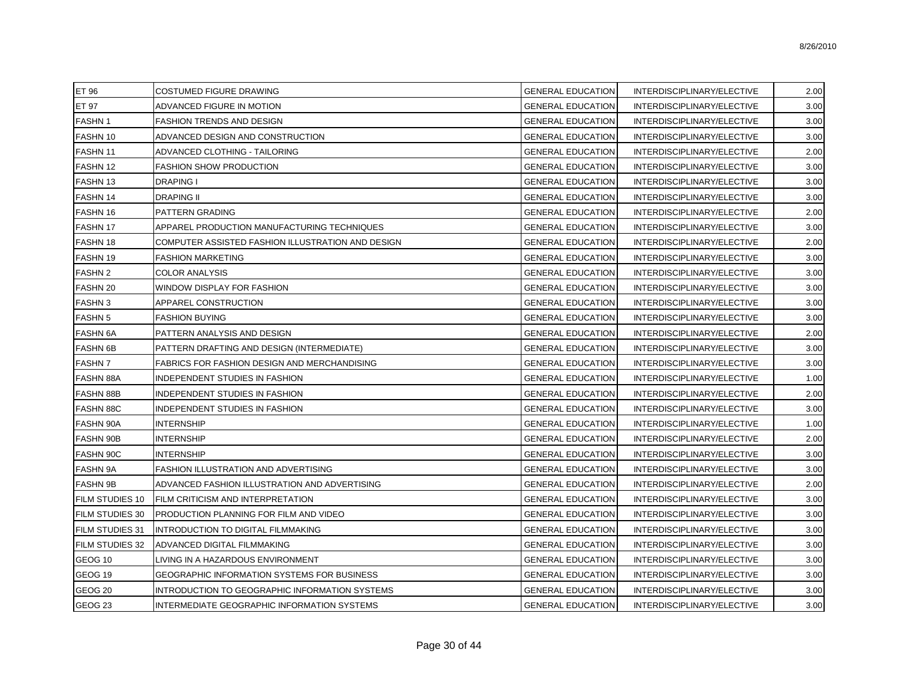| ET 96                  | COSTUMED FIGURE DRAWING                           | <b>GENERAL EDUCATION</b> | INTERDISCIPLINARY/ELECTIVE | 2.00 |
|------------------------|---------------------------------------------------|--------------------------|----------------------------|------|
| ET 97                  | ADVANCED FIGURE IN MOTION                         | <b>GENERAL EDUCATION</b> | INTERDISCIPLINARY/ELECTIVE | 3.00 |
| <b>FASHN1</b>          | FASHION TRENDS AND DESIGN                         | <b>GENERAL EDUCATION</b> | INTERDISCIPLINARY/ELECTIVE | 3.00 |
| <b>FASHN 10</b>        | ADVANCED DESIGN AND CONSTRUCTION                  | <b>GENERAL EDUCATION</b> | INTERDISCIPLINARY/ELECTIVE | 3.00 |
| <b>FASHN 11</b>        | ADVANCED CLOTHING - TAILORING                     | <b>GENERAL EDUCATION</b> | INTERDISCIPLINARY/ELECTIVE | 2.00 |
| FASHN 12               | <b>FASHION SHOW PRODUCTION</b>                    | <b>GENERAL EDUCATION</b> | INTERDISCIPLINARY/ELECTIVE | 3.00 |
| <b>FASHN13</b>         | <b>DRAPING I</b>                                  | <b>GENERAL EDUCATION</b> | INTERDISCIPLINARY/ELECTIVE | 3.00 |
| FASHN 14               | <b>DRAPING II</b>                                 | <b>GENERAL EDUCATION</b> | INTERDISCIPLINARY/ELECTIVE | 3.00 |
| FASHN 16               | PATTERN GRADING                                   | <b>GENERAL EDUCATION</b> | INTERDISCIPLINARY/ELECTIVE | 2.00 |
| <b>FASHN 17</b>        | APPAREL PRODUCTION MANUFACTURING TECHNIQUES       | <b>GENERAL EDUCATION</b> | INTERDISCIPLINARY/ELECTIVE | 3.00 |
| <b>FASHN 18</b>        | COMPUTER ASSISTED FASHION ILLUSTRATION AND DESIGN | <b>GENERAL EDUCATION</b> | INTERDISCIPLINARY/ELECTIVE | 2.00 |
| FASHN 19               | <b>FASHION MARKETING</b>                          | <b>GENERAL EDUCATION</b> | INTERDISCIPLINARY/ELECTIVE | 3.00 |
| <b>FASHN 2</b>         | <b>COLOR ANALYSIS</b>                             | <b>GENERAL EDUCATION</b> | INTERDISCIPLINARY/ELECTIVE | 3.00 |
| <b>FASHN 20</b>        | WINDOW DISPLAY FOR FASHION                        | <b>GENERAL EDUCATION</b> | INTERDISCIPLINARY/ELECTIVE | 3.00 |
| <b>FASHN3</b>          | APPAREL CONSTRUCTION                              | <b>GENERAL EDUCATION</b> | INTERDISCIPLINARY/ELECTIVE | 3.00 |
| <b>FASHN 5</b>         | <b>FASHION BUYING</b>                             | <b>GENERAL EDUCATION</b> | INTERDISCIPLINARY/ELECTIVE | 3.00 |
| <b>FASHN 6A</b>        | PATTERN ANALYSIS AND DESIGN                       | <b>GENERAL EDUCATION</b> | INTERDISCIPLINARY/ELECTIVE | 2.00 |
| <b>FASHN 6B</b>        | PATTERN DRAFTING AND DESIGN (INTERMEDIATE)        | <b>GENERAL EDUCATION</b> | INTERDISCIPLINARY/ELECTIVE | 3.00 |
| <b>FASHN7</b>          | FABRICS FOR FASHION DESIGN AND MERCHANDISING      | <b>GENERAL EDUCATION</b> | INTERDISCIPLINARY/ELECTIVE | 3.00 |
| <b>FASHN 88A</b>       | INDEPENDENT STUDIES IN FASHION                    | <b>GENERAL EDUCATION</b> | INTERDISCIPLINARY/ELECTIVE | 1.00 |
| <b>FASHN 88B</b>       | INDEPENDENT STUDIES IN FASHION                    | <b>GENERAL EDUCATION</b> | INTERDISCIPLINARY/ELECTIVE | 2.00 |
| <b>FASHN 88C</b>       | INDEPENDENT STUDIES IN FASHION                    | <b>GENERAL EDUCATION</b> | INTERDISCIPLINARY/ELECTIVE | 3.00 |
| <b>FASHN 90A</b>       | <b>INTERNSHIP</b>                                 | <b>GENERAL EDUCATION</b> | INTERDISCIPLINARY/ELECTIVE | 1.00 |
| <b>FASHN 90B</b>       | <b>INTERNSHIP</b>                                 | <b>GENERAL EDUCATION</b> | INTERDISCIPLINARY/ELECTIVE | 2.00 |
| <b>FASHN 90C</b>       | <b>INTERNSHIP</b>                                 | <b>GENERAL EDUCATION</b> | INTERDISCIPLINARY/ELECTIVE | 3.00 |
| <b>FASHN 9A</b>        | FASHION ILLUSTRATION AND ADVERTISING              | <b>GENERAL EDUCATION</b> | INTERDISCIPLINARY/ELECTIVE | 3.00 |
| <b>FASHN 9B</b>        | ADVANCED FASHION ILLUSTRATION AND ADVERTISING     | <b>GENERAL EDUCATION</b> | INTERDISCIPLINARY/ELECTIVE | 2.00 |
| FILM STUDIES 10        | FILM CRITICISM AND INTERPRETATION                 | <b>GENERAL EDUCATION</b> | INTERDISCIPLINARY/ELECTIVE | 3.00 |
| <b>FILM STUDIES 30</b> | PRODUCTION PLANNING FOR FILM AND VIDEO            | <b>GENERAL EDUCATION</b> | INTERDISCIPLINARY/ELECTIVE | 3.00 |
| <b>FILM STUDIES 31</b> | INTRODUCTION TO DIGITAL FILMMAKING                | <b>GENERAL EDUCATION</b> | INTERDISCIPLINARY/ELECTIVE | 3.00 |
| <b>FILM STUDIES 32</b> | ADVANCED DIGITAL FILMMAKING                       | <b>GENERAL EDUCATION</b> | INTERDISCIPLINARY/ELECTIVE | 3.00 |
| GEOG <sub>10</sub>     | LIVING IN A HAZARDOUS ENVIRONMENT                 | <b>GENERAL EDUCATION</b> | INTERDISCIPLINARY/ELECTIVE | 3.00 |
| GEOG <sub>19</sub>     | GEOGRAPHIC INFORMATION SYSTEMS FOR BUSINESS       | <b>GENERAL EDUCATION</b> | INTERDISCIPLINARY/ELECTIVE | 3.00 |
| GEOG <sub>20</sub>     | INTRODUCTION TO GEOGRAPHIC INFORMATION SYSTEMS    | <b>GENERAL EDUCATION</b> | INTERDISCIPLINARY/ELECTIVE | 3.00 |
| GEOG <sub>23</sub>     | INTERMEDIATE GEOGRAPHIC INFORMATION SYSTEMS       | <b>GENERAL EDUCATION</b> | INTERDISCIPLINARY/ELECTIVE | 3.00 |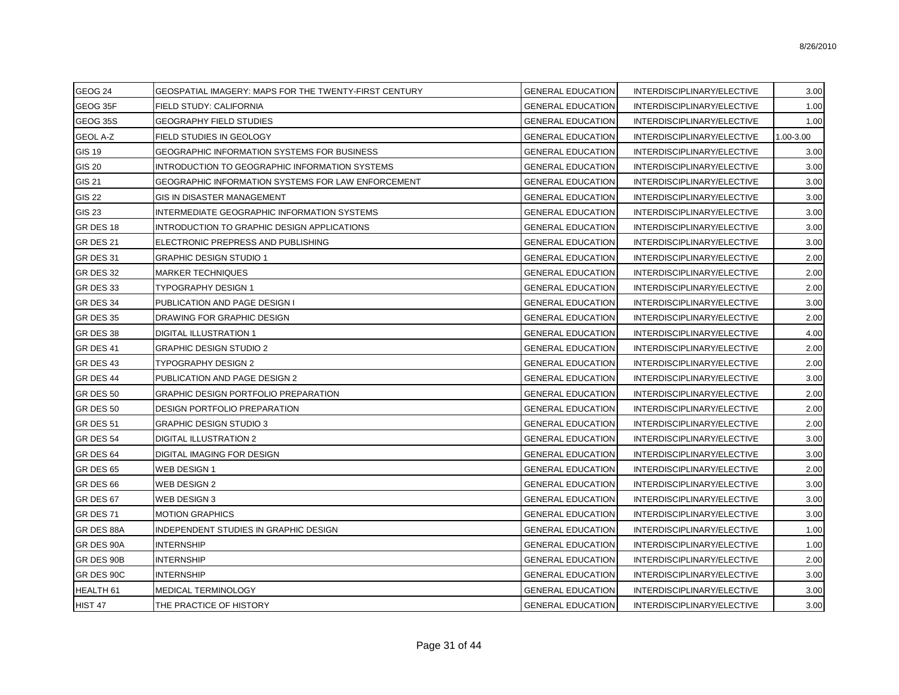| GEOG 24              | GEOSPATIAL IMAGERY: MAPS FOR THE TWENTY-FIRST CENTURY     | <b>GENERAL EDUCATION</b> | INTERDISCIPLINARY/ELECTIVE | 3.00      |
|----------------------|-----------------------------------------------------------|--------------------------|----------------------------|-----------|
| GEOG 35F             | FIELD STUDY: CALIFORNIA                                   | <b>GENERAL EDUCATION</b> | INTERDISCIPLINARY/ELECTIVE | 1.00      |
| GEOG 35S             | <b>GEOGRAPHY FIELD STUDIES</b>                            | <b>GENERAL EDUCATION</b> | INTERDISCIPLINARY/ELECTIVE | 1.00      |
| <b>GEOL A-Z</b>      | FIELD STUDIES IN GEOLOGY                                  | <b>GENERAL EDUCATION</b> | INTERDISCIPLINARY/ELECTIVE | 1.00-3.00 |
| <b>GIS 19</b>        | GEOGRAPHIC INFORMATION SYSTEMS FOR BUSINESS               | <b>GENERAL EDUCATION</b> | INTERDISCIPLINARY/ELECTIVE | 3.00      |
| <b>GIS 20</b>        | INTRODUCTION TO GEOGRAPHIC INFORMATION SYSTEMS            | <b>GENERAL EDUCATION</b> | INTERDISCIPLINARY/ELECTIVE | 3.00      |
| <b>GIS 21</b>        | <b>GEOGRAPHIC INFORMATION SYSTEMS FOR LAW ENFORCEMENT</b> | <b>GENERAL EDUCATION</b> | INTERDISCIPLINARY/ELECTIVE | 3.00      |
| <b>GIS 22</b>        | GIS IN DISASTER MANAGEMENT                                | <b>GENERAL EDUCATION</b> | INTERDISCIPLINARY/ELECTIVE | 3.00      |
| <b>GIS 23</b>        | INTERMEDIATE GEOGRAPHIC INFORMATION SYSTEMS               | <b>GENERAL EDUCATION</b> | INTERDISCIPLINARY/ELECTIVE | 3.00      |
| GR DES 18            | INTRODUCTION TO GRAPHIC DESIGN APPLICATIONS               | <b>GENERAL EDUCATION</b> | INTERDISCIPLINARY/ELECTIVE | 3.00      |
| GR DES 21            | ELECTRONIC PREPRESS AND PUBLISHING                        | <b>GENERAL EDUCATION</b> | INTERDISCIPLINARY/ELECTIVE | 3.00      |
| GR DES 31            | <b>GRAPHIC DESIGN STUDIO 1</b>                            | <b>GENERAL EDUCATION</b> | INTERDISCIPLINARY/ELECTIVE | 2.00      |
| GR DES 32            | <b>MARKER TECHNIQUES</b>                                  | <b>GENERAL EDUCATION</b> | INTERDISCIPLINARY/ELECTIVE | 2.00      |
| GR DES 33            | TYPOGRAPHY DESIGN 1                                       | <b>GENERAL EDUCATION</b> | INTERDISCIPLINARY/ELECTIVE | 2.00      |
| GR DES 34            | PUBLICATION AND PAGE DESIGN I                             | <b>GENERAL EDUCATION</b> | INTERDISCIPLINARY/ELECTIVE | 3.00      |
| GR DES 35            | DRAWING FOR GRAPHIC DESIGN                                | <b>GENERAL EDUCATION</b> | INTERDISCIPLINARY/ELECTIVE | 2.00      |
| GR DES 38            | DIGITAL ILLUSTRATION 1                                    | <b>GENERAL EDUCATION</b> | INTERDISCIPLINARY/ELECTIVE | 4.00      |
| GR DES 41            | <b>GRAPHIC DESIGN STUDIO 2</b>                            | <b>GENERAL EDUCATION</b> | INTERDISCIPLINARY/ELECTIVE | 2.00      |
| GR DES 43            | TYPOGRAPHY DESIGN 2                                       | <b>GENERAL EDUCATION</b> | INTERDISCIPLINARY/ELECTIVE | 2.00      |
| GR DES 44            | PUBLICATION AND PAGE DESIGN 2                             | <b>GENERAL EDUCATION</b> | INTERDISCIPLINARY/ELECTIVE | 3.00      |
| GR DES 50            | GRAPHIC DESIGN PORTFOLIO PREPARATION                      | <b>GENERAL EDUCATION</b> | INTERDISCIPLINARY/ELECTIVE | 2.00      |
| GR DES 50            | DESIGN PORTFOLIO PREPARATION                              | <b>GENERAL EDUCATION</b> | INTERDISCIPLINARY/ELECTIVE | 2.00      |
| GR DES 51            | <b>GRAPHIC DESIGN STUDIO 3</b>                            | <b>GENERAL EDUCATION</b> | INTERDISCIPLINARY/ELECTIVE | 2.00      |
| GR DES 54            | <b>DIGITAL ILLUSTRATION 2</b>                             | <b>GENERAL EDUCATION</b> | INTERDISCIPLINARY/ELECTIVE | 3.00      |
| GR DES 64            | <b>DIGITAL IMAGING FOR DESIGN</b>                         | <b>GENERAL EDUCATION</b> | INTERDISCIPLINARY/ELECTIVE | 3.00      |
| GR DES 65            | <b>WEB DESIGN 1</b>                                       | <b>GENERAL EDUCATION</b> | INTERDISCIPLINARY/ELECTIVE | 2.00      |
| GR DES 66            | <b>WEB DESIGN 2</b>                                       | <b>GENERAL EDUCATION</b> | INTERDISCIPLINARY/ELECTIVE | 3.00      |
| GR DES 67            | <b>WEB DESIGN 3</b>                                       | <b>GENERAL EDUCATION</b> | INTERDISCIPLINARY/ELECTIVE | 3.00      |
| GR DES 71            | <b>MOTION GRAPHICS</b>                                    | <b>GENERAL EDUCATION</b> | INTERDISCIPLINARY/ELECTIVE | 3.00      |
| GR DES 88A           | <b>INDEPENDENT STUDIES IN GRAPHIC DESIGN</b>              | <b>GENERAL EDUCATION</b> | INTERDISCIPLINARY/ELECTIVE | 1.00      |
| GR DES 90A           | <b>INTERNSHIP</b>                                         | <b>GENERAL EDUCATION</b> | INTERDISCIPLINARY/ELECTIVE | 1.00      |
| GR DES 90B           | <b>INTERNSHIP</b>                                         | <b>GENERAL EDUCATION</b> | INTERDISCIPLINARY/ELECTIVE | 2.00      |
| GR DES 90C           | <b>INTERNSHIP</b>                                         | <b>GENERAL EDUCATION</b> | INTERDISCIPLINARY/ELECTIVE | 3.00      |
| HEALTH <sub>61</sub> | MEDICAL TERMINOLOGY                                       | <b>GENERAL EDUCATION</b> | INTERDISCIPLINARY/ELECTIVE | 3.00      |
| HIST 47              | THE PRACTICE OF HISTORY                                   | <b>GENERAL EDUCATION</b> | INTERDISCIPLINARY/ELECTIVE | 3.00      |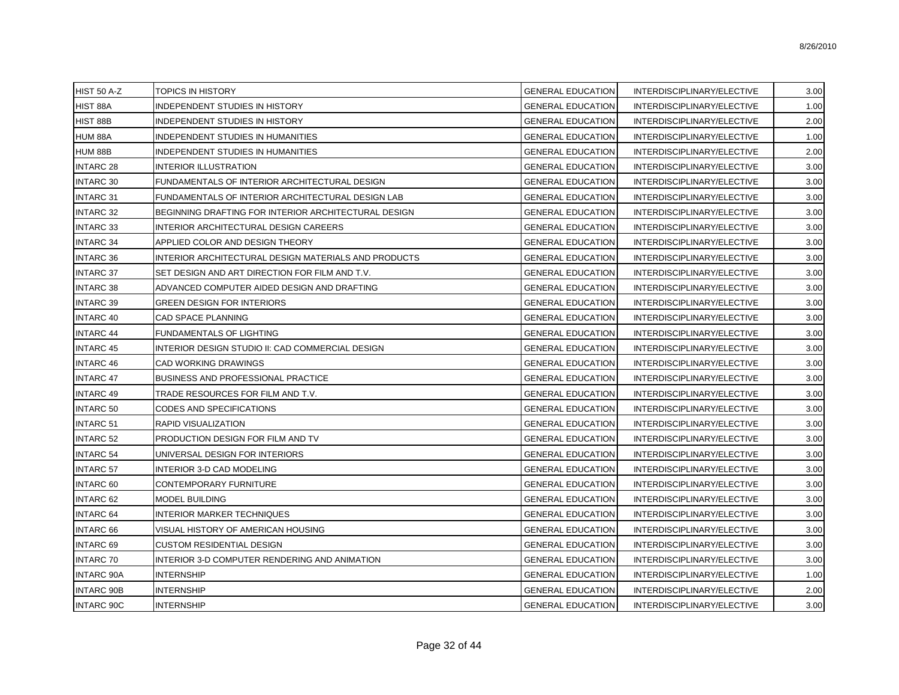| <b>HIST 50 A-Z</b> | TOPICS IN HISTORY                                    | <b>GENERAL EDUCATION</b> | INTERDISCIPLINARY/ELECTIVE | 3.00 |
|--------------------|------------------------------------------------------|--------------------------|----------------------------|------|
| HIST 88A           | INDEPENDENT STUDIES IN HISTORY                       | <b>GENERAL EDUCATION</b> | INTERDISCIPLINARY/ELECTIVE | 1.00 |
| HIST 88B           | INDEPENDENT STUDIES IN HISTORY                       | <b>GENERAL EDUCATION</b> | INTERDISCIPLINARY/ELECTIVE | 2.00 |
| HUM 88A            | INDEPENDENT STUDIES IN HUMANITIES                    | <b>GENERAL EDUCATION</b> | INTERDISCIPLINARY/ELECTIVE | 1.00 |
| HUM 88B            | INDEPENDENT STUDIES IN HUMANITIES                    | <b>GENERAL EDUCATION</b> | INTERDISCIPLINARY/ELECTIVE | 2.00 |
| <b>INTARC 28</b>   | INTERIOR ILLUSTRATION                                | <b>GENERAL EDUCATION</b> | INTERDISCIPLINARY/ELECTIVE | 3.00 |
| <b>INTARC 30</b>   | FUNDAMENTALS OF INTERIOR ARCHITECTURAL DESIGN        | <b>GENERAL EDUCATION</b> | INTERDISCIPLINARY/ELECTIVE | 3.00 |
| <b>INTARC 31</b>   | FUNDAMENTALS OF INTERIOR ARCHITECTURAL DESIGN LAB    | <b>GENERAL EDUCATION</b> | INTERDISCIPLINARY/ELECTIVE | 3.00 |
| <b>INTARC 32</b>   | BEGINNING DRAFTING FOR INTERIOR ARCHITECTURAL DESIGN | <b>GENERAL EDUCATION</b> | INTERDISCIPLINARY/ELECTIVE | 3.00 |
| <b>INTARC 33</b>   | INTERIOR ARCHITECTURAL DESIGN CAREERS                | <b>GENERAL EDUCATION</b> | INTERDISCIPLINARY/ELECTIVE | 3.00 |
| <b>INTARC 34</b>   | APPLIED COLOR AND DESIGN THEORY                      | <b>GENERAL EDUCATION</b> | INTERDISCIPLINARY/ELECTIVE | 3.00 |
| <b>INTARC 36</b>   | INTERIOR ARCHITECTURAL DESIGN MATERIALS AND PRODUCTS | <b>GENERAL EDUCATION</b> | INTERDISCIPLINARY/ELECTIVE | 3.00 |
| <b>INTARC 37</b>   | SET DESIGN AND ART DIRECTION FOR FILM AND T.V.       | <b>GENERAL EDUCATION</b> | INTERDISCIPLINARY/ELECTIVE | 3.00 |
| <b>INTARC 38</b>   | ADVANCED COMPUTER AIDED DESIGN AND DRAFTING          | <b>GENERAL EDUCATION</b> | INTERDISCIPLINARY/ELECTIVE | 3.00 |
| <b>INTARC 39</b>   | GREEN DESIGN FOR INTERIORS                           | <b>GENERAL EDUCATION</b> | INTERDISCIPLINARY/ELECTIVE | 3.00 |
| <b>INTARC 40</b>   | CAD SPACE PLANNING                                   | <b>GENERAL EDUCATION</b> | INTERDISCIPLINARY/ELECTIVE | 3.00 |
| <b>INTARC 44</b>   | FUNDAMENTALS OF LIGHTING                             | <b>GENERAL EDUCATION</b> | INTERDISCIPLINARY/ELECTIVE | 3.00 |
| <b>INTARC 45</b>   | INTERIOR DESIGN STUDIO II: CAD COMMERCIAL DESIGN     | <b>GENERAL EDUCATION</b> | INTERDISCIPLINARY/ELECTIVE | 3.00 |
| <b>INTARC 46</b>   | CAD WORKING DRAWINGS                                 | <b>GENERAL EDUCATION</b> | INTERDISCIPLINARY/ELECTIVE | 3.00 |
| <b>INTARC 47</b>   | BUSINESS AND PROFESSIONAL PRACTICE                   | <b>GENERAL EDUCATION</b> | INTERDISCIPLINARY/ELECTIVE | 3.00 |
| <b>INTARC 49</b>   | TRADE RESOURCES FOR FILM AND T.V.                    | <b>GENERAL EDUCATION</b> | INTERDISCIPLINARY/ELECTIVE | 3.00 |
| <b>INTARC 50</b>   | CODES AND SPECIFICATIONS                             | <b>GENERAL EDUCATION</b> | INTERDISCIPLINARY/ELECTIVE | 3.00 |
| <b>INTARC 51</b>   | RAPID VISUALIZATION                                  | <b>GENERAL EDUCATION</b> | INTERDISCIPLINARY/ELECTIVE | 3.00 |
| <b>INTARC 52</b>   | PRODUCTION DESIGN FOR FILM AND TV                    | <b>GENERAL EDUCATION</b> | INTERDISCIPLINARY/ELECTIVE | 3.00 |
| <b>INTARC 54</b>   | UNIVERSAL DESIGN FOR INTERIORS                       | <b>GENERAL EDUCATION</b> | INTERDISCIPLINARY/ELECTIVE | 3.00 |
| <b>INTARC 57</b>   | INTERIOR 3-D CAD MODELING                            | <b>GENERAL EDUCATION</b> | INTERDISCIPLINARY/ELECTIVE | 3.00 |
| <b>INTARC 60</b>   | CONTEMPORARY FURNITURE                               | <b>GENERAL EDUCATION</b> | INTERDISCIPLINARY/ELECTIVE | 3.00 |
| <b>INTARC 62</b>   | MODEL BUILDING                                       | <b>GENERAL EDUCATION</b> | INTERDISCIPLINARY/ELECTIVE | 3.00 |
| <b>INTARC 64</b>   | <b>INTERIOR MARKER TECHNIQUES</b>                    | <b>GENERAL EDUCATION</b> | INTERDISCIPLINARY/ELECTIVE | 3.00 |
| <b>INTARC 66</b>   | VISUAL HISTORY OF AMERICAN HOUSING                   | <b>GENERAL EDUCATION</b> | INTERDISCIPLINARY/ELECTIVE | 3.00 |
| <b>INTARC 69</b>   | <b>CUSTOM RESIDENTIAL DESIGN</b>                     | <b>GENERAL EDUCATION</b> | INTERDISCIPLINARY/ELECTIVE | 3.00 |
| <b>INTARC 70</b>   | INTERIOR 3-D COMPUTER RENDERING AND ANIMATION        | <b>GENERAL EDUCATION</b> | INTERDISCIPLINARY/ELECTIVE | 3.00 |
| <b>INTARC 90A</b>  | <b>INTERNSHIP</b>                                    | <b>GENERAL EDUCATION</b> | INTERDISCIPLINARY/ELECTIVE | 1.00 |
| <b>INTARC 90B</b>  | INTERNSHIP                                           | <b>GENERAL EDUCATION</b> | INTERDISCIPLINARY/ELECTIVE | 2.00 |
| <b>INTARC 90C</b>  | <b>INTERNSHIP</b>                                    | <b>GENERAL EDUCATION</b> | INTERDISCIPLINARY/ELECTIVE | 3.00 |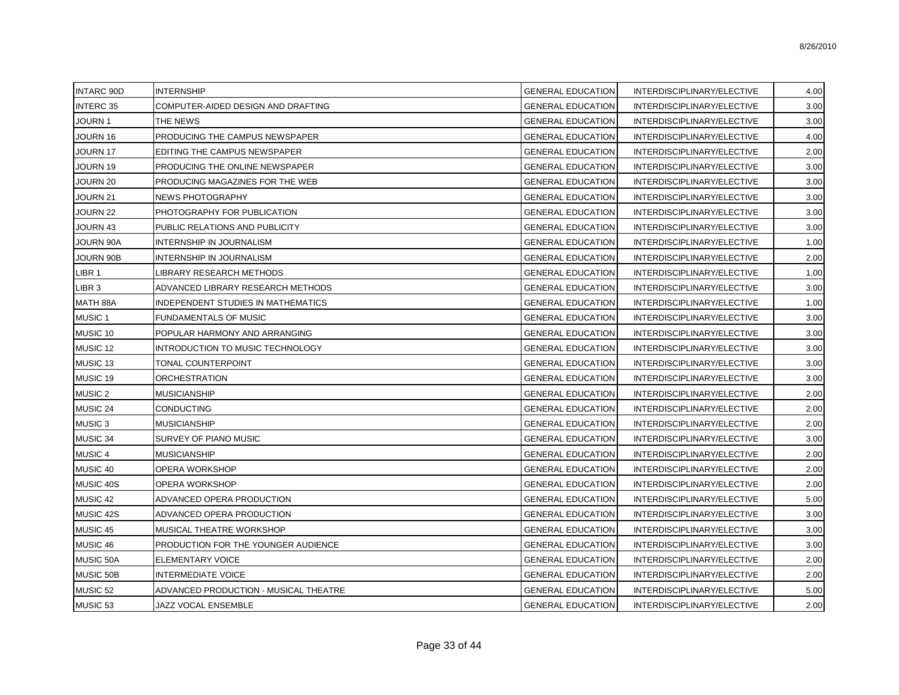| <b>INTARC 90D</b>  | <b>INTERNSHIP</b>                         | <b>GENERAL EDUCATION</b> | INTERDISCIPLINARY/ELECTIVE | 4.00 |
|--------------------|-------------------------------------------|--------------------------|----------------------------|------|
| <b>INTERC 35</b>   | COMPUTER-AIDED DESIGN AND DRAFTING        | <b>GENERAL EDUCATION</b> | INTERDISCIPLINARY/ELECTIVE | 3.00 |
| JOURN 1            | THE NEWS                                  | <b>GENERAL EDUCATION</b> | INTERDISCIPLINARY/ELECTIVE | 3.00 |
| JOURN 16           | PRODUCING THE CAMPUS NEWSPAPER            | <b>GENERAL EDUCATION</b> | INTERDISCIPLINARY/ELECTIVE | 4.00 |
| JOURN 17           | EDITING THE CAMPUS NEWSPAPER              | <b>GENERAL EDUCATION</b> | INTERDISCIPLINARY/ELECTIVE | 2.00 |
| JOURN 19           | PRODUCING THE ONLINE NEWSPAPER            | <b>GENERAL EDUCATION</b> | INTERDISCIPLINARY/ELECTIVE | 3.00 |
| JOURN 20           | PRODUCING MAGAZINES FOR THE WEB           | <b>GENERAL EDUCATION</b> | INTERDISCIPLINARY/ELECTIVE | 3.00 |
| JOURN 21           | <b>NEWS PHOTOGRAPHY</b>                   | <b>GENERAL EDUCATION</b> | INTERDISCIPLINARY/ELECTIVE | 3.00 |
| JOURN 22           | PHOTOGRAPHY FOR PUBLICATION               | <b>GENERAL EDUCATION</b> | INTERDISCIPLINARY/ELECTIVE | 3.00 |
| JOURN 43           | PUBLIC RELATIONS AND PUBLICITY            | <b>GENERAL EDUCATION</b> | INTERDISCIPLINARY/ELECTIVE | 3.00 |
| JOURN 90A          | <b>INTERNSHIP IN JOURNALISM</b>           | <b>GENERAL EDUCATION</b> | INTERDISCIPLINARY/ELECTIVE | 1.00 |
| JOURN 90B          | <b>INTERNSHIP IN JOURNALISM</b>           | <b>GENERAL EDUCATION</b> | INTERDISCIPLINARY/ELECTIVE | 2.00 |
| LIBR 1             | LIBRARY RESEARCH METHODS                  | <b>GENERAL EDUCATION</b> | INTERDISCIPLINARY/ELECTIVE | 1.00 |
| LIBR 3             | ADVANCED LIBRARY RESEARCH METHODS         | <b>GENERAL EDUCATION</b> | INTERDISCIPLINARY/ELECTIVE | 3.00 |
| MATH 88A           | <b>INDEPENDENT STUDIES IN MATHEMATICS</b> | <b>GENERAL EDUCATION</b> | INTERDISCIPLINARY/ELECTIVE | 1.00 |
| MUSIC <sub>1</sub> | <b>FUNDAMENTALS OF MUSIC</b>              | <b>GENERAL EDUCATION</b> | INTERDISCIPLINARY/ELECTIVE | 3.00 |
| MUSIC 10           | POPULAR HARMONY AND ARRANGING             | <b>GENERAL EDUCATION</b> | INTERDISCIPLINARY/ELECTIVE | 3.00 |
| MUSIC 12           | INTRODUCTION TO MUSIC TECHNOLOGY          | <b>GENERAL EDUCATION</b> | INTERDISCIPLINARY/ELECTIVE | 3.00 |
| MUSIC 13           | TONAL COUNTERPOINT                        | <b>GENERAL EDUCATION</b> | INTERDISCIPLINARY/ELECTIVE | 3.00 |
| MUSIC 19           | <b>ORCHESTRATION</b>                      | <b>GENERAL EDUCATION</b> | INTERDISCIPLINARY/ELECTIVE | 3.00 |
| <b>MUSIC 2</b>     | <b>MUSICIANSHIP</b>                       | <b>GENERAL EDUCATION</b> | INTERDISCIPLINARY/ELECTIVE | 2.00 |
| MUSIC 24           | <b>CONDUCTING</b>                         | <b>GENERAL EDUCATION</b> | INTERDISCIPLINARY/ELECTIVE | 2.00 |
| MUSIC <sub>3</sub> | <b>MUSICIANSHIP</b>                       | <b>GENERAL EDUCATION</b> | INTERDISCIPLINARY/ELECTIVE | 2.00 |
| MUSIC 34           | SURVEY OF PIANO MUSIC                     | <b>GENERAL EDUCATION</b> | INTERDISCIPLINARY/ELECTIVE | 3.00 |
| MUSIC 4            | <b>MUSICIANSHIP</b>                       | <b>GENERAL EDUCATION</b> | INTERDISCIPLINARY/ELECTIVE | 2.00 |
| MUSIC 40           | OPERA WORKSHOP                            | <b>GENERAL EDUCATION</b> | INTERDISCIPLINARY/ELECTIVE | 2.00 |
| MUSIC 40S          | OPERA WORKSHOP                            | <b>GENERAL EDUCATION</b> | INTERDISCIPLINARY/ELECTIVE | 2.00 |
| MUSIC 42           | ADVANCED OPERA PRODUCTION                 | <b>GENERAL EDUCATION</b> | INTERDISCIPLINARY/ELECTIVE | 5.00 |
| MUSIC 42S          | ADVANCED OPERA PRODUCTION                 | <b>GENERAL EDUCATION</b> | INTERDISCIPLINARY/ELECTIVE | 3.00 |
| MUSIC 45           | MUSICAL THEATRE WORKSHOP                  | <b>GENERAL EDUCATION</b> | INTERDISCIPLINARY/ELECTIVE | 3.00 |
| MUSIC 46           | PRODUCTION FOR THE YOUNGER AUDIENCE       | <b>GENERAL EDUCATION</b> | INTERDISCIPLINARY/ELECTIVE | 3.00 |
| MUSIC 50A          | <b>ELEMENTARY VOICE</b>                   | <b>GENERAL EDUCATION</b> | INTERDISCIPLINARY/ELECTIVE | 2.00 |
| MUSIC 50B          | <b>INTERMEDIATE VOICE</b>                 | <b>GENERAL EDUCATION</b> | INTERDISCIPLINARY/ELECTIVE | 2.00 |
| MUSIC 52           | ADVANCED PRODUCTION - MUSICAL THEATRE     | <b>GENERAL EDUCATION</b> | INTERDISCIPLINARY/ELECTIVE | 5.00 |
| MUSIC 53           | JAZZ VOCAL ENSEMBLE                       | <b>GENERAL EDUCATION</b> | INTERDISCIPLINARY/ELECTIVE | 2.00 |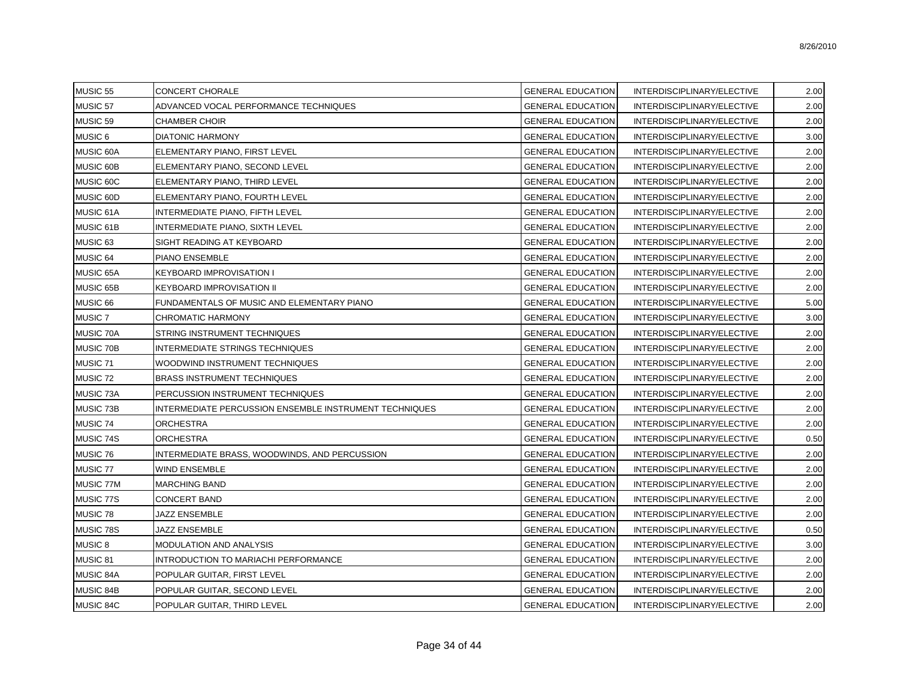| MUSIC 55           | <b>CONCERT CHORALE</b>                                 | <b>GENERAL EDUCATION</b> | INTERDISCIPLINARY/ELECTIVE | 2.00 |
|--------------------|--------------------------------------------------------|--------------------------|----------------------------|------|
| MUSIC 57           | ADVANCED VOCAL PERFORMANCE TECHNIQUES                  | <b>GENERAL EDUCATION</b> | INTERDISCIPLINARY/ELECTIVE | 2.00 |
| MUSIC 59           | <b>CHAMBER CHOIR</b>                                   | <b>GENERAL EDUCATION</b> | INTERDISCIPLINARY/ELECTIVE | 2.00 |
| <b>MUSIC 6</b>     | <b>DIATONIC HARMONY</b>                                | <b>GENERAL EDUCATION</b> | INTERDISCIPLINARY/ELECTIVE | 3.00 |
| MUSIC 60A          | ELEMENTARY PIANO, FIRST LEVEL                          | <b>GENERAL EDUCATION</b> | INTERDISCIPLINARY/ELECTIVE | 2.00 |
| MUSIC 60B          | ELEMENTARY PIANO, SECOND LEVEL                         | <b>GENERAL EDUCATION</b> | INTERDISCIPLINARY/ELECTIVE | 2.00 |
| MUSIC 60C          | ELEMENTARY PIANO, THIRD LEVEL                          | <b>GENERAL EDUCATION</b> | INTERDISCIPLINARY/ELECTIVE | 2.00 |
| MUSIC 60D          | ELEMENTARY PIANO, FOURTH LEVEL                         | <b>GENERAL EDUCATION</b> | INTERDISCIPLINARY/ELECTIVE | 2.00 |
| MUSIC 61A          | INTERMEDIATE PIANO, FIFTH LEVEL                        | <b>GENERAL EDUCATION</b> | INTERDISCIPLINARY/ELECTIVE | 2.00 |
| MUSIC 61B          | INTERMEDIATE PIANO, SIXTH LEVEL                        | <b>GENERAL EDUCATION</b> | INTERDISCIPLINARY/ELECTIVE | 2.00 |
| MUSIC 63           | SIGHT READING AT KEYBOARD                              | <b>GENERAL EDUCATION</b> | INTERDISCIPLINARY/ELECTIVE | 2.00 |
| MUSIC 64           | PIANO ENSEMBLE                                         | <b>GENERAL EDUCATION</b> | INTERDISCIPLINARY/ELECTIVE | 2.00 |
| MUSIC 65A          | KEYBOARD IMPROVISATION I                               | <b>GENERAL EDUCATION</b> | INTERDISCIPLINARY/ELECTIVE | 2.00 |
| MUSIC 65B          | KEYBOARD IMPROVISATION II                              | <b>GENERAL EDUCATION</b> | INTERDISCIPLINARY/ELECTIVE | 2.00 |
| MUSIC 66           | FUNDAMENTALS OF MUSIC AND ELEMENTARY PIANO             | <b>GENERAL EDUCATION</b> | INTERDISCIPLINARY/ELECTIVE | 5.00 |
| MUSIC <sub>7</sub> | CHROMATIC HARMONY                                      | <b>GENERAL EDUCATION</b> | INTERDISCIPLINARY/ELECTIVE | 3.00 |
| MUSIC 70A          | <b>STRING INSTRUMENT TECHNIQUES</b>                    | <b>GENERAL EDUCATION</b> | INTERDISCIPLINARY/ELECTIVE | 2.00 |
| MUSIC 70B          | INTERMEDIATE STRINGS TECHNIQUES                        | <b>GENERAL EDUCATION</b> | INTERDISCIPLINARY/ELECTIVE | 2.00 |
| MUSIC 71           | WOODWIND INSTRUMENT TECHNIQUES                         | <b>GENERAL EDUCATION</b> | INTERDISCIPLINARY/ELECTIVE | 2.00 |
| MUSIC 72           | <b>BRASS INSTRUMENT TECHNIQUES</b>                     | <b>GENERAL EDUCATION</b> | INTERDISCIPLINARY/ELECTIVE | 2.00 |
| MUSIC 73A          | PERCUSSION INSTRUMENT TECHNIQUES                       | <b>GENERAL EDUCATION</b> | INTERDISCIPLINARY/ELECTIVE | 2.00 |
| MUSIC 73B          | INTERMEDIATE PERCUSSION ENSEMBLE INSTRUMENT TECHNIQUES | <b>GENERAL EDUCATION</b> | INTERDISCIPLINARY/ELECTIVE | 2.00 |
| MUSIC 74           | <b>ORCHESTRA</b>                                       | <b>GENERAL EDUCATION</b> | INTERDISCIPLINARY/ELECTIVE | 2.00 |
| MUSIC 74S          | <b>ORCHESTRA</b>                                       | <b>GENERAL EDUCATION</b> | INTERDISCIPLINARY/ELECTIVE | 0.50 |
| MUSIC 76           | INTERMEDIATE BRASS, WOODWINDS, AND PERCUSSION          | <b>GENERAL EDUCATION</b> | INTERDISCIPLINARY/ELECTIVE | 2.00 |
| MUSIC 77           | <b>WIND ENSEMBLE</b>                                   | <b>GENERAL EDUCATION</b> | INTERDISCIPLINARY/ELECTIVE | 2.00 |
| MUSIC 77M          | <b>MARCHING BAND</b>                                   | <b>GENERAL EDUCATION</b> | INTERDISCIPLINARY/ELECTIVE | 2.00 |
| MUSIC 77S          | <b>CONCERT BAND</b>                                    | <b>GENERAL EDUCATION</b> | INTERDISCIPLINARY/ELECTIVE | 2.00 |
| MUSIC 78           | JAZZ ENSEMBLE                                          | <b>GENERAL EDUCATION</b> | INTERDISCIPLINARY/ELECTIVE | 2.00 |
| MUSIC 78S          | JAZZ ENSEMBLE                                          | <b>GENERAL EDUCATION</b> | INTERDISCIPLINARY/ELECTIVE | 0.50 |
| <b>MUSIC 8</b>     | <b>MODULATION AND ANALYSIS</b>                         | <b>GENERAL EDUCATION</b> | INTERDISCIPLINARY/ELECTIVE | 3.00 |
| MUSIC 81           | INTRODUCTION TO MARIACHI PERFORMANCE                   | <b>GENERAL EDUCATION</b> | INTERDISCIPLINARY/ELECTIVE | 2.00 |
| MUSIC 84A          | POPULAR GUITAR, FIRST LEVEL                            | <b>GENERAL EDUCATION</b> | INTERDISCIPLINARY/ELECTIVE | 2.00 |
| MUSIC 84B          | POPULAR GUITAR, SECOND LEVEL                           | <b>GENERAL EDUCATION</b> | INTERDISCIPLINARY/ELECTIVE | 2.00 |
| MUSIC 84C          | POPULAR GUITAR, THIRD LEVEL                            | <b>GENERAL EDUCATION</b> | INTERDISCIPLINARY/ELECTIVE | 2.00 |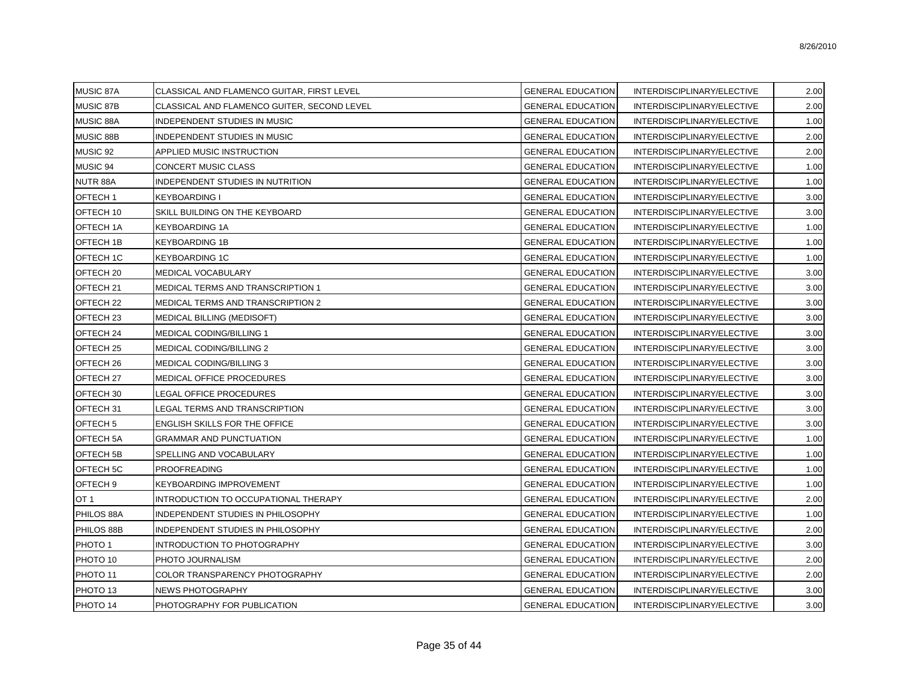| MUSIC 87A             | CLASSICAL AND FLAMENCO GUITAR, FIRST LEVEL  | <b>GENERAL EDUCATION</b> | INTERDISCIPLINARY/ELECTIVE | 2.00 |
|-----------------------|---------------------------------------------|--------------------------|----------------------------|------|
| MUSIC 87B             | CLASSICAL AND FLAMENCO GUITER, SECOND LEVEL | <b>GENERAL EDUCATION</b> | INTERDISCIPLINARY/ELECTIVE | 2.00 |
| MUSIC 88A             | INDEPENDENT STUDIES IN MUSIC                | <b>GENERAL EDUCATION</b> | INTERDISCIPLINARY/ELECTIVE | 1.00 |
| MUSIC 88B             | INDEPENDENT STUDIES IN MUSIC                | <b>GENERAL EDUCATION</b> | INTERDISCIPLINARY/ELECTIVE | 2.00 |
| MUSIC 92              | APPLIED MUSIC INSTRUCTION                   | <b>GENERAL EDUCATION</b> | INTERDISCIPLINARY/ELECTIVE | 2.00 |
| MUSIC 94              | CONCERT MUSIC CLASS                         | <b>GENERAL EDUCATION</b> | INTERDISCIPLINARY/ELECTIVE | 1.00 |
| NUTR 88A              | INDEPENDENT STUDIES IN NUTRITION            | <b>GENERAL EDUCATION</b> | INTERDISCIPLINARY/ELECTIVE | 1.00 |
| OFTECH 1              | KEYBOARDING I                               | <b>GENERAL EDUCATION</b> | INTERDISCIPLINARY/ELECTIVE | 3.00 |
| OFTECH 10             | SKILL BUILDING ON THE KEYBOARD              | <b>GENERAL EDUCATION</b> | INTERDISCIPLINARY/ELECTIVE | 3.00 |
| OFTECH <sub>1</sub> A | <b>KEYBOARDING 1A</b>                       | <b>GENERAL EDUCATION</b> | INTERDISCIPLINARY/ELECTIVE | 1.00 |
| <b>OFTECH 1B</b>      | <b>KEYBOARDING 1B</b>                       | <b>GENERAL EDUCATION</b> | INTERDISCIPLINARY/ELECTIVE | 1.00 |
| OFTECH 1C             | <b>KEYBOARDING 1C</b>                       | <b>GENERAL EDUCATION</b> | INTERDISCIPLINARY/ELECTIVE | 1.00 |
| OFTECH <sub>20</sub>  | <b>MEDICAL VOCABULARY</b>                   | <b>GENERAL EDUCATION</b> | INTERDISCIPLINARY/ELECTIVE | 3.00 |
| OFTECH <sub>21</sub>  | MEDICAL TERMS AND TRANSCRIPTION 1           | <b>GENERAL EDUCATION</b> | INTERDISCIPLINARY/ELECTIVE | 3.00 |
| OFTECH <sub>22</sub>  | MEDICAL TERMS AND TRANSCRIPTION 2           | <b>GENERAL EDUCATION</b> | INTERDISCIPLINARY/ELECTIVE | 3.00 |
| OFTECH <sub>23</sub>  | <b>MEDICAL BILLING (MEDISOFT)</b>           | <b>GENERAL EDUCATION</b> | INTERDISCIPLINARY/ELECTIVE | 3.00 |
| OFTECH <sub>24</sub>  | <b>MEDICAL CODING/BILLING 1</b>             | <b>GENERAL EDUCATION</b> | INTERDISCIPLINARY/ELECTIVE | 3.00 |
| OFTECH <sub>25</sub>  | <b>MEDICAL CODING/BILLING 2</b>             | <b>GENERAL EDUCATION</b> | INTERDISCIPLINARY/ELECTIVE | 3.00 |
| OFTECH 26             | MEDICAL CODING/BILLING 3                    | <b>GENERAL EDUCATION</b> | INTERDISCIPLINARY/ELECTIVE | 3.00 |
| OFTECH <sub>27</sub>  | MEDICAL OFFICE PROCEDURES                   | <b>GENERAL EDUCATION</b> | INTERDISCIPLINARY/ELECTIVE | 3.00 |
| OFTECH 30             | LEGAL OFFICE PROCEDURES                     | <b>GENERAL EDUCATION</b> | INTERDISCIPLINARY/ELECTIVE | 3.00 |
| OFTECH <sub>31</sub>  | LEGAL TERMS AND TRANSCRIPTION               | <b>GENERAL EDUCATION</b> | INTERDISCIPLINARY/ELECTIVE | 3.00 |
| OFTECH <sub>5</sub>   | ENGLISH SKILLS FOR THE OFFICE               | <b>GENERAL EDUCATION</b> | INTERDISCIPLINARY/ELECTIVE | 3.00 |
| OFTECH <sub>5</sub> A | <b>GRAMMAR AND PUNCTUATION</b>              | <b>GENERAL EDUCATION</b> | INTERDISCIPLINARY/ELECTIVE | 1.00 |
| OFTECH <sub>5B</sub>  | SPELLING AND VOCABULARY                     | <b>GENERAL EDUCATION</b> | INTERDISCIPLINARY/ELECTIVE | 1.00 |
| OFTECH <sub>5C</sub>  | PROOFREADING                                | <b>GENERAL EDUCATION</b> | INTERDISCIPLINARY/ELECTIVE | 1.00 |
| OFTECH <sub>9</sub>   | <b>KEYBOARDING IMPROVEMENT</b>              | <b>GENERAL EDUCATION</b> | INTERDISCIPLINARY/ELECTIVE | 1.00 |
| OT 1                  | INTRODUCTION TO OCCUPATIONAL THERAPY        | <b>GENERAL EDUCATION</b> | INTERDISCIPLINARY/ELECTIVE | 2.00 |
| PHILOS 88A            | INDEPENDENT STUDIES IN PHILOSOPHY           | <b>GENERAL EDUCATION</b> | INTERDISCIPLINARY/ELECTIVE | 1.00 |
| PHILOS 88B            | INDEPENDENT STUDIES IN PHILOSOPHY           | <b>GENERAL EDUCATION</b> | INTERDISCIPLINARY/ELECTIVE | 2.00 |
| PHOTO 1               | <b>INTRODUCTION TO PHOTOGRAPHY</b>          | <b>GENERAL EDUCATION</b> | INTERDISCIPLINARY/ELECTIVE | 3.00 |
| PHOTO 10              | PHOTO JOURNALISM                            | <b>GENERAL EDUCATION</b> | INTERDISCIPLINARY/ELECTIVE | 2.00 |
| PHOTO 11              | COLOR TRANSPARENCY PHOTOGRAPHY              | <b>GENERAL EDUCATION</b> | INTERDISCIPLINARY/ELECTIVE | 2.00 |
| PHOTO 13              | <b>NEWS PHOTOGRAPHY</b>                     | <b>GENERAL EDUCATION</b> | INTERDISCIPLINARY/ELECTIVE | 3.00 |
| PHOTO 14              | PHOTOGRAPHY FOR PUBLICATION                 | <b>GENERAL EDUCATION</b> | INTERDISCIPLINARY/ELECTIVE | 3.00 |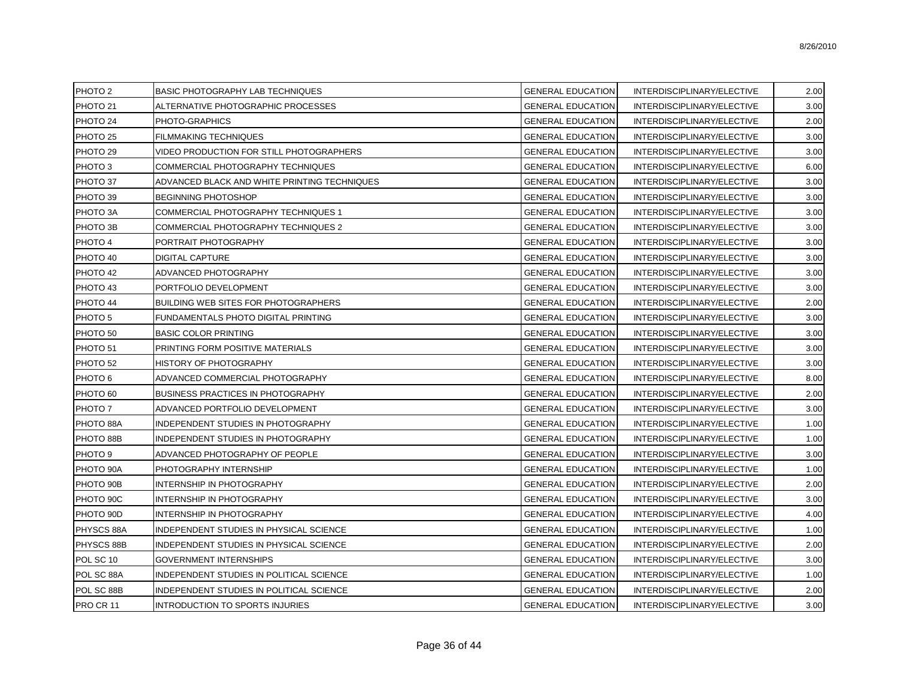| PHOTO <sub>2</sub>  | BASIC PHOTOGRAPHY LAB TECHNIQUES             | <b>GENERAL EDUCATION</b> | INTERDISCIPLINARY/ELECTIVE | 2.00 |
|---------------------|----------------------------------------------|--------------------------|----------------------------|------|
| PHOTO <sub>21</sub> | ALTERNATIVE PHOTOGRAPHIC PROCESSES           | <b>GENERAL EDUCATION</b> | INTERDISCIPLINARY/ELECTIVE | 3.00 |
| PHOTO 24            | PHOTO-GRAPHICS                               | <b>GENERAL EDUCATION</b> | INTERDISCIPLINARY/ELECTIVE | 2.00 |
| PHOTO <sub>25</sub> | <b>FILMMAKING TECHNIQUES</b>                 | <b>GENERAL EDUCATION</b> | INTERDISCIPLINARY/ELECTIVE | 3.00 |
| PHOTO <sub>29</sub> | VIDEO PRODUCTION FOR STILL PHOTOGRAPHERS     | <b>GENERAL EDUCATION</b> | INTERDISCIPLINARY/ELECTIVE | 3.00 |
| PHOTO 3             | COMMERCIAL PHOTOGRAPHY TECHNIQUES            | <b>GENERAL EDUCATION</b> | INTERDISCIPLINARY/ELECTIVE | 6.00 |
| PHOTO 37            | ADVANCED BLACK AND WHITE PRINTING TECHNIQUES | <b>GENERAL EDUCATION</b> | INTERDISCIPLINARY/ELECTIVE | 3.00 |
| PHOTO 39            | <b>BEGINNING PHOTOSHOP</b>                   | <b>GENERAL EDUCATION</b> | INTERDISCIPLINARY/ELECTIVE | 3.00 |
| PHOTO 3A            | COMMERCIAL PHOTOGRAPHY TECHNIQUES 1          | <b>GENERAL EDUCATION</b> | INTERDISCIPLINARY/ELECTIVE | 3.00 |
| PHOTO 3B            | COMMERCIAL PHOTOGRAPHY TECHNIQUES 2          | <b>GENERAL EDUCATION</b> | INTERDISCIPLINARY/ELECTIVE | 3.00 |
| PHOTO 4             | PORTRAIT PHOTOGRAPHY                         | <b>GENERAL EDUCATION</b> | INTERDISCIPLINARY/ELECTIVE | 3.00 |
| PHOTO 40            | DIGITAL CAPTURE                              | <b>GENERAL EDUCATION</b> | INTERDISCIPLINARY/ELECTIVE | 3.00 |
| PHOTO 42            | ADVANCED PHOTOGRAPHY                         | <b>GENERAL EDUCATION</b> | INTERDISCIPLINARY/ELECTIVE | 3.00 |
| PHOTO 43            | PORTFOLIO DEVELOPMENT                        | <b>GENERAL EDUCATION</b> | INTERDISCIPLINARY/ELECTIVE | 3.00 |
| PHOTO 44            | BUILDING WEB SITES FOR PHOTOGRAPHERS         | <b>GENERAL EDUCATION</b> | INTERDISCIPLINARY/ELECTIVE | 2.00 |
| PHOTO <sub>5</sub>  | FUNDAMENTALS PHOTO DIGITAL PRINTING          | <b>GENERAL EDUCATION</b> | INTERDISCIPLINARY/ELECTIVE | 3.00 |
| PHOTO <sub>50</sub> | <b>BASIC COLOR PRINTING</b>                  | <b>GENERAL EDUCATION</b> | INTERDISCIPLINARY/ELECTIVE | 3.00 |
| PHOTO 51            | PRINTING FORM POSITIVE MATERIALS             | <b>GENERAL EDUCATION</b> | INTERDISCIPLINARY/ELECTIVE | 3.00 |
| PHOTO <sub>52</sub> | HISTORY OF PHOTOGRAPHY                       | <b>GENERAL EDUCATION</b> | INTERDISCIPLINARY/ELECTIVE | 3.00 |
| PHOTO 6             | ADVANCED COMMERCIAL PHOTOGRAPHY              | <b>GENERAL EDUCATION</b> | INTERDISCIPLINARY/ELECTIVE | 8.00 |
| PHOTO <sub>60</sub> | <b>BUSINESS PRACTICES IN PHOTOGRAPHY</b>     | <b>GENERAL EDUCATION</b> | INTERDISCIPLINARY/ELECTIVE | 2.00 |
| PHOTO 7             | ADVANCED PORTFOLIO DEVELOPMENT               | <b>GENERAL EDUCATION</b> | INTERDISCIPLINARY/ELECTIVE | 3.00 |
| PHOTO 88A           | INDEPENDENT STUDIES IN PHOTOGRAPHY           | <b>GENERAL EDUCATION</b> | INTERDISCIPLINARY/ELECTIVE | 1.00 |
| PHOTO 88B           | INDEPENDENT STUDIES IN PHOTOGRAPHY           | <b>GENERAL EDUCATION</b> | INTERDISCIPLINARY/ELECTIVE | 1.00 |
| PHOTO <sub>9</sub>  | ADVANCED PHOTOGRAPHY OF PEOPLE               | <b>GENERAL EDUCATION</b> | INTERDISCIPLINARY/ELECTIVE | 3.00 |
| PHOTO 90A           | PHOTOGRAPHY INTERNSHIP                       | <b>GENERAL EDUCATION</b> | INTERDISCIPLINARY/ELECTIVE | 1.00 |
| PHOTO 90B           | <b>INTERNSHIP IN PHOTOGRAPHY</b>             | <b>GENERAL EDUCATION</b> | INTERDISCIPLINARY/ELECTIVE | 2.00 |
| PHOTO 90C           | INTERNSHIP IN PHOTOGRAPHY                    | <b>GENERAL EDUCATION</b> | INTERDISCIPLINARY/ELECTIVE | 3.00 |
| PHOTO 90D           | INTERNSHIP IN PHOTOGRAPHY                    | <b>GENERAL EDUCATION</b> | INTERDISCIPLINARY/ELECTIVE | 4.00 |
| PHYSCS 88A          | INDEPENDENT STUDIES IN PHYSICAL SCIENCE      | <b>GENERAL EDUCATION</b> | INTERDISCIPLINARY/ELECTIVE | 1.00 |
| PHYSCS 88B          | INDEPENDENT STUDIES IN PHYSICAL SCIENCE      | <b>GENERAL EDUCATION</b> | INTERDISCIPLINARY/ELECTIVE | 2.00 |
| POL SC 10           | <b>GOVERNMENT INTERNSHIPS</b>                | <b>GENERAL EDUCATION</b> | INTERDISCIPLINARY/ELECTIVE | 3.00 |
| POL SC 88A          | INDEPENDENT STUDIES IN POLITICAL SCIENCE     | <b>GENERAL EDUCATION</b> | INTERDISCIPLINARY/ELECTIVE | 1.00 |
| POL SC 88B          | INDEPENDENT STUDIES IN POLITICAL SCIENCE     | <b>GENERAL EDUCATION</b> | INTERDISCIPLINARY/ELECTIVE | 2.00 |
| PRO CR 11           | INTRODUCTION TO SPORTS INJURIES              | <b>GENERAL EDUCATION</b> | INTERDISCIPLINARY/ELECTIVE | 3.00 |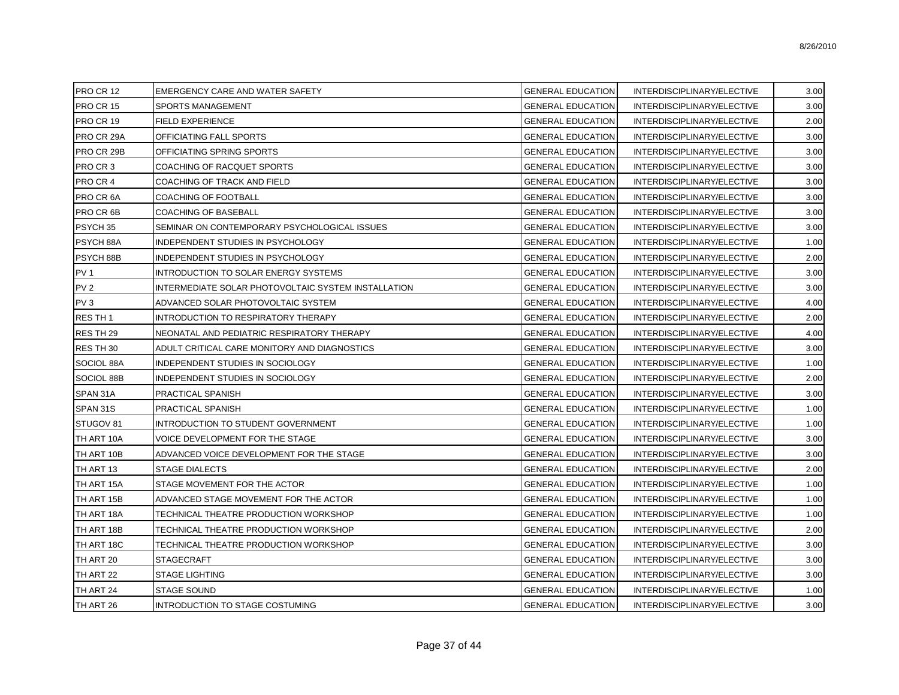| PRO CR 12       | <b>EMERGENCY CARE AND WATER SAFETY</b>              | <b>GENERAL EDUCATION</b> | INTERDISCIPLINARY/ELECTIVE | 3.00 |
|-----------------|-----------------------------------------------------|--------------------------|----------------------------|------|
| PRO CR 15       | SPORTS MANAGEMENT                                   | <b>GENERAL EDUCATION</b> | INTERDISCIPLINARY/ELECTIVE | 3.00 |
| PRO CR 19       | <b>FIELD EXPERIENCE</b>                             | <b>GENERAL EDUCATION</b> | INTERDISCIPLINARY/ELECTIVE | 2.00 |
| PRO CR 29A      | OFFICIATING FALL SPORTS                             | <b>GENERAL EDUCATION</b> | INTERDISCIPLINARY/ELECTIVE | 3.00 |
| PRO CR 29B      | OFFICIATING SPRING SPORTS                           | <b>GENERAL EDUCATION</b> | INTERDISCIPLINARY/ELECTIVE | 3.00 |
| PRO CR 3        | COACHING OF RACQUET SPORTS                          | <b>GENERAL EDUCATION</b> | INTERDISCIPLINARY/ELECTIVE | 3.00 |
| PRO CR 4        | COACHING OF TRACK AND FIELD                         | <b>GENERAL EDUCATION</b> | INTERDISCIPLINARY/ELECTIVE | 3.00 |
| PRO CR 6A       | COACHING OF FOOTBALL                                | <b>GENERAL EDUCATION</b> | INTERDISCIPLINARY/ELECTIVE | 3.00 |
| PRO CR 6B       | <b>COACHING OF BASEBALL</b>                         | <b>GENERAL EDUCATION</b> | INTERDISCIPLINARY/ELECTIVE | 3.00 |
| PSYCH 35        | SEMINAR ON CONTEMPORARY PSYCHOLOGICAL ISSUES        | <b>GENERAL EDUCATION</b> | INTERDISCIPLINARY/ELECTIVE | 3.00 |
| PSYCH 88A       | INDEPENDENT STUDIES IN PSYCHOLOGY                   | <b>GENERAL EDUCATION</b> | INTERDISCIPLINARY/ELECTIVE | 1.00 |
| PSYCH 88B       | INDEPENDENT STUDIES IN PSYCHOLOGY                   | <b>GENERAL EDUCATION</b> | INTERDISCIPLINARY/ELECTIVE | 2.00 |
| PV <sub>1</sub> | INTRODUCTION TO SOLAR ENERGY SYSTEMS                | <b>GENERAL EDUCATION</b> | INTERDISCIPLINARY/ELECTIVE | 3.00 |
| PV <sub>2</sub> | INTERMEDIATE SOLAR PHOTOVOLTAIC SYSTEM INSTALLATION | <b>GENERAL EDUCATION</b> | INTERDISCIPLINARY/ELECTIVE | 3.00 |
| PV <sub>3</sub> | ADVANCED SOLAR PHOTOVOLTAIC SYSTEM                  | <b>GENERAL EDUCATION</b> | INTERDISCIPLINARY/ELECTIVE | 4.00 |
| RES TH 1        | INTRODUCTION TO RESPIRATORY THERAPY                 | <b>GENERAL EDUCATION</b> | INTERDISCIPLINARY/ELECTIVE | 2.00 |
| RES TH 29       | NEONATAL AND PEDIATRIC RESPIRATORY THERAPY          | <b>GENERAL EDUCATION</b> | INTERDISCIPLINARY/ELECTIVE | 4.00 |
| RES TH 30       | ADULT CRITICAL CARE MONITORY AND DIAGNOSTICS        | <b>GENERAL EDUCATION</b> | INTERDISCIPLINARY/ELECTIVE | 3.00 |
| SOCIOL 88A      | INDEPENDENT STUDIES IN SOCIOLOGY                    | <b>GENERAL EDUCATION</b> | INTERDISCIPLINARY/ELECTIVE | 1.00 |
| SOCIOL 88B      | INDEPENDENT STUDIES IN SOCIOLOGY                    | <b>GENERAL EDUCATION</b> | INTERDISCIPLINARY/ELECTIVE | 2.00 |
| SPAN 31A        | PRACTICAL SPANISH                                   | <b>GENERAL EDUCATION</b> | INTERDISCIPLINARY/ELECTIVE | 3.00 |
| SPAN 31S        | PRACTICAL SPANISH                                   | <b>GENERAL EDUCATION</b> | INTERDISCIPLINARY/ELECTIVE | 1.00 |
| STUGOV 81       | INTRODUCTION TO STUDENT GOVERNMENT                  | <b>GENERAL EDUCATION</b> | INTERDISCIPLINARY/ELECTIVE | 1.00 |
| TH ART 10A      | VOICE DEVELOPMENT FOR THE STAGE                     | <b>GENERAL EDUCATION</b> | INTERDISCIPLINARY/ELECTIVE | 3.00 |
| TH ART 10B      | ADVANCED VOICE DEVELOPMENT FOR THE STAGE            | <b>GENERAL EDUCATION</b> | INTERDISCIPLINARY/ELECTIVE | 3.00 |
| TH ART 13       | <b>STAGE DIALECTS</b>                               | <b>GENERAL EDUCATION</b> | INTERDISCIPLINARY/ELECTIVE | 2.00 |
| TH ART 15A      | STAGE MOVEMENT FOR THE ACTOR                        | <b>GENERAL EDUCATION</b> | INTERDISCIPLINARY/ELECTIVE | 1.00 |
| TH ART 15B      | ADVANCED STAGE MOVEMENT FOR THE ACTOR               | <b>GENERAL EDUCATION</b> | INTERDISCIPLINARY/ELECTIVE | 1.00 |
| TH ART 18A      | TECHNICAL THEATRE PRODUCTION WORKSHOP               | <b>GENERAL EDUCATION</b> | INTERDISCIPLINARY/ELECTIVE | 1.00 |
| TH ART 18B      | TECHNICAL THEATRE PRODUCTION WORKSHOP               | <b>GENERAL EDUCATION</b> | INTERDISCIPLINARY/ELECTIVE | 2.00 |
| TH ART 18C      | TECHNICAL THEATRE PRODUCTION WORKSHOP               | <b>GENERAL EDUCATION</b> | INTERDISCIPLINARY/ELECTIVE | 3.00 |
| TH ART 20       | <b>STAGECRAFT</b>                                   | <b>GENERAL EDUCATION</b> | INTERDISCIPLINARY/ELECTIVE | 3.00 |
| TH ART 22       | <b>STAGE LIGHTING</b>                               | <b>GENERAL EDUCATION</b> | INTERDISCIPLINARY/ELECTIVE | 3.00 |
| TH ART 24       | <b>STAGE SOUND</b>                                  | <b>GENERAL EDUCATION</b> | INTERDISCIPLINARY/ELECTIVE | 1.00 |
| TH ART 26       | INTRODUCTION TO STAGE COSTUMING                     | <b>GENERAL EDUCATION</b> | INTERDISCIPLINARY/ELECTIVE | 3.00 |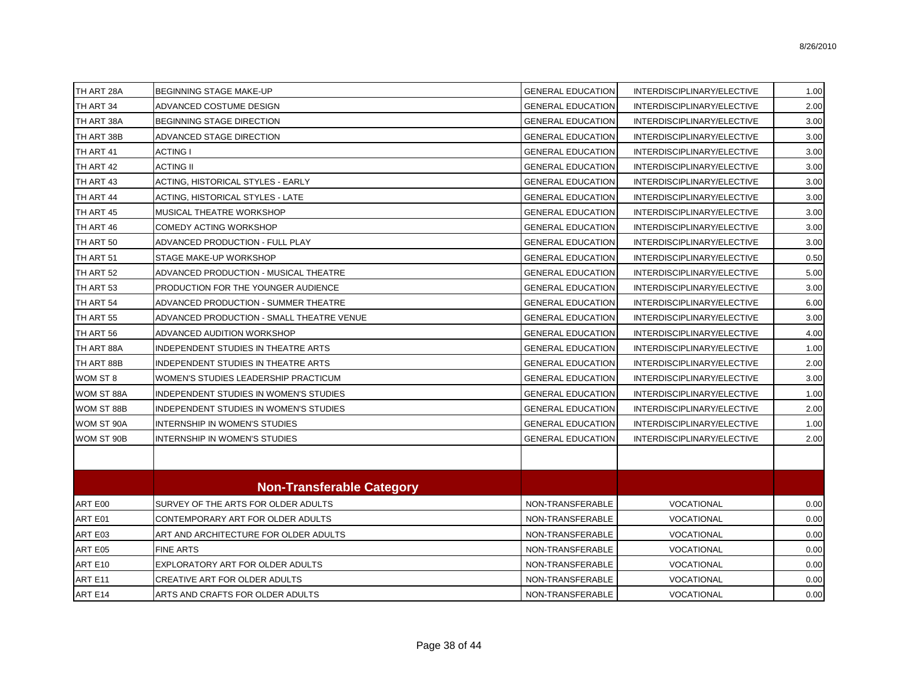| TH ART 28A | BEGINNING STAGE MAKE-UP                   | <b>GENERAL EDUCATION</b> | INTERDISCIPLINARY/ELECTIVE | 1.00 |
|------------|-------------------------------------------|--------------------------|----------------------------|------|
| TH ART 34  | ADVANCED COSTUME DESIGN                   | <b>GENERAL EDUCATION</b> | INTERDISCIPLINARY/ELECTIVE | 2.00 |
| TH ART 38A | BEGINNING STAGE DIRECTION                 | <b>GENERAL EDUCATION</b> | INTERDISCIPLINARY/ELECTIVE | 3.00 |
| TH ART 38B | ADVANCED STAGE DIRECTION                  | <b>GENERAL EDUCATION</b> | INTERDISCIPLINARY/ELECTIVE | 3.00 |
| TH ART 41  | <b>ACTING I</b>                           | <b>GENERAL EDUCATION</b> | INTERDISCIPLINARY/ELECTIVE | 3.00 |
| TH ART 42  | <b>ACTING II</b>                          | <b>GENERAL EDUCATION</b> | INTERDISCIPLINARY/ELECTIVE | 3.00 |
| TH ART 43  | ACTING, HISTORICAL STYLES - EARLY         | <b>GENERAL EDUCATION</b> | INTERDISCIPLINARY/ELECTIVE | 3.00 |
| TH ART 44  | ACTING, HISTORICAL STYLES - LATE          | <b>GENERAL EDUCATION</b> | INTERDISCIPLINARY/ELECTIVE | 3.00 |
| TH ART 45  | MUSICAL THEATRE WORKSHOP                  | <b>GENERAL EDUCATION</b> | INTERDISCIPLINARY/ELECTIVE | 3.00 |
| TH ART 46  | COMEDY ACTING WORKSHOP                    | <b>GENERAL EDUCATION</b> | INTERDISCIPLINARY/ELECTIVE | 3.00 |
| TH ART 50  | ADVANCED PRODUCTION - FULL PLAY           | <b>GENERAL EDUCATION</b> | INTERDISCIPLINARY/ELECTIVE | 3.00 |
| TH ART 51  | STAGE MAKE-UP WORKSHOP                    | <b>GENERAL EDUCATION</b> | INTERDISCIPLINARY/ELECTIVE | 0.50 |
| TH ART 52  | ADVANCED PRODUCTION - MUSICAL THEATRE     | <b>GENERAL EDUCATION</b> | INTERDISCIPLINARY/ELECTIVE | 5.00 |
| TH ART 53  | PRODUCTION FOR THE YOUNGER AUDIENCE       | <b>GENERAL EDUCATION</b> | INTERDISCIPLINARY/ELECTIVE | 3.00 |
| TH ART 54  | ADVANCED PRODUCTION - SUMMER THEATRE      | <b>GENERAL EDUCATION</b> | INTERDISCIPLINARY/ELECTIVE | 6.00 |
| TH ART 55  | ADVANCED PRODUCTION - SMALL THEATRE VENUE | <b>GENERAL EDUCATION</b> | INTERDISCIPLINARY/ELECTIVE | 3.00 |
| TH ART 56  | ADVANCED AUDITION WORKSHOP                | <b>GENERAL EDUCATION</b> | INTERDISCIPLINARY/ELECTIVE | 4.00 |
| TH ART 88A | INDEPENDENT STUDIES IN THEATRE ARTS       | <b>GENERAL EDUCATION</b> | INTERDISCIPLINARY/ELECTIVE | 1.00 |
| TH ART 88B | INDEPENDENT STUDIES IN THEATRE ARTS       | <b>GENERAL EDUCATION</b> | INTERDISCIPLINARY/ELECTIVE | 2.00 |
| WOM ST 8   | WOMEN'S STUDIES LEADERSHIP PRACTICUM      | <b>GENERAL EDUCATION</b> | INTERDISCIPLINARY/ELECTIVE | 3.00 |
| WOM ST 88A | INDEPENDENT STUDIES IN WOMEN'S STUDIES    | <b>GENERAL EDUCATION</b> | INTERDISCIPLINARY/ELECTIVE | 1.00 |
| WOM ST 88B | INDEPENDENT STUDIES IN WOMEN'S STUDIES    | <b>GENERAL EDUCATION</b> | INTERDISCIPLINARY/ELECTIVE | 2.00 |
| WOM ST 90A | INTERNSHIP IN WOMEN'S STUDIES             | <b>GENERAL EDUCATION</b> | INTERDISCIPLINARY/ELECTIVE | 1.00 |
| WOM ST 90B | INTERNSHIP IN WOMEN'S STUDIES             | <b>GENERAL EDUCATION</b> | INTERDISCIPLINARY/ELECTIVE | 2.00 |
|            |                                           |                          |                            |      |
|            | <b>Non-Transferable Category</b>          |                          |                            |      |
| ART E00    | SURVEY OF THE ARTS FOR OLDER ADULTS       | NON-TRANSFERABLE         | <b>VOCATIONAL</b>          | 0.00 |
| ART E01    | CONTEMPORARY ART FOR OLDER ADULTS         | NON-TRANSFERABLE         | VOCATIONAL                 | 0.00 |
| ART E03    | ART AND ARCHITECTURE FOR OLDER ADULTS     | NON-TRANSFERABLE         | VOCATIONAL                 | 0.00 |
| ART E05    | FINE ARTS                                 | NON-TRANSFERABLE         | VOCATIONAL                 | 0.00 |
| ART E10    | EXPLORATORY ART FOR OLDER ADULTS          | NON-TRANSFERABLE         | VOCATIONAL                 | 0.00 |
| ART E11    | CREATIVE ART FOR OLDER ADULTS             | NON-TRANSFERABLE         | VOCATIONAL                 | 0.00 |
| ART E14    | ARTS AND CRAFTS FOR OLDER ADULTS          | NON-TRANSFERABLE         | <b>VOCATIONAL</b>          | 0.00 |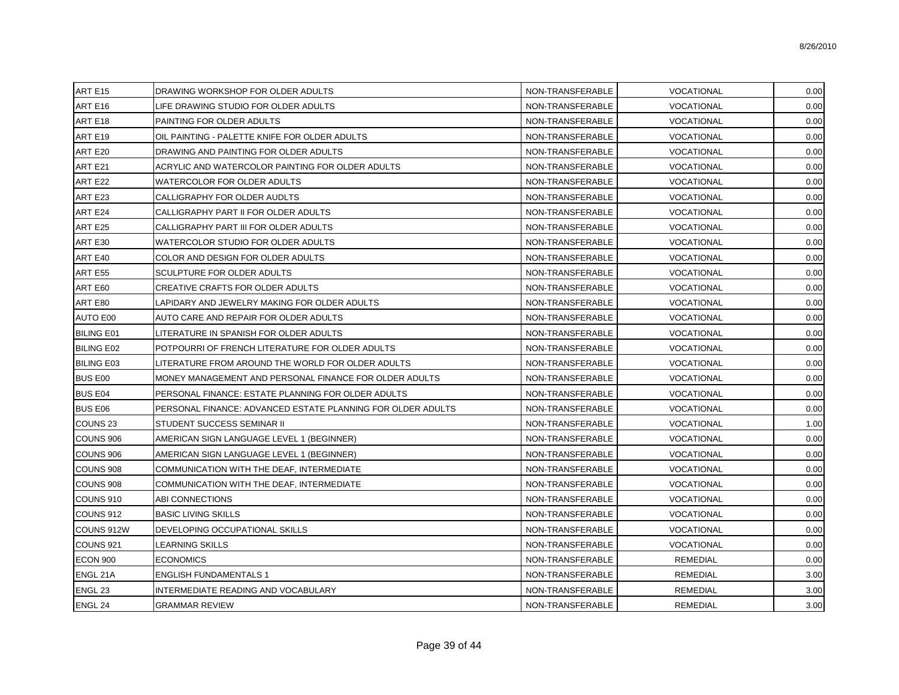| ART E15<br>DRAWING WORKSHOP FOR OLDER ADULTS<br>NON-TRANSFERABLE<br>VOCATIONAL<br>0.00<br>0.00<br>ART E16<br>LIFE DRAWING STUDIO FOR OLDER ADULTS<br>NON-TRANSFERABLE<br>VOCATIONAL<br>0.00<br>ART E18<br>PAINTING FOR OLDER ADULTS<br>NON-TRANSFERABLE<br><b>VOCATIONAL</b><br>0.00<br>ART E19<br>OIL PAINTING - PALETTE KNIFE FOR OLDER ADULTS<br>NON-TRANSFERABLE<br>VOCATIONAL<br>0.00<br>ART E20<br>DRAWING AND PAINTING FOR OLDER ADULTS<br>NON-TRANSFERABLE<br><b>VOCATIONAL</b><br>ART E21<br>0.00<br>ACRYLIC AND WATERCOLOR PAINTING FOR OLDER ADULTS<br>NON-TRANSFERABLE<br>VOCATIONAL<br>0.00<br>ART E22<br>NON-TRANSFERABLE<br>VOCATIONAL<br>WATERCOLOR FOR OLDER ADULTS<br>0.00<br>ART E23<br>CALLIGRAPHY FOR OLDER AUDLTS<br>NON-TRANSFERABLE<br><b>VOCATIONAL</b><br>ART E24<br>0.00<br>CALLIGRAPHY PART II FOR OLDER ADULTS<br>NON-TRANSFERABLE<br>VOCATIONAL<br>ART E25<br>CALLIGRAPHY PART III FOR OLDER ADULTS<br>NON-TRANSFERABLE<br>VOCATIONAL<br>0.00<br>0.00<br>ART E30<br>WATERCOLOR STUDIO FOR OLDER ADULTS<br>NON-TRANSFERABLE<br>VOCATIONAL<br>0.00<br>ART E40<br>COLOR AND DESIGN FOR OLDER ADULTS<br>NON-TRANSFERABLE<br>VOCATIONAL<br><b>ART E55</b><br>VOCATIONAL<br>0.00<br>SCULPTURE FOR OLDER ADULTS<br>NON-TRANSFERABLE<br>ART E60<br>CREATIVE CRAFTS FOR OLDER ADULTS<br>NON-TRANSFERABLE<br>VOCATIONAL<br>0.00<br>ART E80<br>NON-TRANSFERABLE<br>VOCATIONAL<br>0.00<br>LAPIDARY AND JEWELRY MAKING FOR OLDER ADULTS<br>AUTO E00<br>0.00<br>AUTO CARE AND REPAIR FOR OLDER ADULTS<br>NON-TRANSFERABLE<br>VOCATIONAL<br>0.00<br><b>BILING E01</b><br>LITERATURE IN SPANISH FOR OLDER ADULTS<br>NON-TRANSFERABLE<br>VOCATIONAL<br>0.00<br><b>BILING E02</b><br>POTPOURRI OF FRENCH LITERATURE FOR OLDER ADULTS<br>NON-TRANSFERABLE<br>VOCATIONAL<br>0.00<br><b>BILING E03</b><br>LITERATURE FROM AROUND THE WORLD FOR OLDER ADULTS<br>NON-TRANSFERABLE<br>VOCATIONAL<br>0.00<br><b>BUS E00</b><br>MONEY MANAGEMENT AND PERSONAL FINANCE FOR OLDER ADULTS<br>NON-TRANSFERABLE<br>VOCATIONAL<br>0.00<br><b>BUS E04</b><br>PERSONAL FINANCE: ESTATE PLANNING FOR OLDER ADULTS<br>NON-TRANSFERABLE<br>VOCATIONAL<br><b>BUS E06</b><br>0.00<br>PERSONAL FINANCE: ADVANCED ESTATE PLANNING FOR OLDER ADULTS<br>NON-TRANSFERABLE<br>VOCATIONAL<br>1.00<br>COUNS <sub>23</sub><br><b>STUDENT SUCCESS SEMINAR II</b><br>NON-TRANSFERABLE<br>VOCATIONAL<br>0.00<br>COUNS 906<br>NON-TRANSFERABLE<br>AMERICAN SIGN LANGUAGE LEVEL 1 (BEGINNER)<br>VOCATIONAL<br>0.00<br>NON-TRANSFERABLE<br>VOCATIONAL<br>COUNS 906<br>AMERICAN SIGN LANGUAGE LEVEL 1 (BEGINNER)<br>0.00<br>COUNS 908<br>COMMUNICATION WITH THE DEAF, INTERMEDIATE<br>NON-TRANSFERABLE<br>VOCATIONAL<br>COUNS 908<br>COMMUNICATION WITH THE DEAF, INTERMEDIATE<br>NON-TRANSFERABLE<br>VOCATIONAL<br>0.00<br>0.00<br>COUNS 910<br>ABI CONNECTIONS<br>NON-TRANSFERABLE<br>VOCATIONAL<br>COUNS 912<br><b>BASIC LIVING SKILLS</b><br>NON-TRANSFERABLE<br>VOCATIONAL<br>0.00<br>COUNS 912W<br>DEVELOPING OCCUPATIONAL SKILLS<br>NON-TRANSFERABLE<br>0.00<br>VOCATIONAL<br>COUNS 921<br>LEARNING SKILLS<br>NON-TRANSFERABLE<br>VOCATIONAL<br>0.00<br>0.00<br><b>ECON 900</b><br><b>ECONOMICS</b><br>NON-TRANSFERABLE<br><b>REMEDIAL</b><br>ENGL 21A<br>3.00<br><b>ENGLISH FUNDAMENTALS 1</b><br>NON-TRANSFERABLE<br><b>REMEDIAL</b><br>ENGL <sub>23</sub><br>3.00<br>INTERMEDIATE READING AND VOCABULARY<br>NON-TRANSFERABLE<br><b>REMEDIAL</b><br>ENGL 24<br><b>GRAMMAR REVIEW</b><br>NON-TRANSFERABLE<br><b>REMEDIAL</b> |  |  |      |
|-------------------------------------------------------------------------------------------------------------------------------------------------------------------------------------------------------------------------------------------------------------------------------------------------------------------------------------------------------------------------------------------------------------------------------------------------------------------------------------------------------------------------------------------------------------------------------------------------------------------------------------------------------------------------------------------------------------------------------------------------------------------------------------------------------------------------------------------------------------------------------------------------------------------------------------------------------------------------------------------------------------------------------------------------------------------------------------------------------------------------------------------------------------------------------------------------------------------------------------------------------------------------------------------------------------------------------------------------------------------------------------------------------------------------------------------------------------------------------------------------------------------------------------------------------------------------------------------------------------------------------------------------------------------------------------------------------------------------------------------------------------------------------------------------------------------------------------------------------------------------------------------------------------------------------------------------------------------------------------------------------------------------------------------------------------------------------------------------------------------------------------------------------------------------------------------------------------------------------------------------------------------------------------------------------------------------------------------------------------------------------------------------------------------------------------------------------------------------------------------------------------------------------------------------------------------------------------------------------------------------------------------------------------------------------------------------------------------------------------------------------------------------------------------------------------------------------------------------------------------------------------------------------------------------------------------------------------------------------------------------------------------------------------------------------------------------------------------------------------------------------------------------------------------------------------------------------------------------------------------------------------------------------------------------------------------------------------------------------------------------------------------------------------------------------------------------------------------------------------------------------------|--|--|------|
|                                                                                                                                                                                                                                                                                                                                                                                                                                                                                                                                                                                                                                                                                                                                                                                                                                                                                                                                                                                                                                                                                                                                                                                                                                                                                                                                                                                                                                                                                                                                                                                                                                                                                                                                                                                                                                                                                                                                                                                                                                                                                                                                                                                                                                                                                                                                                                                                                                                                                                                                                                                                                                                                                                                                                                                                                                                                                                                                                                                                                                                                                                                                                                                                                                                                                                                                                                                                                                                                                                             |  |  |      |
|                                                                                                                                                                                                                                                                                                                                                                                                                                                                                                                                                                                                                                                                                                                                                                                                                                                                                                                                                                                                                                                                                                                                                                                                                                                                                                                                                                                                                                                                                                                                                                                                                                                                                                                                                                                                                                                                                                                                                                                                                                                                                                                                                                                                                                                                                                                                                                                                                                                                                                                                                                                                                                                                                                                                                                                                                                                                                                                                                                                                                                                                                                                                                                                                                                                                                                                                                                                                                                                                                                             |  |  |      |
|                                                                                                                                                                                                                                                                                                                                                                                                                                                                                                                                                                                                                                                                                                                                                                                                                                                                                                                                                                                                                                                                                                                                                                                                                                                                                                                                                                                                                                                                                                                                                                                                                                                                                                                                                                                                                                                                                                                                                                                                                                                                                                                                                                                                                                                                                                                                                                                                                                                                                                                                                                                                                                                                                                                                                                                                                                                                                                                                                                                                                                                                                                                                                                                                                                                                                                                                                                                                                                                                                                             |  |  |      |
|                                                                                                                                                                                                                                                                                                                                                                                                                                                                                                                                                                                                                                                                                                                                                                                                                                                                                                                                                                                                                                                                                                                                                                                                                                                                                                                                                                                                                                                                                                                                                                                                                                                                                                                                                                                                                                                                                                                                                                                                                                                                                                                                                                                                                                                                                                                                                                                                                                                                                                                                                                                                                                                                                                                                                                                                                                                                                                                                                                                                                                                                                                                                                                                                                                                                                                                                                                                                                                                                                                             |  |  |      |
|                                                                                                                                                                                                                                                                                                                                                                                                                                                                                                                                                                                                                                                                                                                                                                                                                                                                                                                                                                                                                                                                                                                                                                                                                                                                                                                                                                                                                                                                                                                                                                                                                                                                                                                                                                                                                                                                                                                                                                                                                                                                                                                                                                                                                                                                                                                                                                                                                                                                                                                                                                                                                                                                                                                                                                                                                                                                                                                                                                                                                                                                                                                                                                                                                                                                                                                                                                                                                                                                                                             |  |  |      |
|                                                                                                                                                                                                                                                                                                                                                                                                                                                                                                                                                                                                                                                                                                                                                                                                                                                                                                                                                                                                                                                                                                                                                                                                                                                                                                                                                                                                                                                                                                                                                                                                                                                                                                                                                                                                                                                                                                                                                                                                                                                                                                                                                                                                                                                                                                                                                                                                                                                                                                                                                                                                                                                                                                                                                                                                                                                                                                                                                                                                                                                                                                                                                                                                                                                                                                                                                                                                                                                                                                             |  |  |      |
|                                                                                                                                                                                                                                                                                                                                                                                                                                                                                                                                                                                                                                                                                                                                                                                                                                                                                                                                                                                                                                                                                                                                                                                                                                                                                                                                                                                                                                                                                                                                                                                                                                                                                                                                                                                                                                                                                                                                                                                                                                                                                                                                                                                                                                                                                                                                                                                                                                                                                                                                                                                                                                                                                                                                                                                                                                                                                                                                                                                                                                                                                                                                                                                                                                                                                                                                                                                                                                                                                                             |  |  |      |
|                                                                                                                                                                                                                                                                                                                                                                                                                                                                                                                                                                                                                                                                                                                                                                                                                                                                                                                                                                                                                                                                                                                                                                                                                                                                                                                                                                                                                                                                                                                                                                                                                                                                                                                                                                                                                                                                                                                                                                                                                                                                                                                                                                                                                                                                                                                                                                                                                                                                                                                                                                                                                                                                                                                                                                                                                                                                                                                                                                                                                                                                                                                                                                                                                                                                                                                                                                                                                                                                                                             |  |  |      |
|                                                                                                                                                                                                                                                                                                                                                                                                                                                                                                                                                                                                                                                                                                                                                                                                                                                                                                                                                                                                                                                                                                                                                                                                                                                                                                                                                                                                                                                                                                                                                                                                                                                                                                                                                                                                                                                                                                                                                                                                                                                                                                                                                                                                                                                                                                                                                                                                                                                                                                                                                                                                                                                                                                                                                                                                                                                                                                                                                                                                                                                                                                                                                                                                                                                                                                                                                                                                                                                                                                             |  |  |      |
|                                                                                                                                                                                                                                                                                                                                                                                                                                                                                                                                                                                                                                                                                                                                                                                                                                                                                                                                                                                                                                                                                                                                                                                                                                                                                                                                                                                                                                                                                                                                                                                                                                                                                                                                                                                                                                                                                                                                                                                                                                                                                                                                                                                                                                                                                                                                                                                                                                                                                                                                                                                                                                                                                                                                                                                                                                                                                                                                                                                                                                                                                                                                                                                                                                                                                                                                                                                                                                                                                                             |  |  |      |
|                                                                                                                                                                                                                                                                                                                                                                                                                                                                                                                                                                                                                                                                                                                                                                                                                                                                                                                                                                                                                                                                                                                                                                                                                                                                                                                                                                                                                                                                                                                                                                                                                                                                                                                                                                                                                                                                                                                                                                                                                                                                                                                                                                                                                                                                                                                                                                                                                                                                                                                                                                                                                                                                                                                                                                                                                                                                                                                                                                                                                                                                                                                                                                                                                                                                                                                                                                                                                                                                                                             |  |  |      |
|                                                                                                                                                                                                                                                                                                                                                                                                                                                                                                                                                                                                                                                                                                                                                                                                                                                                                                                                                                                                                                                                                                                                                                                                                                                                                                                                                                                                                                                                                                                                                                                                                                                                                                                                                                                                                                                                                                                                                                                                                                                                                                                                                                                                                                                                                                                                                                                                                                                                                                                                                                                                                                                                                                                                                                                                                                                                                                                                                                                                                                                                                                                                                                                                                                                                                                                                                                                                                                                                                                             |  |  |      |
|                                                                                                                                                                                                                                                                                                                                                                                                                                                                                                                                                                                                                                                                                                                                                                                                                                                                                                                                                                                                                                                                                                                                                                                                                                                                                                                                                                                                                                                                                                                                                                                                                                                                                                                                                                                                                                                                                                                                                                                                                                                                                                                                                                                                                                                                                                                                                                                                                                                                                                                                                                                                                                                                                                                                                                                                                                                                                                                                                                                                                                                                                                                                                                                                                                                                                                                                                                                                                                                                                                             |  |  |      |
|                                                                                                                                                                                                                                                                                                                                                                                                                                                                                                                                                                                                                                                                                                                                                                                                                                                                                                                                                                                                                                                                                                                                                                                                                                                                                                                                                                                                                                                                                                                                                                                                                                                                                                                                                                                                                                                                                                                                                                                                                                                                                                                                                                                                                                                                                                                                                                                                                                                                                                                                                                                                                                                                                                                                                                                                                                                                                                                                                                                                                                                                                                                                                                                                                                                                                                                                                                                                                                                                                                             |  |  |      |
|                                                                                                                                                                                                                                                                                                                                                                                                                                                                                                                                                                                                                                                                                                                                                                                                                                                                                                                                                                                                                                                                                                                                                                                                                                                                                                                                                                                                                                                                                                                                                                                                                                                                                                                                                                                                                                                                                                                                                                                                                                                                                                                                                                                                                                                                                                                                                                                                                                                                                                                                                                                                                                                                                                                                                                                                                                                                                                                                                                                                                                                                                                                                                                                                                                                                                                                                                                                                                                                                                                             |  |  |      |
|                                                                                                                                                                                                                                                                                                                                                                                                                                                                                                                                                                                                                                                                                                                                                                                                                                                                                                                                                                                                                                                                                                                                                                                                                                                                                                                                                                                                                                                                                                                                                                                                                                                                                                                                                                                                                                                                                                                                                                                                                                                                                                                                                                                                                                                                                                                                                                                                                                                                                                                                                                                                                                                                                                                                                                                                                                                                                                                                                                                                                                                                                                                                                                                                                                                                                                                                                                                                                                                                                                             |  |  |      |
|                                                                                                                                                                                                                                                                                                                                                                                                                                                                                                                                                                                                                                                                                                                                                                                                                                                                                                                                                                                                                                                                                                                                                                                                                                                                                                                                                                                                                                                                                                                                                                                                                                                                                                                                                                                                                                                                                                                                                                                                                                                                                                                                                                                                                                                                                                                                                                                                                                                                                                                                                                                                                                                                                                                                                                                                                                                                                                                                                                                                                                                                                                                                                                                                                                                                                                                                                                                                                                                                                                             |  |  |      |
|                                                                                                                                                                                                                                                                                                                                                                                                                                                                                                                                                                                                                                                                                                                                                                                                                                                                                                                                                                                                                                                                                                                                                                                                                                                                                                                                                                                                                                                                                                                                                                                                                                                                                                                                                                                                                                                                                                                                                                                                                                                                                                                                                                                                                                                                                                                                                                                                                                                                                                                                                                                                                                                                                                                                                                                                                                                                                                                                                                                                                                                                                                                                                                                                                                                                                                                                                                                                                                                                                                             |  |  |      |
|                                                                                                                                                                                                                                                                                                                                                                                                                                                                                                                                                                                                                                                                                                                                                                                                                                                                                                                                                                                                                                                                                                                                                                                                                                                                                                                                                                                                                                                                                                                                                                                                                                                                                                                                                                                                                                                                                                                                                                                                                                                                                                                                                                                                                                                                                                                                                                                                                                                                                                                                                                                                                                                                                                                                                                                                                                                                                                                                                                                                                                                                                                                                                                                                                                                                                                                                                                                                                                                                                                             |  |  |      |
|                                                                                                                                                                                                                                                                                                                                                                                                                                                                                                                                                                                                                                                                                                                                                                                                                                                                                                                                                                                                                                                                                                                                                                                                                                                                                                                                                                                                                                                                                                                                                                                                                                                                                                                                                                                                                                                                                                                                                                                                                                                                                                                                                                                                                                                                                                                                                                                                                                                                                                                                                                                                                                                                                                                                                                                                                                                                                                                                                                                                                                                                                                                                                                                                                                                                                                                                                                                                                                                                                                             |  |  |      |
|                                                                                                                                                                                                                                                                                                                                                                                                                                                                                                                                                                                                                                                                                                                                                                                                                                                                                                                                                                                                                                                                                                                                                                                                                                                                                                                                                                                                                                                                                                                                                                                                                                                                                                                                                                                                                                                                                                                                                                                                                                                                                                                                                                                                                                                                                                                                                                                                                                                                                                                                                                                                                                                                                                                                                                                                                                                                                                                                                                                                                                                                                                                                                                                                                                                                                                                                                                                                                                                                                                             |  |  |      |
|                                                                                                                                                                                                                                                                                                                                                                                                                                                                                                                                                                                                                                                                                                                                                                                                                                                                                                                                                                                                                                                                                                                                                                                                                                                                                                                                                                                                                                                                                                                                                                                                                                                                                                                                                                                                                                                                                                                                                                                                                                                                                                                                                                                                                                                                                                                                                                                                                                                                                                                                                                                                                                                                                                                                                                                                                                                                                                                                                                                                                                                                                                                                                                                                                                                                                                                                                                                                                                                                                                             |  |  |      |
|                                                                                                                                                                                                                                                                                                                                                                                                                                                                                                                                                                                                                                                                                                                                                                                                                                                                                                                                                                                                                                                                                                                                                                                                                                                                                                                                                                                                                                                                                                                                                                                                                                                                                                                                                                                                                                                                                                                                                                                                                                                                                                                                                                                                                                                                                                                                                                                                                                                                                                                                                                                                                                                                                                                                                                                                                                                                                                                                                                                                                                                                                                                                                                                                                                                                                                                                                                                                                                                                                                             |  |  |      |
|                                                                                                                                                                                                                                                                                                                                                                                                                                                                                                                                                                                                                                                                                                                                                                                                                                                                                                                                                                                                                                                                                                                                                                                                                                                                                                                                                                                                                                                                                                                                                                                                                                                                                                                                                                                                                                                                                                                                                                                                                                                                                                                                                                                                                                                                                                                                                                                                                                                                                                                                                                                                                                                                                                                                                                                                                                                                                                                                                                                                                                                                                                                                                                                                                                                                                                                                                                                                                                                                                                             |  |  |      |
|                                                                                                                                                                                                                                                                                                                                                                                                                                                                                                                                                                                                                                                                                                                                                                                                                                                                                                                                                                                                                                                                                                                                                                                                                                                                                                                                                                                                                                                                                                                                                                                                                                                                                                                                                                                                                                                                                                                                                                                                                                                                                                                                                                                                                                                                                                                                                                                                                                                                                                                                                                                                                                                                                                                                                                                                                                                                                                                                                                                                                                                                                                                                                                                                                                                                                                                                                                                                                                                                                                             |  |  |      |
|                                                                                                                                                                                                                                                                                                                                                                                                                                                                                                                                                                                                                                                                                                                                                                                                                                                                                                                                                                                                                                                                                                                                                                                                                                                                                                                                                                                                                                                                                                                                                                                                                                                                                                                                                                                                                                                                                                                                                                                                                                                                                                                                                                                                                                                                                                                                                                                                                                                                                                                                                                                                                                                                                                                                                                                                                                                                                                                                                                                                                                                                                                                                                                                                                                                                                                                                                                                                                                                                                                             |  |  |      |
|                                                                                                                                                                                                                                                                                                                                                                                                                                                                                                                                                                                                                                                                                                                                                                                                                                                                                                                                                                                                                                                                                                                                                                                                                                                                                                                                                                                                                                                                                                                                                                                                                                                                                                                                                                                                                                                                                                                                                                                                                                                                                                                                                                                                                                                                                                                                                                                                                                                                                                                                                                                                                                                                                                                                                                                                                                                                                                                                                                                                                                                                                                                                                                                                                                                                                                                                                                                                                                                                                                             |  |  |      |
|                                                                                                                                                                                                                                                                                                                                                                                                                                                                                                                                                                                                                                                                                                                                                                                                                                                                                                                                                                                                                                                                                                                                                                                                                                                                                                                                                                                                                                                                                                                                                                                                                                                                                                                                                                                                                                                                                                                                                                                                                                                                                                                                                                                                                                                                                                                                                                                                                                                                                                                                                                                                                                                                                                                                                                                                                                                                                                                                                                                                                                                                                                                                                                                                                                                                                                                                                                                                                                                                                                             |  |  |      |
|                                                                                                                                                                                                                                                                                                                                                                                                                                                                                                                                                                                                                                                                                                                                                                                                                                                                                                                                                                                                                                                                                                                                                                                                                                                                                                                                                                                                                                                                                                                                                                                                                                                                                                                                                                                                                                                                                                                                                                                                                                                                                                                                                                                                                                                                                                                                                                                                                                                                                                                                                                                                                                                                                                                                                                                                                                                                                                                                                                                                                                                                                                                                                                                                                                                                                                                                                                                                                                                                                                             |  |  |      |
|                                                                                                                                                                                                                                                                                                                                                                                                                                                                                                                                                                                                                                                                                                                                                                                                                                                                                                                                                                                                                                                                                                                                                                                                                                                                                                                                                                                                                                                                                                                                                                                                                                                                                                                                                                                                                                                                                                                                                                                                                                                                                                                                                                                                                                                                                                                                                                                                                                                                                                                                                                                                                                                                                                                                                                                                                                                                                                                                                                                                                                                                                                                                                                                                                                                                                                                                                                                                                                                                                                             |  |  |      |
|                                                                                                                                                                                                                                                                                                                                                                                                                                                                                                                                                                                                                                                                                                                                                                                                                                                                                                                                                                                                                                                                                                                                                                                                                                                                                                                                                                                                                                                                                                                                                                                                                                                                                                                                                                                                                                                                                                                                                                                                                                                                                                                                                                                                                                                                                                                                                                                                                                                                                                                                                                                                                                                                                                                                                                                                                                                                                                                                                                                                                                                                                                                                                                                                                                                                                                                                                                                                                                                                                                             |  |  |      |
|                                                                                                                                                                                                                                                                                                                                                                                                                                                                                                                                                                                                                                                                                                                                                                                                                                                                                                                                                                                                                                                                                                                                                                                                                                                                                                                                                                                                                                                                                                                                                                                                                                                                                                                                                                                                                                                                                                                                                                                                                                                                                                                                                                                                                                                                                                                                                                                                                                                                                                                                                                                                                                                                                                                                                                                                                                                                                                                                                                                                                                                                                                                                                                                                                                                                                                                                                                                                                                                                                                             |  |  |      |
|                                                                                                                                                                                                                                                                                                                                                                                                                                                                                                                                                                                                                                                                                                                                                                                                                                                                                                                                                                                                                                                                                                                                                                                                                                                                                                                                                                                                                                                                                                                                                                                                                                                                                                                                                                                                                                                                                                                                                                                                                                                                                                                                                                                                                                                                                                                                                                                                                                                                                                                                                                                                                                                                                                                                                                                                                                                                                                                                                                                                                                                                                                                                                                                                                                                                                                                                                                                                                                                                                                             |  |  |      |
|                                                                                                                                                                                                                                                                                                                                                                                                                                                                                                                                                                                                                                                                                                                                                                                                                                                                                                                                                                                                                                                                                                                                                                                                                                                                                                                                                                                                                                                                                                                                                                                                                                                                                                                                                                                                                                                                                                                                                                                                                                                                                                                                                                                                                                                                                                                                                                                                                                                                                                                                                                                                                                                                                                                                                                                                                                                                                                                                                                                                                                                                                                                                                                                                                                                                                                                                                                                                                                                                                                             |  |  |      |
|                                                                                                                                                                                                                                                                                                                                                                                                                                                                                                                                                                                                                                                                                                                                                                                                                                                                                                                                                                                                                                                                                                                                                                                                                                                                                                                                                                                                                                                                                                                                                                                                                                                                                                                                                                                                                                                                                                                                                                                                                                                                                                                                                                                                                                                                                                                                                                                                                                                                                                                                                                                                                                                                                                                                                                                                                                                                                                                                                                                                                                                                                                                                                                                                                                                                                                                                                                                                                                                                                                             |  |  | 3.00 |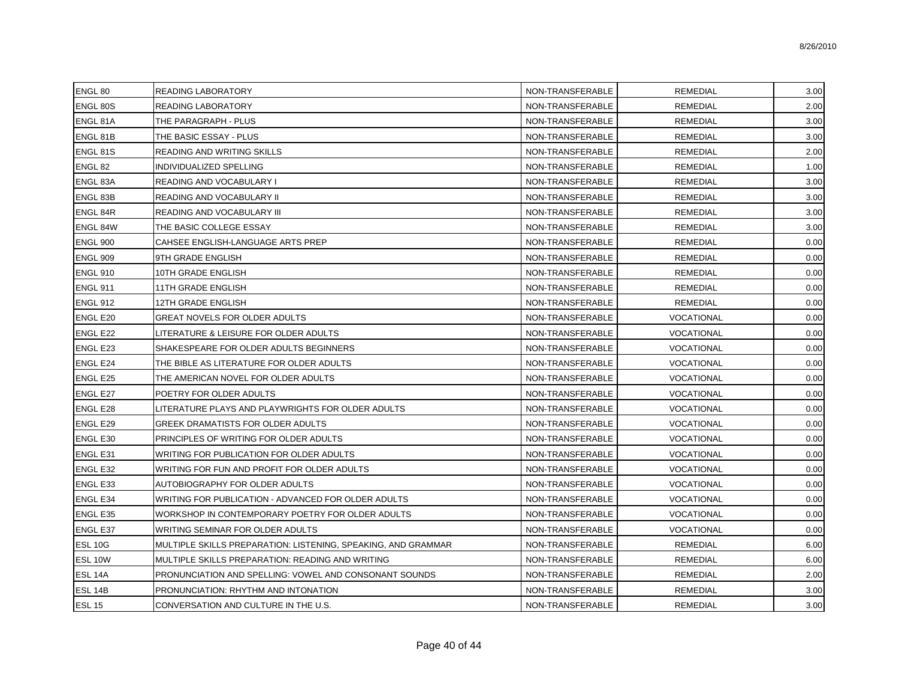| ENGL 80         | READING LABORATORY                                            | NON-TRANSFERABLE | <b>REMEDIAL</b>   | 3.00 |
|-----------------|---------------------------------------------------------------|------------------|-------------------|------|
| <b>ENGL 80S</b> | READING LABORATORY                                            | NON-TRANSFERABLE | <b>REMEDIAL</b>   | 2.00 |
| ENGL 81A        | THE PARAGRAPH - PLUS                                          | NON-TRANSFERABLE | <b>REMEDIAL</b>   | 3.00 |
| ENGL 81B        | THE BASIC ESSAY - PLUS                                        | NON-TRANSFERABLE | <b>REMEDIAL</b>   | 3.00 |
| <b>ENGL 81S</b> | READING AND WRITING SKILLS                                    | NON-TRANSFERABLE | <b>REMEDIAL</b>   | 2.00 |
| ENGL 82         | INDIVIDUALIZED SPELLING                                       | NON-TRANSFERABLE | <b>REMEDIAL</b>   | 1.00 |
| ENGL 83A        | READING AND VOCABULARY I                                      | NON-TRANSFERABLE | <b>REMEDIAL</b>   | 3.00 |
| ENGL 83B        | READING AND VOCABULARY II                                     | NON-TRANSFERABLE | <b>REMEDIAL</b>   | 3.00 |
| <b>ENGL 84R</b> | READING AND VOCABULARY III                                    | NON-TRANSFERABLE | <b>REMEDIAL</b>   | 3.00 |
| ENGL 84W        | THE BASIC COLLEGE ESSAY                                       | NON-TRANSFERABLE | <b>REMEDIAL</b>   | 3.00 |
| <b>ENGL 900</b> | CAHSEE ENGLISH-LANGUAGE ARTS PREP                             | NON-TRANSFERABLE | <b>REMEDIAL</b>   | 0.00 |
| <b>ENGL 909</b> | 9TH GRADE ENGLISH                                             | NON-TRANSFERABLE | <b>REMEDIAL</b>   | 0.00 |
| <b>ENGL 910</b> | 10TH GRADE ENGLISH                                            | NON-TRANSFERABLE | <b>REMEDIAL</b>   | 0.00 |
| <b>ENGL 911</b> | 11TH GRADE ENGLISH                                            | NON-TRANSFERABLE | <b>REMEDIAL</b>   | 0.00 |
| <b>ENGL 912</b> | 12TH GRADE ENGLISH                                            | NON-TRANSFERABLE | <b>REMEDIAL</b>   | 0.00 |
| <b>ENGL E20</b> | GREAT NOVELS FOR OLDER ADULTS                                 | NON-TRANSFERABLE | VOCATIONAL        | 0.00 |
| <b>ENGL E22</b> | LITERATURE & LEISURE FOR OLDER ADULTS                         | NON-TRANSFERABLE | VOCATIONAL        | 0.00 |
| <b>ENGL E23</b> | SHAKESPEARE FOR OLDER ADULTS BEGINNERS                        | NON-TRANSFERABLE | VOCATIONAL        | 0.00 |
| <b>ENGL E24</b> | THE BIBLE AS LITERATURE FOR OLDER ADULTS                      | NON-TRANSFERABLE | VOCATIONAL        | 0.00 |
| <b>ENGL E25</b> | THE AMERICAN NOVEL FOR OLDER ADULTS                           | NON-TRANSFERABLE | VOCATIONAL        | 0.00 |
| <b>ENGL E27</b> | POETRY FOR OLDER ADULTS                                       | NON-TRANSFERABLE | VOCATIONAL        | 0.00 |
| <b>ENGL E28</b> | LITERATURE PLAYS AND PLAYWRIGHTS FOR OLDER ADULTS             | NON-TRANSFERABLE | VOCATIONAL        | 0.00 |
| <b>ENGL E29</b> | GREEK DRAMATISTS FOR OLDER ADULTS                             | NON-TRANSFERABLE | VOCATIONAL        | 0.00 |
| <b>ENGL E30</b> | PRINCIPLES OF WRITING FOR OLDER ADULTS                        | NON-TRANSFERABLE | VOCATIONAL        | 0.00 |
| <b>ENGL E31</b> | WRITING FOR PUBLICATION FOR OLDER ADULTS                      | NON-TRANSFERABLE | VOCATIONAL        | 0.00 |
| <b>ENGL E32</b> | WRITING FOR FUN AND PROFIT FOR OLDER ADULTS                   | NON-TRANSFERABLE | VOCATIONAL        | 0.00 |
| <b>ENGL E33</b> | AUTOBIOGRAPHY FOR OLDER ADULTS                                | NON-TRANSFERABLE | <b>VOCATIONAL</b> | 0.00 |
| <b>ENGL E34</b> | WRITING FOR PUBLICATION - ADVANCED FOR OLDER ADULTS           | NON-TRANSFERABLE | VOCATIONAL        | 0.00 |
| <b>ENGL E35</b> | WORKSHOP IN CONTEMPORARY POETRY FOR OLDER ADULTS              | NON-TRANSFERABLE | <b>VOCATIONAL</b> | 0.00 |
| <b>ENGL E37</b> | WRITING SEMINAR FOR OLDER ADULTS                              | NON-TRANSFERABLE | VOCATIONAL        | 0.00 |
| <b>ESL 10G</b>  | MULTIPLE SKILLS PREPARATION: LISTENING, SPEAKING, AND GRAMMAR | NON-TRANSFERABLE | <b>REMEDIAL</b>   | 6.00 |
| ESL 10W         | MULTIPLE SKILLS PREPARATION: READING AND WRITING              | NON-TRANSFERABLE | <b>REMEDIAL</b>   | 6.00 |
| ESL 14A         | PRONUNCIATION AND SPELLING: VOWEL AND CONSONANT SOUNDS        | NON-TRANSFERABLE | <b>REMEDIAL</b>   | 2.00 |
| ESL 14B         | PRONUNCIATION: RHYTHM AND INTONATION                          | NON-TRANSFERABLE | <b>REMEDIAL</b>   | 3.00 |
| <b>ESL 15</b>   | CONVERSATION AND CULTURE IN THE U.S.                          | NON-TRANSFERABLE | <b>REMEDIAL</b>   | 3.00 |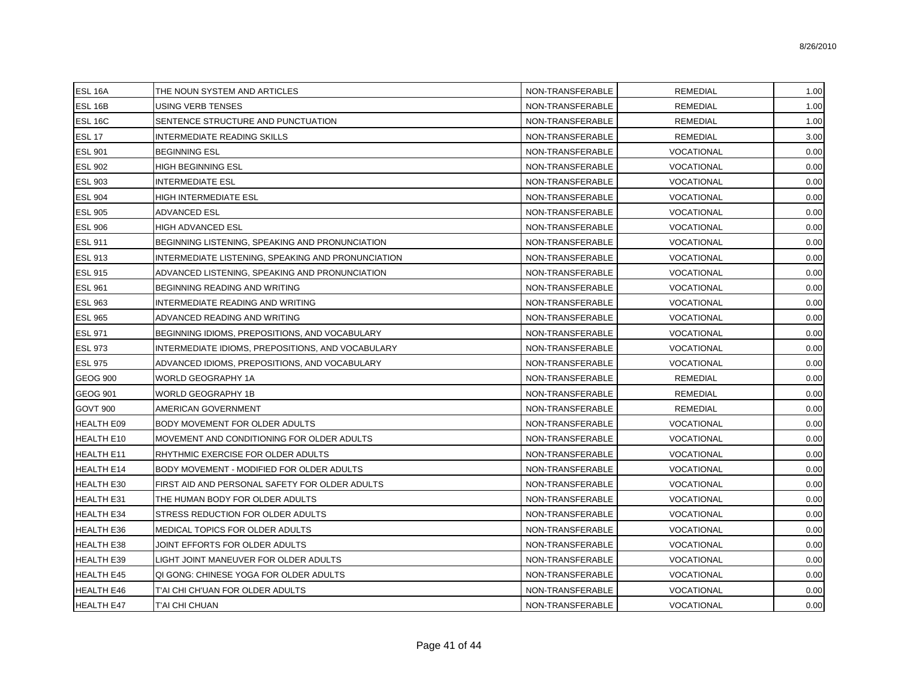| <b>ESL 16A</b>    | THE NOUN SYSTEM AND ARTICLES                       | NON-TRANSFERABLE | <b>REMEDIAL</b>   | 1.00 |
|-------------------|----------------------------------------------------|------------------|-------------------|------|
| ESL 16B           | USING VERB TENSES                                  | NON-TRANSFERABLE | <b>REMEDIAL</b>   | 1.00 |
| <b>ESL 16C</b>    | SENTENCE STRUCTURE AND PUNCTUATION                 | NON-TRANSFERABLE | <b>REMEDIAL</b>   | 1.00 |
| <b>ESL 17</b>     | <b>INTERMEDIATE READING SKILLS</b>                 | NON-TRANSFERABLE | <b>REMEDIAL</b>   | 3.00 |
| <b>ESL 901</b>    | <b>BEGINNING ESL</b>                               | NON-TRANSFERABLE | VOCATIONAL        | 0.00 |
| <b>ESL 902</b>    | HIGH BEGINNING ESL                                 | NON-TRANSFERABLE | <b>VOCATIONAL</b> | 0.00 |
| <b>ESL 903</b>    | <b>INTERMEDIATE ESL</b>                            | NON-TRANSFERABLE | <b>VOCATIONAL</b> | 0.00 |
| <b>ESL 904</b>    | HIGH INTERMEDIATE ESL                              | NON-TRANSFERABLE | <b>VOCATIONAL</b> | 0.00 |
| <b>ESL 905</b>    | <b>ADVANCED ESL</b>                                | NON-TRANSFERABLE | <b>VOCATIONAL</b> | 0.00 |
| <b>ESL 906</b>    | <b>HIGH ADVANCED ESL</b>                           | NON-TRANSFERABLE | <b>VOCATIONAL</b> | 0.00 |
| <b>ESL 911</b>    | BEGINNING LISTENING, SPEAKING AND PRONUNCIATION    | NON-TRANSFERABLE | <b>VOCATIONAL</b> | 0.00 |
| <b>ESL 913</b>    | INTERMEDIATE LISTENING, SPEAKING AND PRONUNCIATION | NON-TRANSFERABLE | <b>VOCATIONAL</b> | 0.00 |
| <b>ESL 915</b>    | ADVANCED LISTENING, SPEAKING AND PRONUNCIATION     | NON-TRANSFERABLE | <b>VOCATIONAL</b> | 0.00 |
| <b>ESL 961</b>    | BEGINNING READING AND WRITING                      | NON-TRANSFERABLE | <b>VOCATIONAL</b> | 0.00 |
| <b>ESL 963</b>    | INTERMEDIATE READING AND WRITING                   | NON-TRANSFERABLE | <b>VOCATIONAL</b> | 0.00 |
| <b>ESL 965</b>    | ADVANCED READING AND WRITING                       | NON-TRANSFERABLE | <b>VOCATIONAL</b> | 0.00 |
| <b>ESL 971</b>    | BEGINNING IDIOMS, PREPOSITIONS, AND VOCABULARY     | NON-TRANSFERABLE | <b>VOCATIONAL</b> | 0.00 |
| <b>ESL 973</b>    | INTERMEDIATE IDIOMS, PREPOSITIONS, AND VOCABULARY  | NON-TRANSFERABLE | <b>VOCATIONAL</b> | 0.00 |
| <b>ESL 975</b>    | ADVANCED IDIOMS, PREPOSITIONS, AND VOCABULARY      | NON-TRANSFERABLE | <b>VOCATIONAL</b> | 0.00 |
| <b>GEOG 900</b>   | WORLD GEOGRAPHY 1A                                 | NON-TRANSFERABLE | <b>REMEDIAL</b>   | 0.00 |
| <b>GEOG 901</b>   | WORLD GEOGRAPHY 1B                                 | NON-TRANSFERABLE | <b>REMEDIAL</b>   | 0.00 |
| <b>GOVT 900</b>   | AMERICAN GOVERNMENT                                | NON-TRANSFERABLE | REMEDIAL          | 0.00 |
| <b>HEALTH E09</b> | BODY MOVEMENT FOR OLDER ADULTS                     | NON-TRANSFERABLE | <b>VOCATIONAL</b> | 0.00 |
| <b>HEALTH E10</b> | MOVEMENT AND CONDITIONING FOR OLDER ADULTS         | NON-TRANSFERABLE | <b>VOCATIONAL</b> | 0.00 |
| HEALTH E11        | RHYTHMIC EXERCISE FOR OLDER ADULTS                 | NON-TRANSFERABLE | <b>VOCATIONAL</b> | 0.00 |
| <b>HEALTH E14</b> | BODY MOVEMENT - MODIFIED FOR OLDER ADULTS          | NON-TRANSFERABLE | <b>VOCATIONAL</b> | 0.00 |
| <b>HEALTH E30</b> | FIRST AID AND PERSONAL SAFETY FOR OLDER ADULTS     | NON-TRANSFERABLE | <b>VOCATIONAL</b> | 0.00 |
| <b>HEALTH E31</b> | THE HUMAN BODY FOR OLDER ADULTS                    | NON-TRANSFERABLE | <b>VOCATIONAL</b> | 0.00 |
| <b>HEALTH E34</b> | STRESS REDUCTION FOR OLDER ADULTS                  | NON-TRANSFERABLE | <b>VOCATIONAL</b> | 0.00 |
| <b>HEALTH E36</b> | MEDICAL TOPICS FOR OLDER ADULTS                    | NON-TRANSFERABLE | <b>VOCATIONAL</b> | 0.00 |
| <b>HEALTH E38</b> | JOINT EFFORTS FOR OLDER ADULTS                     | NON-TRANSFERABLE | <b>VOCATIONAL</b> | 0.00 |
| <b>HEALTH E39</b> | LIGHT JOINT MANEUVER FOR OLDER ADULTS              | NON-TRANSFERABLE | <b>VOCATIONAL</b> | 0.00 |
| <b>HEALTH E45</b> | QI GONG: CHINESE YOGA FOR OLDER ADULTS             | NON-TRANSFERABLE | <b>VOCATIONAL</b> | 0.00 |
| <b>HEALTH E46</b> | T'AI CHI CH'UAN FOR OLDER ADULTS                   | NON-TRANSFERABLE | <b>VOCATIONAL</b> | 0.00 |
| <b>HEALTH E47</b> | T'AI CHI CHUAN                                     | NON-TRANSFERABLE | VOCATIONAL        | 0.00 |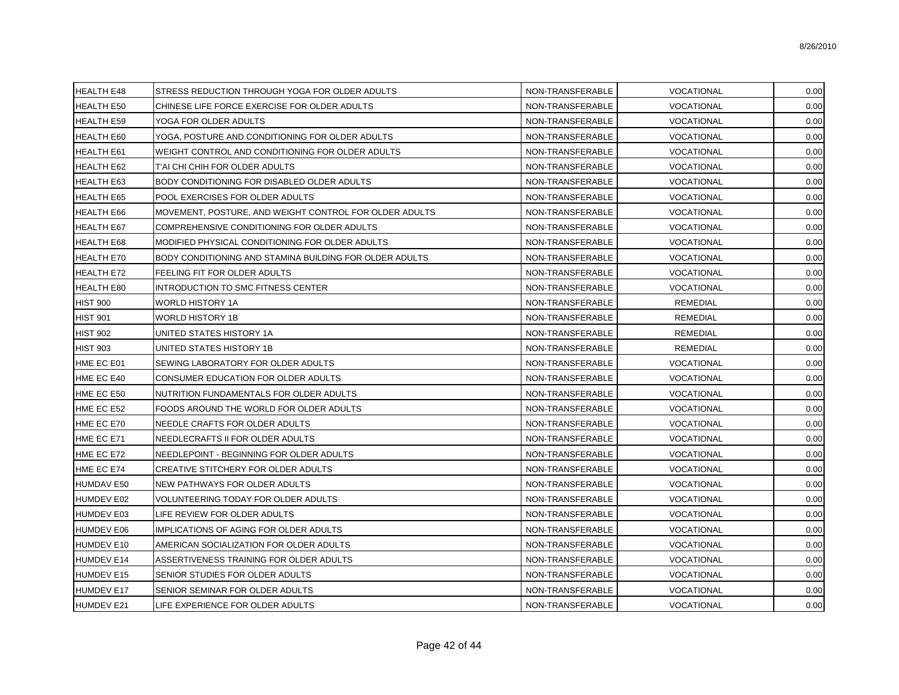| <b>HEALTH E48</b> | STRESS REDUCTION THROUGH YOGA FOR OLDER ADULTS                 | NON-TRANSFERABLE | VOCATIONAL        | 0.00 |
|-------------------|----------------------------------------------------------------|------------------|-------------------|------|
| <b>HEALTH E50</b> | CHINESE LIFE FORCE EXERCISE FOR OLDER ADULTS                   | NON-TRANSFERABLE | VOCATIONAL        | 0.00 |
| <b>HEALTH E59</b> | YOGA FOR OLDER ADULTS                                          | NON-TRANSFERABLE | VOCATIONAL        | 0.00 |
| HEALTH E60        | YOGA, POSTURE AND CONDITIONING FOR OLDER ADULTS                | NON-TRANSFERABLE | <b>VOCATIONAL</b> | 0.00 |
| <b>HEALTH E61</b> | WEIGHT CONTROL AND CONDITIONING FOR OLDER ADULTS               | NON-TRANSFERABLE | <b>VOCATIONAL</b> | 0.00 |
| HEALTH E62        | T'AI CHI CHIH FOR OLDER ADULTS                                 | NON-TRANSFERABLE | VOCATIONAL        | 0.00 |
| <b>HEALTH E63</b> | BODY CONDITIONING FOR DISABLED OLDER ADULTS                    | NON-TRANSFERABLE | <b>VOCATIONAL</b> | 0.00 |
| <b>HEALTH E65</b> | POOL EXERCISES FOR OLDER ADULTS                                | NON-TRANSFERABLE | VOCATIONAL        | 0.00 |
| <b>HEALTH E66</b> | MOVEMENT, POSTURE, AND WEIGHT CONTROL FOR OLDER ADULTS         | NON-TRANSFERABLE | VOCATIONAL        | 0.00 |
| HEALTH E67        | COMPREHENSIVE CONDITIONING FOR OLDER ADULTS                    | NON-TRANSFERABLE | VOCATIONAL        | 0.00 |
| HEALTH E68        | MODIFIED PHYSICAL CONDITIONING FOR OLDER ADULTS                | NON-TRANSFERABLE | VOCATIONAL        | 0.00 |
| <b>HEALTH E70</b> | <b>BODY CONDITIONING AND STAMINA BUILDING FOR OLDER ADULTS</b> | NON-TRANSFERABLE | <b>VOCATIONAL</b> | 0.00 |
| HEALTH E72        | FEELING FIT FOR OLDER ADULTS                                   | NON-TRANSFERABLE | VOCATIONAL        | 0.00 |
| HEALTH E80        | INTRODUCTION TO SMC FITNESS CENTER                             | NON-TRANSFERABLE | <b>VOCATIONAL</b> | 0.00 |
| <b>HIST 900</b>   | WORLD HISTORY 1A                                               | NON-TRANSFERABLE | <b>REMEDIAL</b>   | 0.00 |
| <b>HIST 901</b>   | WORLD HISTORY 1B                                               | NON-TRANSFERABLE | <b>REMEDIAL</b>   | 0.00 |
| <b>HIST 902</b>   | UNITED STATES HISTORY 1A                                       | NON-TRANSFERABLE | REMEDIAL          | 0.00 |
| <b>HIST 903</b>   | UNITED STATES HISTORY 1B                                       | NON-TRANSFERABLE | REMEDIAL          | 0.00 |
| HME EC E01        | SEWING LABORATORY FOR OLDER ADULTS                             | NON-TRANSFERABLE | VOCATIONAL        | 0.00 |
| HME EC E40        | CONSUMER EDUCATION FOR OLDER ADULTS                            | NON-TRANSFERABLE | <b>VOCATIONAL</b> | 0.00 |
| HME EC E50        | NUTRITION FUNDAMENTALS FOR OLDER ADULTS                        | NON-TRANSFERABLE | VOCATIONAL        | 0.00 |
| HME EC E52        | FOODS AROUND THE WORLD FOR OLDER ADULTS                        | NON-TRANSFERABLE | VOCATIONAL        | 0.00 |
| HME EC E70        | NEEDLE CRAFTS FOR OLDER ADULTS                                 | NON-TRANSFERABLE | <b>VOCATIONAL</b> | 0.00 |
| HME EC E71        | NEEDLECRAFTS II FOR OLDER ADULTS                               | NON-TRANSFERABLE | VOCATIONAL        | 0.00 |
| HME EC E72        | NEEDLEPOINT - BEGINNING FOR OLDER ADULTS                       | NON-TRANSFERABLE | VOCATIONAL        | 0.00 |
| HME EC E74        | <b>CREATIVE STITCHERY FOR OLDER ADULTS</b>                     | NON-TRANSFERABLE | VOCATIONAL        | 0.00 |
| <b>HUMDAV E50</b> | NEW PATHWAYS FOR OLDER ADULTS                                  | NON-TRANSFERABLE | VOCATIONAL        | 0.00 |
| <b>HUMDEV E02</b> | VOLUNTEERING TODAY FOR OLDER ADULTS                            | NON-TRANSFERABLE | VOCATIONAL        | 0.00 |
| HUMDEV E03        | LIFE REVIEW FOR OLDER ADULTS                                   | NON-TRANSFERABLE | VOCATIONAL        | 0.00 |
| HUMDEV E06        | IMPLICATIONS OF AGING FOR OLDER ADULTS                         | NON-TRANSFERABLE | VOCATIONAL        | 0.00 |
| HUMDEV E10        | AMERICAN SOCIALIZATION FOR OLDER ADULTS                        | NON-TRANSFERABLE | VOCATIONAL        | 0.00 |
| <b>HUMDEV E14</b> | ASSERTIVENESS TRAINING FOR OLDER ADULTS                        | NON-TRANSFERABLE | VOCATIONAL        | 0.00 |
| <b>HUMDEV E15</b> | SENIOR STUDIES FOR OLDER ADULTS                                | NON-TRANSFERABLE | VOCATIONAL        | 0.00 |
| <b>HUMDEV E17</b> | SENIOR SEMINAR FOR OLDER ADULTS                                | NON-TRANSFERABLE | VOCATIONAL        | 0.00 |
| <b>HUMDEV E21</b> | LIFE EXPERIENCE FOR OLDER ADULTS                               | NON-TRANSFERABLE | VOCATIONAL        | 0.00 |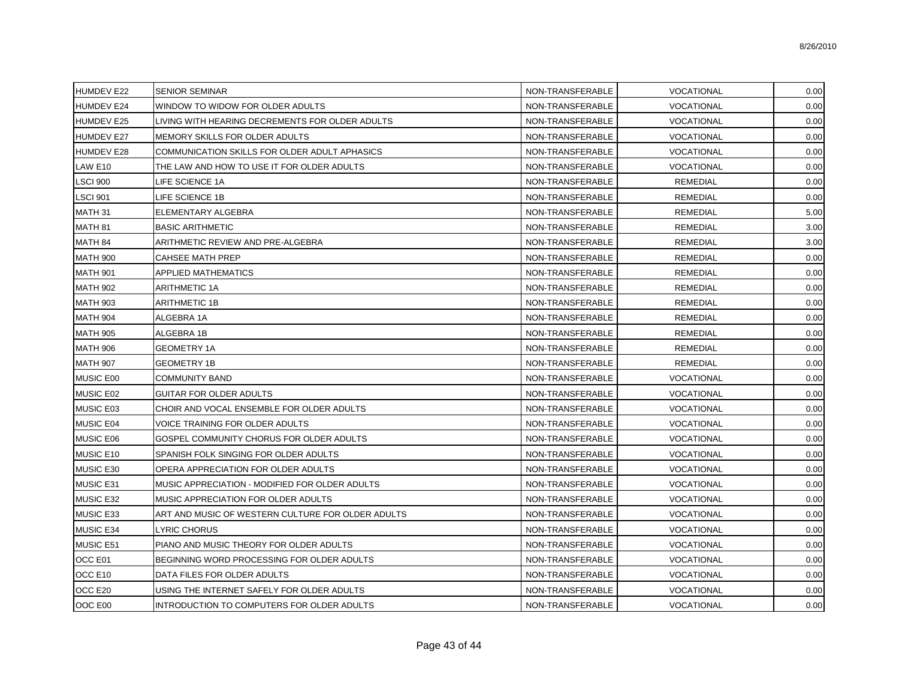| <b>HUMDEV E22</b> | <b>SENIOR SEMINAR</b>                             | NON-TRANSFERABLE | VOCATIONAL        | 0.00 |
|-------------------|---------------------------------------------------|------------------|-------------------|------|
| <b>HUMDEV E24</b> | WINDOW TO WIDOW FOR OLDER ADULTS                  | NON-TRANSFERABLE | <b>VOCATIONAL</b> | 0.00 |
| <b>HUMDEV E25</b> | LIVING WITH HEARING DECREMENTS FOR OLDER ADULTS   | NON-TRANSFERABLE | VOCATIONAL        | 0.00 |
| <b>HUMDEV E27</b> | MEMORY SKILLS FOR OLDER ADULTS                    | NON-TRANSFERABLE | VOCATIONAL        | 0.00 |
| <b>HUMDEV E28</b> | COMMUNICATION SKILLS FOR OLDER ADULT APHASICS     | NON-TRANSFERABLE | VOCATIONAL        | 0.00 |
| LAW E10           | THE LAW AND HOW TO USE IT FOR OLDER ADULTS        | NON-TRANSFERABLE | <b>VOCATIONAL</b> | 0.00 |
| <b>LSCI 900</b>   | LIFE SCIENCE 1A                                   | NON-TRANSFERABLE | <b>REMEDIAL</b>   | 0.00 |
| <b>LSCI 901</b>   | LIFE SCIENCE 1B                                   | NON-TRANSFERABLE | <b>REMEDIAL</b>   | 0.00 |
| MATH 31           | ELEMENTARY ALGEBRA                                | NON-TRANSFERABLE | <b>REMEDIAL</b>   | 5.00 |
| MATH 81           | <b>BASIC ARITHMETIC</b>                           | NON-TRANSFERABLE | <b>REMEDIAL</b>   | 3.00 |
| MATH 84           | ARITHMETIC REVIEW AND PRE-ALGEBRA                 | NON-TRANSFERABLE | <b>REMEDIAL</b>   | 3.00 |
| <b>MATH 900</b>   | <b>CAHSEE MATH PREP</b>                           | NON-TRANSFERABLE | <b>REMEDIAL</b>   | 0.00 |
| <b>MATH 901</b>   | <b>APPLIED MATHEMATICS</b>                        | NON-TRANSFERABLE | <b>REMEDIAL</b>   | 0.00 |
| <b>MATH 902</b>   | <b>ARITHMETIC 1A</b>                              | NON-TRANSFERABLE | <b>REMEDIAL</b>   | 0.00 |
| <b>MATH 903</b>   | <b>ARITHMETIC 1B</b>                              | NON-TRANSFERABLE | <b>REMEDIAL</b>   | 0.00 |
| <b>MATH 904</b>   | ALGEBRA 1A                                        | NON-TRANSFERABLE | <b>REMEDIAL</b>   | 0.00 |
| <b>MATH 905</b>   | ALGEBRA 1B                                        | NON-TRANSFERABLE | <b>REMEDIAL</b>   | 0.00 |
| <b>MATH 906</b>   | <b>GEOMETRY 1A</b>                                | NON-TRANSFERABLE | <b>REMEDIAL</b>   | 0.00 |
| <b>MATH 907</b>   | <b>GEOMETRY 1B</b>                                | NON-TRANSFERABLE | <b>REMEDIAL</b>   | 0.00 |
| MUSIC E00         | <b>COMMUNITY BAND</b>                             | NON-TRANSFERABLE | VOCATIONAL        | 0.00 |
| MUSIC E02         | GUITAR FOR OLDER ADULTS                           | NON-TRANSFERABLE | <b>VOCATIONAL</b> | 0.00 |
| MUSIC E03         | CHOIR AND VOCAL ENSEMBLE FOR OLDER ADULTS         | NON-TRANSFERABLE | <b>VOCATIONAL</b> | 0.00 |
| MUSIC E04         | VOICE TRAINING FOR OLDER ADULTS                   | NON-TRANSFERABLE | VOCATIONAL        | 0.00 |
| MUSIC E06         | GOSPEL COMMUNITY CHORUS FOR OLDER ADULTS          | NON-TRANSFERABLE | VOCATIONAL        | 0.00 |
| MUSIC E10         | SPANISH FOLK SINGING FOR OLDER ADULTS             | NON-TRANSFERABLE | VOCATIONAL        | 0.00 |
| MUSIC E30         | OPERA APPRECIATION FOR OLDER ADULTS               | NON-TRANSFERABLE | VOCATIONAL        | 0.00 |
| MUSIC E31         | MUSIC APPRECIATION - MODIFIED FOR OLDER ADULTS    | NON-TRANSFERABLE | VOCATIONAL        | 0.00 |
| MUSIC E32         | MUSIC APPRECIATION FOR OLDER ADULTS               | NON-TRANSFERABLE | VOCATIONAL        | 0.00 |
| MUSIC E33         | ART AND MUSIC OF WESTERN CULTURE FOR OLDER ADULTS | NON-TRANSFERABLE | VOCATIONAL        | 0.00 |
| MUSIC E34         | LYRIC CHORUS                                      | NON-TRANSFERABLE | <b>VOCATIONAL</b> | 0.00 |
| MUSIC E51         | PIANO AND MUSIC THEORY FOR OLDER ADULTS           | NON-TRANSFERABLE | <b>VOCATIONAL</b> | 0.00 |
| OCC E01           | BEGINNING WORD PROCESSING FOR OLDER ADULTS        | NON-TRANSFERABLE | VOCATIONAL        | 0.00 |
| OCC E10           | DATA FILES FOR OLDER ADULTS                       | NON-TRANSFERABLE | <b>VOCATIONAL</b> | 0.00 |
| OCC E20           | USING THE INTERNET SAFELY FOR OLDER ADULTS        | NON-TRANSFERABLE | VOCATIONAL        | 0.00 |
| OOC E00           | INTRODUCTION TO COMPUTERS FOR OLDER ADULTS        | NON-TRANSFERABLE | VOCATIONAL        | 0.00 |